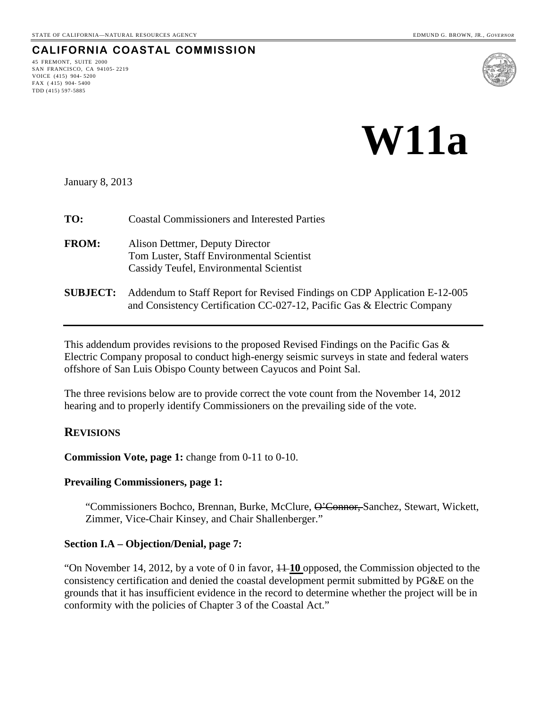# **CALIFORNIA COASTAL COMMISSION**

45 FREMONT, SUITE 2000 SAN FRANCISCO, CA 94105- 2219 VOICE (415) 904- 5200 FAX ( 415) 904- 5400 TDD (415) 597-5885



# **W11a**

January 8, 2013

| TO:             | <b>Coastal Commissioners and Interested Parties</b>                                                                                                  |
|-----------------|------------------------------------------------------------------------------------------------------------------------------------------------------|
| <b>FROM:</b>    | Alison Dettmer, Deputy Director<br>Tom Luster, Staff Environmental Scientist<br>Cassidy Teufel, Environmental Scientist                              |
| <b>SUBJECT:</b> | Addendum to Staff Report for Revised Findings on CDP Application E-12-005<br>and Consistency Certification CC-027-12, Pacific Gas & Electric Company |

This addendum provides revisions to the proposed Revised Findings on the Pacific Gas & Electric Company proposal to conduct high-energy seismic surveys in state and federal waters offshore of San Luis Obispo County between Cayucos and Point Sal.

The three revisions below are to provide correct the vote count from the November 14, 2012 hearing and to properly identify Commissioners on the prevailing side of the vote.

## **REVISIONS**

**Commission Vote, page 1:** change from 0-11 to 0-10.

#### **Prevailing Commissioners, page 1:**

"Commissioners Bochco, Brennan, Burke, McClure, O'Connor, Sanchez, Stewart, Wickett, Zimmer, Vice-Chair Kinsey, and Chair Shallenberger."

#### **Section I.A – Objection/Denial, page 7:**

"On November 14, 2012, by a vote of 0 in favor, 11 **10** opposed, the Commission objected to the consistency certification and denied the coastal development permit submitted by PG&E on the grounds that it has insufficient evidence in the record to determine whether the project will be in conformity with the policies of Chapter 3 of the Coastal Act."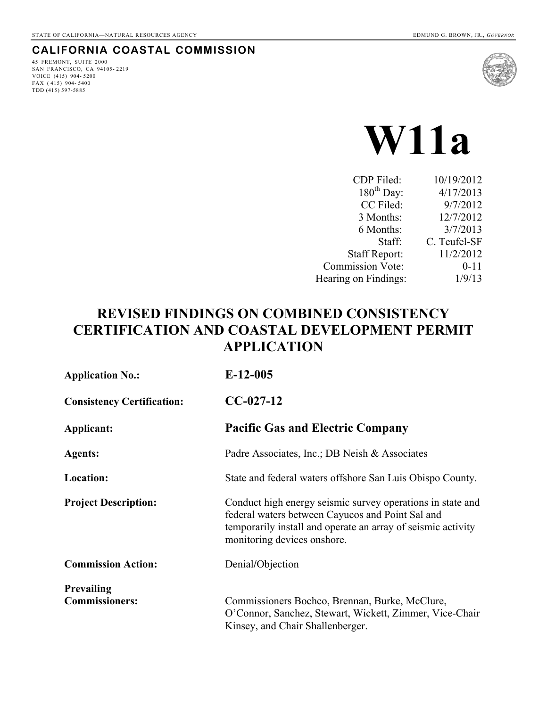# **CALIFORNIA COASTAL COMMISSION**

45 FREMONT, SUITE 2000 SAN FRANCISCO, CA 94105- 2219 VOICE (415) 904- 5200 FAX ( 415) 904- 5400 TDD (415) 597-5885



# **W11a**

| CDP Filed:              | 10/19/2012   |
|-------------------------|--------------|
| $180^{th}$ Day:         | 4/17/2013    |
| CC Filed:               | 9/7/2012     |
| 3 Months:               | 12/7/2012    |
| 6 Months:               | 3/7/2013     |
| Staff:                  | C. Teufel-SF |
| <b>Staff Report:</b>    | 11/2/2012    |
| <b>Commission Vote:</b> | $0 - 11$     |
| Hearing on Findings:    | 1/9/13       |
|                         |              |

# **REVISED FINDINGS ON COMBINED CONSISTENCY CERTIFICATION AND COASTAL DEVELOPMENT PERMIT APPLICATION**

| <b>Application No.:</b>           | $E-12-005$                                                                                                                                                                                                     |  |  |  |
|-----------------------------------|----------------------------------------------------------------------------------------------------------------------------------------------------------------------------------------------------------------|--|--|--|
| <b>Consistency Certification:</b> | $CC-027-12$                                                                                                                                                                                                    |  |  |  |
| Applicant:                        | <b>Pacific Gas and Electric Company</b>                                                                                                                                                                        |  |  |  |
| <b>Agents:</b>                    | Padre Associates, Inc.; DB Neish & Associates                                                                                                                                                                  |  |  |  |
| Location:                         | State and federal waters offshore San Luis Obispo County.                                                                                                                                                      |  |  |  |
| <b>Project Description:</b>       | Conduct high energy seismic survey operations in state and<br>federal waters between Cayucos and Point Sal and<br>temporarily install and operate an array of seismic activity<br>monitoring devices on shore. |  |  |  |
| <b>Commission Action:</b>         | Denial/Objection                                                                                                                                                                                               |  |  |  |
| <b>Prevailing</b>                 |                                                                                                                                                                                                                |  |  |  |
| <b>Commissioners:</b>             | Commissioners Bochco, Brennan, Burke, McClure,<br>O'Connor, Sanchez, Stewart, Wickett, Zimmer, Vice-Chair<br>Kinsey, and Chair Shallenberger.                                                                  |  |  |  |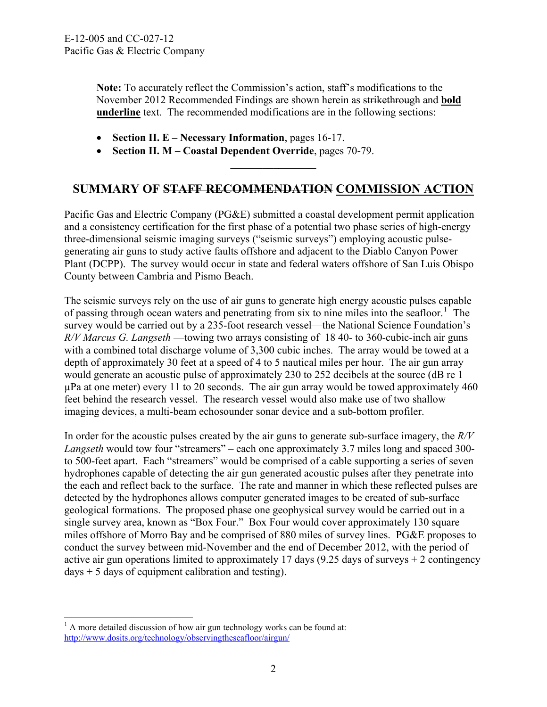**Note:** To accurately reflect the Commission's action, staff's modifications to the November 2012 Recommended Findings are shown herein as strikethrough and **bold underline** text. The recommended modifications are in the following sections:

- **Section II. E Necessary Information**, pages 16-17.
- **Section II. M Coastal Dependent Override**, pages 70-79.

# **SUMMARY OF STAFF RECOMMENDATION COMMISSION ACTION**

 $\frac{1}{2}$ 

Pacific Gas and Electric Company (PG&E) submitted a coastal development permit application and a consistency certification for the first phase of a potential two phase series of high-energy three-dimensional seismic imaging surveys ("seismic surveys") employing acoustic pulsegenerating air guns to study active faults offshore and adjacent to the Diablo Canyon Power Plant (DCPP). The survey would occur in state and federal waters offshore of San Luis Obispo County between Cambria and Pismo Beach.

The seismic surveys rely on the use of air guns to generate high energy acoustic pulses capable of passing through ocean waters and penetrating from six to nine miles into the seafloor.<sup>[1](#page-2-0)</sup> The survey would be carried out by a 235-foot research vessel—the National Science Foundation's *R/V Marcus G. Langseth* —towing two arrays consisting of 18 40- to 360-cubic-inch air guns with a combined total discharge volume of 3,300 cubic inches. The array would be towed at a depth of approximately 30 feet at a speed of 4 to 5 nautical miles per hour. The air gun array would generate an acoustic pulse of approximately 230 to 252 decibels at the source (dB re 1  $\mu$ Pa at one meter) every 11 to 20 seconds. The air gun array would be towed approximately 460 feet behind the research vessel. The research vessel would also make use of two shallow imaging devices, a multi-beam echosounder sonar device and a sub-bottom profiler.

In order for the acoustic pulses created by the air guns to generate sub-surface imagery, the *R/V Langseth* would tow four "streamers" – each one approximately 3.7 miles long and spaced 300 to 500-feet apart. Each "streamers" would be comprised of a cable supporting a series of seven hydrophones capable of detecting the air gun generated acoustic pulses after they penetrate into the each and reflect back to the surface. The rate and manner in which these reflected pulses are detected by the hydrophones allows computer generated images to be created of sub-surface geological formations. The proposed phase one geophysical survey would be carried out in a single survey area, known as "Box Four." Box Four would cover approximately 130 square miles offshore of Morro Bay and be comprised of 880 miles of survey lines. PG&E proposes to conduct the survey between mid-November and the end of December 2012, with the period of active air gun operations limited to approximately 17 days (9.25 days of surveys + 2 contingency  $days + 5$  days of equipment calibration and testing).

1

<span id="page-2-0"></span> $<sup>1</sup>$  A more detailed discussion of how air gun technology works can be found at:</sup> <http://www.dosits.org/technology/observingtheseafloor/airgun/>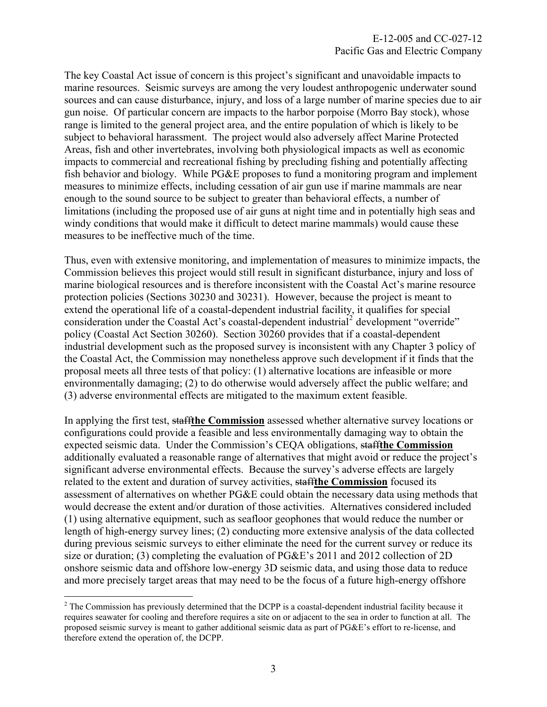The key Coastal Act issue of concern is this project's significant and unavoidable impacts to marine resources. Seismic surveys are among the very loudest anthropogenic underwater sound sources and can cause disturbance, injury, and loss of a large number of marine species due to air gun noise. Of particular concern are impacts to the harbor porpoise (Morro Bay stock), whose range is limited to the general project area, and the entire population of which is likely to be subject to behavioral harassment. The project would also adversely affect Marine Protected Areas, fish and other invertebrates, involving both physiological impacts as well as economic impacts to commercial and recreational fishing by precluding fishing and potentially affecting fish behavior and biology. While PG&E proposes to fund a monitoring program and implement measures to minimize effects, including cessation of air gun use if marine mammals are near enough to the sound source to be subject to greater than behavioral effects, a number of limitations (including the proposed use of air guns at night time and in potentially high seas and windy conditions that would make it difficult to detect marine mammals) would cause these measures to be ineffective much of the time.

Thus, even with extensive monitoring, and implementation of measures to minimize impacts, the Commission believes this project would still result in significant disturbance, injury and loss of marine biological resources and is therefore inconsistent with the Coastal Act's marine resource protection policies (Sections 30230 and 30231). However, because the project is meant to extend the operational life of a coastal-dependent industrial facility, it qualifies for special consideration under the Coastal Act's coastal-dependent industrial<sup>[2](#page-3-0)</sup> development "override" policy (Coastal Act Section 30260). Section 30260 provides that if a coastal-dependent industrial development such as the proposed survey is inconsistent with any Chapter 3 policy of the Coastal Act, the Commission may nonetheless approve such development if it finds that the proposal meets all three tests of that policy: (1) alternative locations are infeasible or more environmentally damaging; (2) to do otherwise would adversely affect the public welfare; and (3) adverse environmental effects are mitigated to the maximum extent feasible.

In applying the first test, staff**the Commission** assessed whether alternative survey locations or configurations could provide a feasible and less environmentally damaging way to obtain the expected seismic data. Under the Commission's CEQA obligations, staff**the Commission** additionally evaluated a reasonable range of alternatives that might avoid or reduce the project's significant adverse environmental effects. Because the survey's adverse effects are largely related to the extent and duration of survey activities, staff**the Commission** focused its assessment of alternatives on whether PG&E could obtain the necessary data using methods that would decrease the extent and/or duration of those activities. Alternatives considered included (1) using alternative equipment, such as seafloor geophones that would reduce the number or length of high-energy survey lines; (2) conducting more extensive analysis of the data collected during previous seismic surveys to either eliminate the need for the current survey or reduce its size or duration; (3) completing the evaluation of PG&E's 2011 and 2012 collection of 2D onshore seismic data and offshore low-energy 3D seismic data, and using those data to reduce and more precisely target areas that may need to be the focus of a future high-energy offshore

 $\overline{a}$ 

<span id="page-3-0"></span> $2^2$  The Commission has previously determined that the DCPP is a coastal-dependent industrial facility because it requires seawater for cooling and therefore requires a site on or adjacent to the sea in order to function at all. The proposed seismic survey is meant to gather additional seismic data as part of PG&E's effort to re-license, and therefore extend the operation of, the DCPP.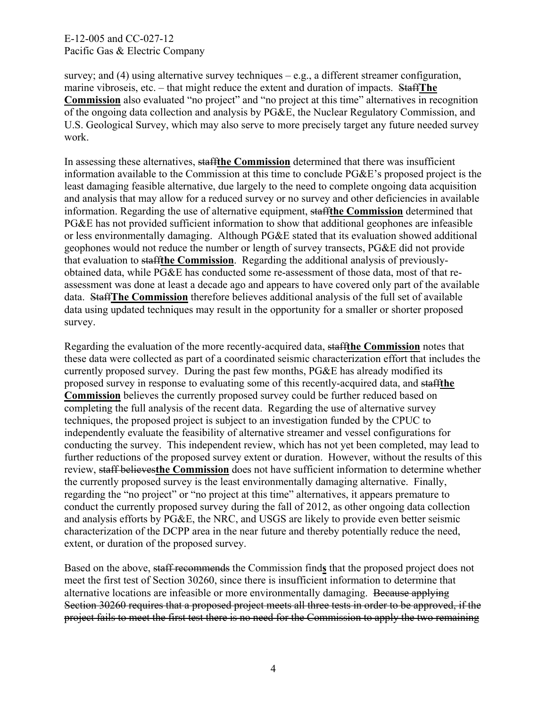survey; and (4) using alternative survey techniques  $-e.g., a$  different streamer configuration, marine vibroseis, etc. – that might reduce the extent and duration of impacts. Staff**The Commission** also evaluated "no project" and "no project at this time" alternatives in recognition of the ongoing data collection and analysis by PG&E, the Nuclear Regulatory Commission, and U.S. Geological Survey, which may also serve to more precisely target any future needed survey work.

In assessing these alternatives, staff**the Commission** determined that there was insufficient information available to the Commission at this time to conclude PG&E's proposed project is the least damaging feasible alternative, due largely to the need to complete ongoing data acquisition and analysis that may allow for a reduced survey or no survey and other deficiencies in available information. Regarding the use of alternative equipment, staff**the Commission** determined that PG&E has not provided sufficient information to show that additional geophones are infeasible or less environmentally damaging. Although PG&E stated that its evaluation showed additional geophones would not reduce the number or length of survey transects, PG&E did not provide that evaluation to staff**the Commission**. Regarding the additional analysis of previouslyobtained data, while PG&E has conducted some re-assessment of those data, most of that reassessment was done at least a decade ago and appears to have covered only part of the available data. Staff**The Commission** therefore believes additional analysis of the full set of available data using updated techniques may result in the opportunity for a smaller or shorter proposed survey.

Regarding the evaluation of the more recently-acquired data, staff**the Commission** notes that these data were collected as part of a coordinated seismic characterization effort that includes the currently proposed survey. During the past few months, PG&E has already modified its proposed survey in response to evaluating some of this recently-acquired data, and staff**the Commission** believes the currently proposed survey could be further reduced based on completing the full analysis of the recent data. Regarding the use of alternative survey techniques, the proposed project is subject to an investigation funded by the CPUC to independently evaluate the feasibility of alternative streamer and vessel configurations for conducting the survey. This independent review, which has not yet been completed, may lead to further reductions of the proposed survey extent or duration. However, without the results of this review, staff believes**the Commission** does not have sufficient information to determine whether the currently proposed survey is the least environmentally damaging alternative. Finally, regarding the "no project" or "no project at this time" alternatives, it appears premature to conduct the currently proposed survey during the fall of 2012, as other ongoing data collection and analysis efforts by PG&E, the NRC, and USGS are likely to provide even better seismic characterization of the DCPP area in the near future and thereby potentially reduce the need, extent, or duration of the proposed survey.

Based on the above, staff recommends the Commission find**s** that the proposed project does not meet the first test of Section 30260, since there is insufficient information to determine that alternative locations are infeasible or more environmentally damaging. Because applying Section 30260 requires that a proposed project meets all three tests in order to be approved, if the project fails to meet the first test there is no need for the Commission to apply the two remaining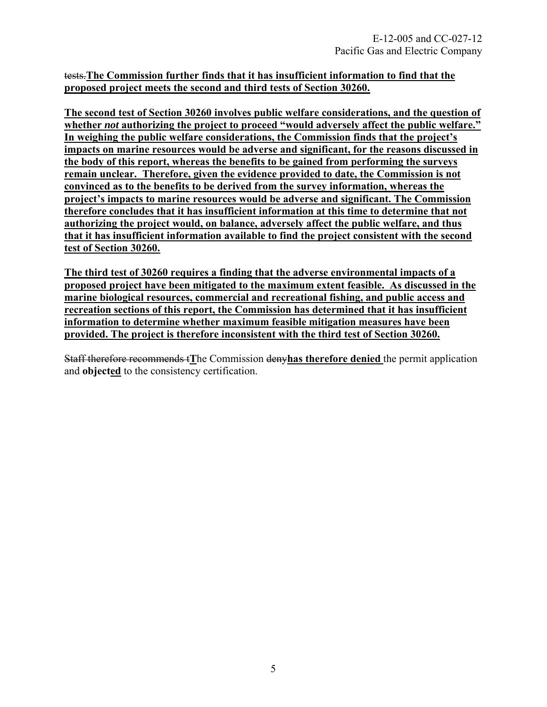# tests.**The Commission further finds that it has insufficient information to find that the proposed project meets the second and third tests of Section 30260.**

**The second test of Section 30260 involves public welfare considerations, and the question of whether** *not* **authorizing the project to proceed "would adversely affect the public welfare." In weighing the public welfare considerations, the Commission finds that the project's impacts on marine resources would be adverse and significant, for the reasons discussed in the body of this report, whereas the benefits to be gained from performing the surveys remain unclear. Therefore, given the evidence provided to date, the Commission is not convinced as to the benefits to be derived from the survey information, whereas the project's impacts to marine resources would be adverse and significant. The Commission therefore concludes that it has insufficient information at this time to determine that not authorizing the project would, on balance, adversely affect the public welfare, and thus that it has insufficient information available to find the project consistent with the second test of Section 30260.** 

**The third test of 30260 requires a finding that the adverse environmental impacts of a proposed project have been mitigated to the maximum extent feasible. As discussed in the marine biological resources, commercial and recreational fishing, and public access and recreation sections of this report, the Commission has determined that it has insufficient information to determine whether maximum feasible mitigation measures have been provided. The project is therefore inconsistent with the third test of Section 30260.** 

Staff therefore recommends t**T**he Commission deny**has therefore denied** the permit application and **objected** to the consistency certification.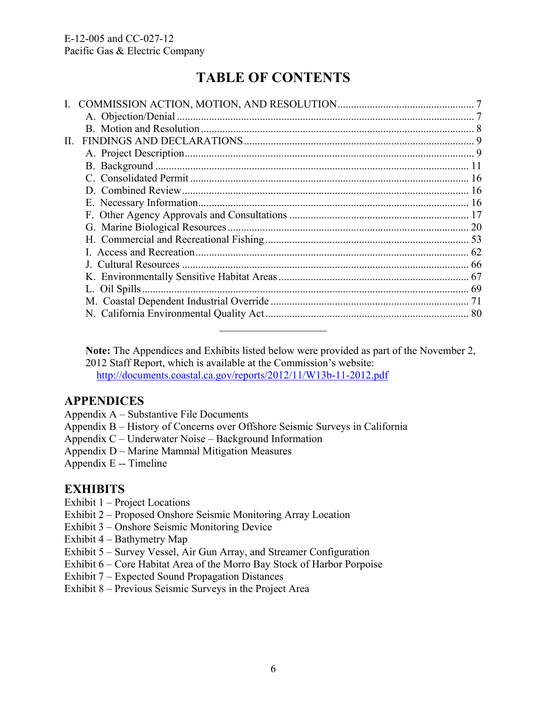# **TABLE OF CONTENTS**

| $\Pi$ . |  |
|---------|--|
|         |  |
|         |  |
|         |  |
|         |  |
|         |  |
|         |  |
|         |  |
|         |  |
|         |  |
|         |  |
|         |  |
|         |  |
|         |  |
|         |  |
|         |  |

**Note:** The Appendices and Exhibits listed below were provided as part of the November 2, 2012 Staff Report, which is available at the Commission's website: <http://documents.coastal.ca.gov/reports/2012/11/W13b-11-2012.pdf>

# **APPENDICES**

- Appendix A Substantive File Documents
- Appendix B History of Concerns over Offshore Seismic Surveys in California
- Appendix C Underwater Noise Background Information
- Appendix D Marine Mammal Mitigation Measures
- Appendix E -- Timeline

# **EXHIBITS**

- Exhibit 1 Project Locations
- Exhibit 2 Proposed Onshore Seismic Monitoring Array Location
- Exhibit 3 Onshore Seismic Monitoring Device
- Exhibit 4 Bathymetry Map
- Exhibit 5 Survey Vessel, Air Gun Array, and Streamer Configuration
- Exhibit 6 Core Habitat Area of the Morro Bay Stock of Harbor Porpoise
- Exhibit 7 Expected Sound Propagation Distances
- Exhibit 8 Previous Seismic Surveys in the Project Area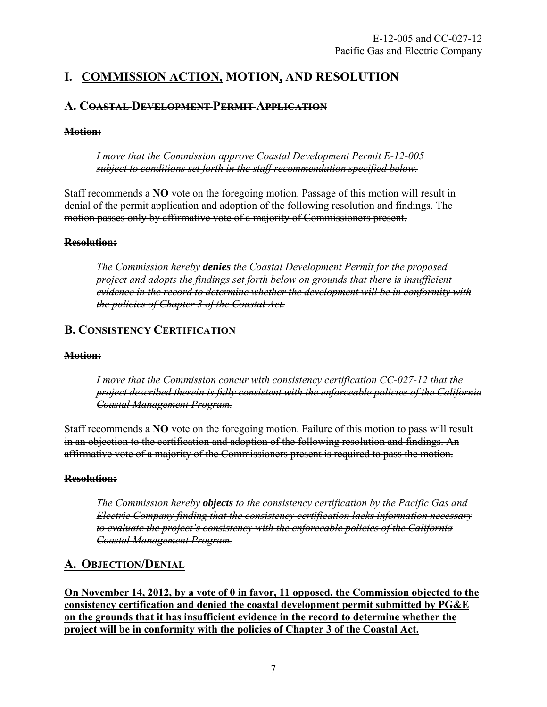# <span id="page-7-0"></span>**I. COMMISSION ACTION, MOTION, AND RESOLUTION**

# **A. COASTAL DEVELOPMENT PERMIT APPLICATION**

# **Motion:**

*I move that the Commission approve Coastal Development Permit E-12-005 subject to conditions set forth in the staff recommendation specified below.*

Staff recommends a **NO** vote on the foregoing motion. Passage of this motion will result in denial of the permit application and adoption of the following resolution and findings. The motion passes only by affirmative vote of a majority of Commissioners present.

## **Resolution:**

*The Commission hereby denies the Coastal Development Permit for the proposed project and adopts the findings set forth below on grounds that there is insufficient evidence in the record to determine whether the development will be in conformity with the policies of Chapter 3 of the Coastal Act.*

# **B. CONSISTENCY CERTIFICATION**

## **Motion:**

*I move that the Commission concur with consistency certification CC-027-12 that the project described therein is fully consistent with the enforceable policies of the California Coastal Management Program.*

Staff recommends a **NO** vote on the foregoing motion. Failure of this motion to pass will result in an objection to the certification and adoption of the following resolution and findings. An affirmative vote of a majority of the Commissioners present is required to pass the motion.

## **Resolution:**

*The Commission hereby objects to the consistency certification by the Pacific Gas and Electric Company finding that the consistency certification lacks information necessary to evaluate the project's consistency with the enforceable policies of the California Coastal Management Program.*

# <span id="page-7-1"></span>**A. OBJECTION/DENIAL**

**On November 14, 2012, by a vote of 0 in favor, 11 opposed, the Commission objected to the consistency certification and denied the coastal development permit submitted by PG&E on the grounds that it has insufficient evidence in the record to determine whether the project will be in conformity with the policies of Chapter 3 of the Coastal Act.**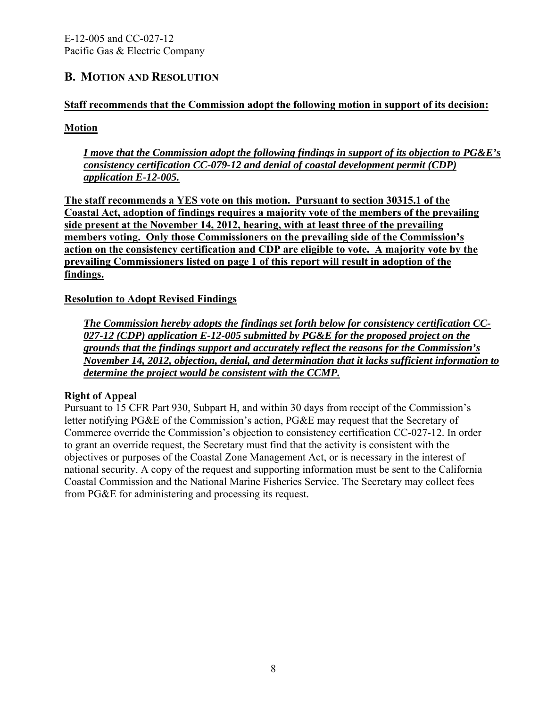# <span id="page-8-0"></span>**B. MOTION AND RESOLUTION**

# **Staff recommends that the Commission adopt the following motion in support of its decision:**

# **Motion**

*I move that the Commission adopt the following findings in support of its objection to PG&E's consistency certification CC-079-12 and denial of coastal development permit (CDP) application E-12-005.*

**The staff recommends a YES vote on this motion. Pursuant to section 30315.1 of the Coastal Act, adoption of findings requires a majority vote of the members of the prevailing side present at the November 14, 2012, hearing, with at least three of the prevailing members voting. Only those Commissioners on the prevailing side of the Commission's action on the consistency certification and CDP are eligible to vote. A majority vote by the prevailing Commissioners listed on page 1 of this report will result in adoption of the findings.**

# **Resolution to Adopt Revised Findings**

*The Commission hereby adopts the findings set forth below for consistency certification CC-027-12 (CDP) application E-12-005 submitted by PG&E for the proposed project on the grounds that the findings support and accurately reflect the reasons for the Commission's November 14, 2012, objection, denial, and determination that it lacks sufficient information to determine the project would be consistent with the CCMP.*

## **Right of Appeal**

Pursuant to 15 CFR Part 930, Subpart H, and within 30 days from receipt of the Commission's letter notifying PG&E of the Commission's action, PG&E may request that the Secretary of Commerce override the Commission's objection to consistency certification CC-027-12. In order to grant an override request, the Secretary must find that the activity is consistent with the objectives or purposes of the Coastal Zone Management Act, or is necessary in the interest of national security. A copy of the request and supporting information must be sent to the California Coastal Commission and the National Marine Fisheries Service. The Secretary may collect fees from PG&E for administering and processing its request.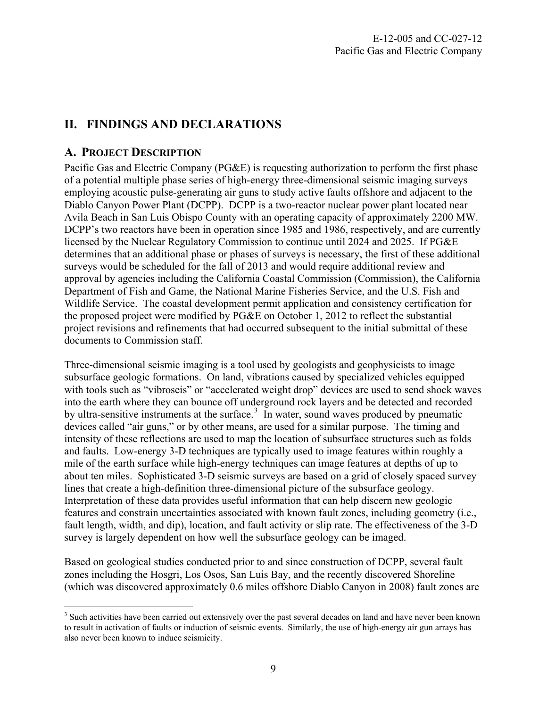# <span id="page-9-0"></span>**II. FINDINGS AND DECLARATIONS**

# <span id="page-9-1"></span>**A. PROJECT DESCRIPTION**

Pacific Gas and Electric Company (PG&E) is requesting authorization to perform the first phase of a potential multiple phase series of high-energy three-dimensional seismic imaging surveys employing acoustic pulse-generating air guns to study active faults offshore and adjacent to the Diablo Canyon Power Plant (DCPP). DCPP is a two-reactor nuclear power plant located near Avila Beach in San Luis Obispo County with an operating capacity of approximately 2200 MW. DCPP's two reactors have been in operation since 1985 and 1986, respectively, and are currently licensed by the Nuclear Regulatory Commission to continue until 2024 and 2025. If PG&E determines that an additional phase or phases of surveys is necessary, the first of these additional surveys would be scheduled for the fall of 2013 and would require additional review and approval by agencies including the California Coastal Commission (Commission), the California Department of Fish and Game, the National Marine Fisheries Service, and the U.S. Fish and Wildlife Service. The coastal development permit application and consistency certification for the proposed project were modified by PG&E on October 1, 2012 to reflect the substantial project revisions and refinements that had occurred subsequent to the initial submittal of these documents to Commission staff.

Three-dimensional seismic imaging is a tool used by geologists and geophysicists to image subsurface geologic formations. On land, vibrations caused by specialized vehicles equipped with tools such as "vibroseis" or "accelerated weight drop" devices are used to send shock waves into the earth where they can bounce off underground rock layers and be detected and recorded by ultra-sensitive instruments at the surface.<sup>[3](#page-9-2)</sup> In water, sound waves produced by pneumatic devices called "air guns," or by other means, are used for a similar purpose. The timing and intensity of these reflections are used to map the location of subsurface structures such as folds and faults. Low-energy 3-D techniques are typically used to image features within roughly a mile of the earth surface while high-energy techniques can image features at depths of up to about ten miles. Sophisticated 3-D seismic surveys are based on a grid of closely spaced survey lines that create a high-definition three-dimensional picture of the subsurface geology. Interpretation of these data provides useful information that can help discern new geologic features and constrain uncertainties associated with known fault zones, including geometry (i.e., fault length, width, and dip), location, and fault activity or slip rate. The effectiveness of the 3-D survey is largely dependent on how well the subsurface geology can be imaged.

Based on geological studies conducted prior to and since construction of DCPP, several fault zones including the Hosgri, Los Osos, San Luis Bay, and the recently discovered Shoreline (which was discovered approximately 0.6 miles offshore Diablo Canyon in 2008) fault zones are

<span id="page-9-2"></span> $\overline{a}$ <sup>3</sup> Such activities have been carried out extensively over the past several decades on land and have never been known to result in activation of faults or induction of seismic events. Similarly, the use of high-energy air gun arrays has also never been known to induce seismicity.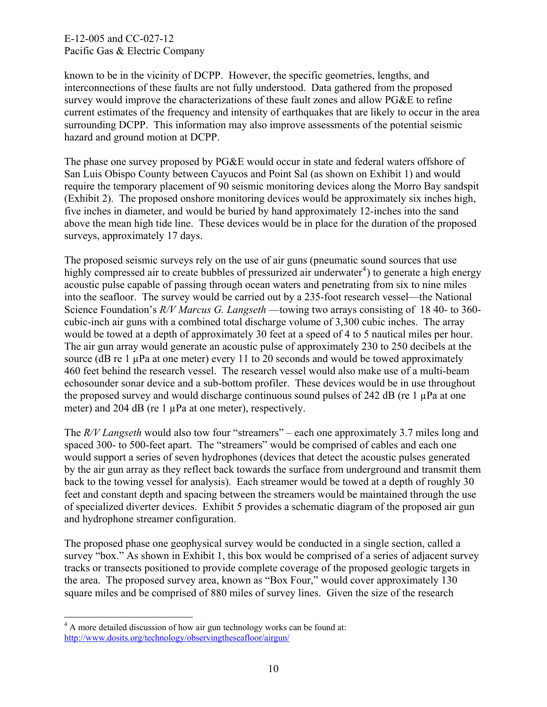known to be in the vicinity of DCPP. However, the specific geometries, lengths, and interconnections of these faults are not fully understood. Data gathered from the proposed survey would improve the characterizations of these fault zones and allow PG&E to refine current estimates of the frequency and intensity of earthquakes that are likely to occur in the area surrounding DCPP. This information may also improve assessments of the potential seismic hazard and ground motion at DCPP.

The phase one survey proposed by PG&E would occur in state and federal waters offshore of San Luis Obispo County between Cayucos and Point Sal (as shown on Exhibit 1) and would require the temporary placement of 90 seismic monitoring devices along the Morro Bay sandspit (Exhibit 2). The proposed onshore monitoring devices would be approximately six inches high, five inches in diameter, and would be buried by hand approximately 12-inches into the sand above the mean high tide line. These devices would be in place for the duration of the proposed surveys, approximately 17 days.

The proposed seismic surveys rely on the use of air guns (pneumatic sound sources that use highly compressed air to create bubbles of pressurized air underwater<sup>[4](#page-10-0)</sup>) to generate a high energy acoustic pulse capable of passing through ocean waters and penetrating from six to nine miles into the seafloor. The survey would be carried out by a 235-foot research vessel—the National Science Foundation's *R/V Marcus G. Langseth* —towing two arrays consisting of 18 40- to 360 cubic-inch air guns with a combined total discharge volume of 3,300 cubic inches. The array would be towed at a depth of approximately 30 feet at a speed of 4 to 5 nautical miles per hour. The air gun array would generate an acoustic pulse of approximately 230 to 250 decibels at the source (dB re 1 µPa at one meter) every 11 to 20 seconds and would be towed approximately 460 feet behind the research vessel. The research vessel would also make use of a multi-beam echosounder sonar device and a sub-bottom profiler. These devices would be in use throughout the proposed survey and would discharge continuous sound pulses of 242 dB (re  $1 \mu$ Pa at one meter) and 204 dB (re 1  $\mu$ Pa at one meter), respectively.

The *R/V Langseth* would also tow four "streamers" – each one approximately 3.7 miles long and spaced 300- to 500-feet apart. The "streamers" would be comprised of cables and each one would support a series of seven hydrophones (devices that detect the acoustic pulses generated by the air gun array as they reflect back towards the surface from underground and transmit them back to the towing vessel for analysis). Each streamer would be towed at a depth of roughly 30 feet and constant depth and spacing between the streamers would be maintained through the use of specialized diverter devices. Exhibit 5 provides a schematic diagram of the proposed air gun and hydrophone streamer configuration.

The proposed phase one geophysical survey would be conducted in a single section, called a survey "box." As shown in Exhibit 1, this box would be comprised of a series of adjacent survey tracks or transects positioned to provide complete coverage of the proposed geologic targets in the area. The proposed survey area, known as "Box Four," would cover approximately 130 square miles and be comprised of 880 miles of survey lines. Given the size of the research

<span id="page-10-0"></span><sup>&</sup>lt;sup>4</sup> A more detailed discussion of how air gun technology works can be found at: <http://www.dosits.org/technology/observingtheseafloor/airgun/>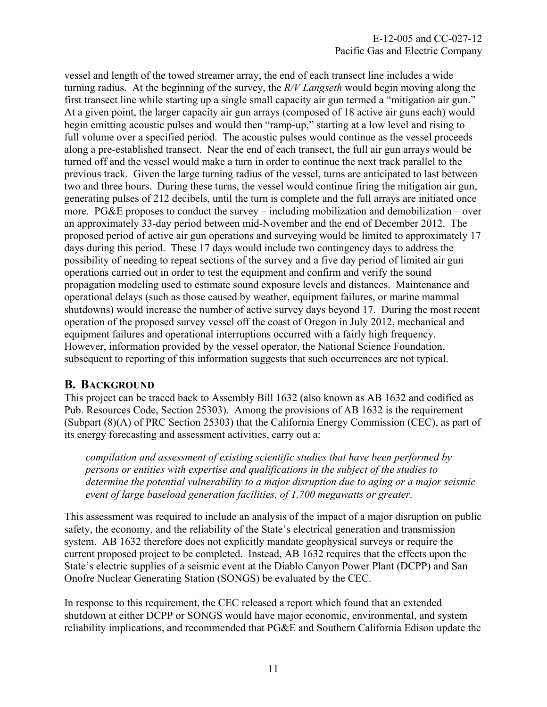vessel and length of the towed streamer array, the end of each transect line includes a wide turning radius. At the beginning of the survey, the *R/V Langseth* would begin moving along the first transect line while starting up a single small capacity air gun termed a "mitigation air gun." At a given point, the larger capacity air gun arrays (composed of 18 active air guns each) would begin emitting acoustic pulses and would then "ramp-up," starting at a low level and rising to full volume over a specified period. The acoustic pulses would continue as the vessel proceeds along a pre-established transect. Near the end of each transect, the full air gun arrays would be turned off and the vessel would make a turn in order to continue the next track parallel to the previous track. Given the large turning radius of the vessel, turns are anticipated to last between two and three hours. During these turns, the vessel would continue firing the mitigation air gun, generating pulses of 212 decibels, until the turn is complete and the full arrays are initiated once more. PG&E proposes to conduct the survey – including mobilization and demobilization – over an approximately 33-day period between mid-November and the end of December 2012. The proposed period of active air gun operations and surveying would be limited to approximately 17 days during this period. These 17 days would include two contingency days to address the possibility of needing to repeat sections of the survey and a five day period of limited air gun operations carried out in order to test the equipment and confirm and verify the sound propagation modeling used to estimate sound exposure levels and distances. Maintenance and operational delays (such as those caused by weather, equipment failures, or marine mammal shutdowns) would increase the number of active survey days beyond 17. During the most recent operation of the proposed survey vessel off the coast of Oregon in July 2012, mechanical and equipment failures and operational interruptions occurred with a fairly high frequency. However, information provided by the vessel operator, the National Science Foundation, subsequent to reporting of this information suggests that such occurrences are not typical.

# <span id="page-11-0"></span>**B. BACKGROUND**

This project can be traced back to Assembly Bill 1632 (also known as AB 1632 and codified as Pub. Resources Code, Section 25303). Among the provisions of AB 1632 is the requirement (Subpart (8)(A) of PRC Section 25303) that the California Energy Commission (CEC), as part of its energy forecasting and assessment activities, carry out a:

*compilation and assessment of existing scientific studies that have been performed by persons or entities with expertise and qualifications in the subject of the studies to determine the potential vulnerability to a major disruption due to aging or a major seismic event of large baseload generation facilities, of 1,700 megawatts or greater.* 

This assessment was required to include an analysis of the impact of a major disruption on public safety, the economy, and the reliability of the State's electrical generation and transmission system. AB 1632 therefore does not explicitly mandate geophysical surveys or require the current proposed project to be completed. Instead, AB 1632 requires that the effects upon the State's electric supplies of a seismic event at the Diablo Canyon Power Plant (DCPP) and San Onofre Nuclear Generating Station (SONGS) be evaluated by the CEC.

In response to this requirement, the CEC released a report which found that an extended shutdown at either DCPP or SONGS would have major economic, environmental, and system reliability implications, and recommended that PG&E and Southern California Edison update the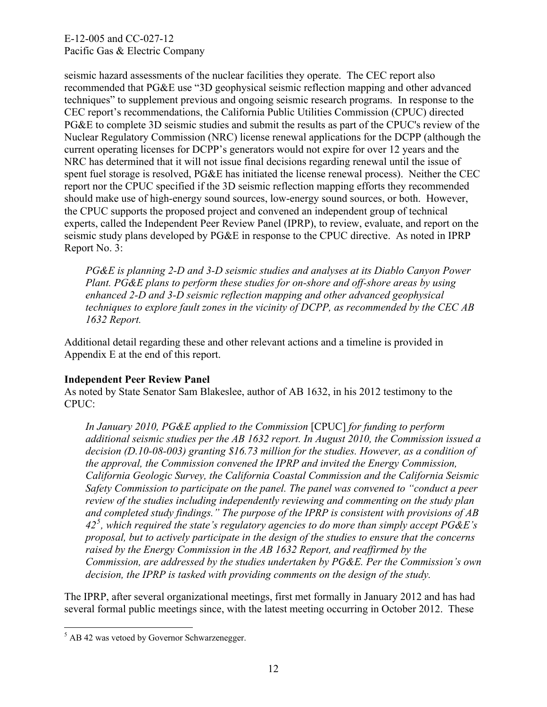seismic hazard assessments of the nuclear facilities they operate. The CEC report also recommended that PG&E use "3D geophysical seismic reflection mapping and other advanced techniques" to supplement previous and ongoing seismic research programs. In response to the CEC report's recommendations, the California Public Utilities Commission (CPUC) directed PG&E to complete 3D seismic studies and submit the results as part of the CPUC's review of the Nuclear Regulatory Commission (NRC) license renewal applications for the DCPP (although the current operating licenses for DCPP's generators would not expire for over 12 years and the NRC has determined that it will not issue final decisions regarding renewal until the issue of spent fuel storage is resolved, PG&E has initiated the license renewal process). Neither the CEC report nor the CPUC specified if the 3D seismic reflection mapping efforts they recommended should make use of high-energy sound sources, low-energy sound sources, or both. However, the CPUC supports the proposed project and convened an independent group of technical experts, called the Independent Peer Review Panel (IPRP), to review, evaluate, and report on the seismic study plans developed by PG&E in response to the CPUC directive. As noted in IPRP Report No. 3:

*PG&E is planning 2-D and 3-D seismic studies and analyses at its Diablo Canyon Power Plant. PG&E plans to perform these studies for on-shore and off-shore areas by using enhanced 2-D and 3-D seismic reflection mapping and other advanced geophysical techniques to explore fault zones in the vicinity of DCPP, as recommended by the CEC AB 1632 Report.* 

Additional detail regarding these and other relevant actions and a timeline is provided in Appendix E at the end of this report.

## **Independent Peer Review Panel**

As noted by State Senator Sam Blakeslee, author of AB 1632, in his 2012 testimony to the CPUC:

*In January 2010, PG&E applied to the Commission* [CPUC] *for funding to perform additional seismic studies per the AB 1632 report. In August 2010, the Commission issued a decision (D.10-08-003) granting \$16.73 million for the studies. However, as a condition of the approval, the Commission convened the IPRP and invited the Energy Commission, California Geologic Survey, the California Coastal Commission and the California Seismic Safety Commission to participate on the panel. The panel was convened to "conduct a peer review of the studies including independently reviewing and commenting on the study plan and completed study findings." The purpose of the IPRP is consistent with provisions of AB 42[5](#page-12-0) , which required the state's regulatory agencies to do more than simply accept PG&E's proposal, but to actively participate in the design of the studies to ensure that the concerns raised by the Energy Commission in the AB 1632 Report, and reaffirmed by the Commission, are addressed by the studies undertaken by PG&E. Per the Commission's own decision, the IPRP is tasked with providing comments on the design of the study.* 

The IPRP, after several organizational meetings, first met formally in January 2012 and has had several formal public meetings since, with the latest meeting occurring in October 2012. These

<span id="page-12-0"></span> 5 AB 42 was vetoed by Governor Schwarzenegger.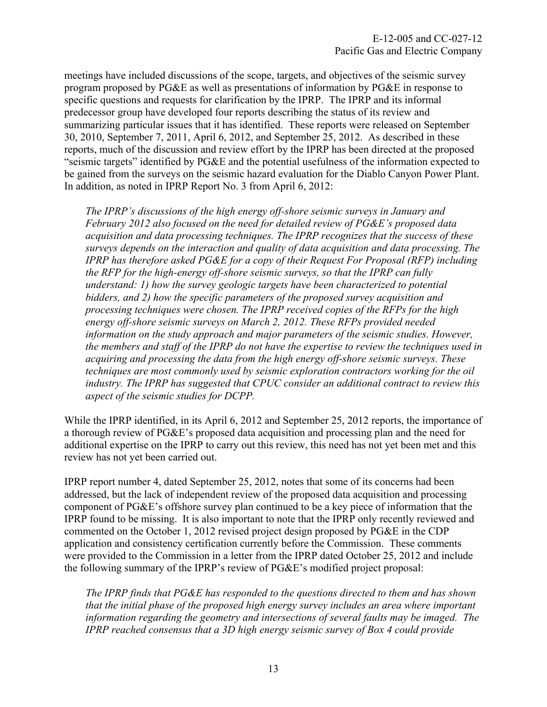meetings have included discussions of the scope, targets, and objectives of the seismic survey program proposed by PG&E as well as presentations of information by PG&E in response to specific questions and requests for clarification by the IPRP. The IPRP and its informal predecessor group have developed four reports describing the status of its review and summarizing particular issues that it has identified. These reports were released on September 30, 2010, September 7, 2011, April 6, 2012, and September 25, 2012. As described in these reports, much of the discussion and review effort by the IPRP has been directed at the proposed "seismic targets" identified by PG&E and the potential usefulness of the information expected to be gained from the surveys on the seismic hazard evaluation for the Diablo Canyon Power Plant. In addition, as noted in IPRP Report No. 3 from April 6, 2012:

*The IPRP's discussions of the high energy off-shore seismic surveys in January and February 2012 also focused on the need for detailed review of PG&E's proposed data acquisition and data processing techniques. The IPRP recognizes that the success of these surveys depends on the interaction and quality of data acquisition and data processing. The IPRP has therefore asked PG&E for a copy of their Request For Proposal (RFP) including the RFP for the high-energy off-shore seismic surveys, so that the IPRP can fully understand: 1) how the survey geologic targets have been characterized to potential bidders, and 2) how the specific parameters of the proposed survey acquisition and processing techniques were chosen. The IPRP received copies of the RFPs for the high energy off-shore seismic surveys on March 2, 2012. These RFPs provided needed information on the study approach and major parameters of the seismic studies. However, the members and staff of the IPRP do not have the expertise to review the techniques used in acquiring and processing the data from the high energy off-shore seismic surveys. These techniques are most commonly used by seismic exploration contractors working for the oil industry. The IPRP has suggested that CPUC consider an additional contract to review this aspect of the seismic studies for DCPP.* 

While the IPRP identified, in its April 6, 2012 and September 25, 2012 reports, the importance of a thorough review of PG&E's proposed data acquisition and processing plan and the need for additional expertise on the IPRP to carry out this review, this need has not yet been met and this review has not yet been carried out.

IPRP report number 4, dated September 25, 2012, notes that some of its concerns had been addressed, but the lack of independent review of the proposed data acquisition and processing component of PG&E's offshore survey plan continued to be a key piece of information that the IPRP found to be missing. It is also important to note that the IPRP only recently reviewed and commented on the October 1, 2012 revised project design proposed by PG&E in the CDP application and consistency certification currently before the Commission. These comments were provided to the Commission in a letter from the IPRP dated October 25, 2012 and include the following summary of the IPRP's review of PG&E's modified project proposal:

*The IPRP finds that PG&E has responded to the questions directed to them and has shown that the initial phase of the proposed high energy survey includes an area where important information regarding the geometry and intersections of several faults may be imaged. The IPRP reached consensus that a 3D high energy seismic survey of Box 4 could provide*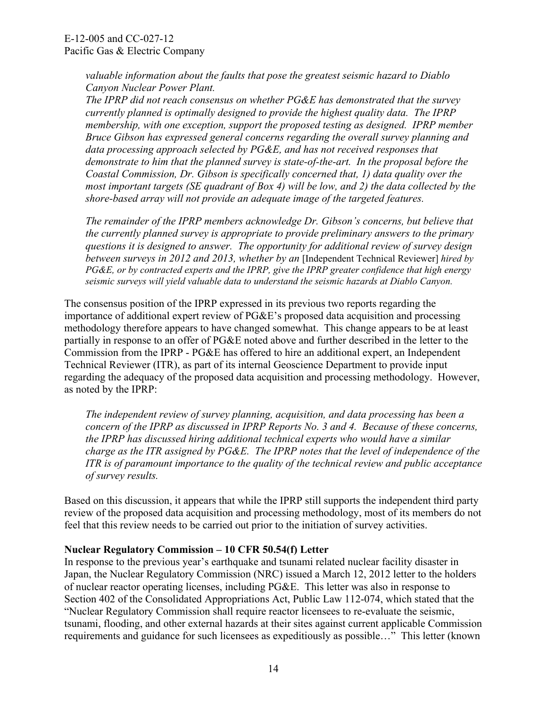*valuable information about the faults that pose the greatest seismic hazard to Diablo Canyon Nuclear Power Plant.* 

*The IPRP did not reach consensus on whether PG&E has demonstrated that the survey currently planned is optimally designed to provide the highest quality data. The IPRP membership, with one exception, support the proposed testing as designed. IPRP member Bruce Gibson has expressed general concerns regarding the overall survey planning and*  data processing approach selected by PG&E, and has not received responses that *demonstrate to him that the planned survey is state-of-the-art. In the proposal before the Coastal Commission, Dr. Gibson is specifically concerned that, 1) data quality over the most important targets (SE quadrant of Box 4) will be low, and 2) the data collected by the shore-based array will not provide an adequate image of the targeted features.* 

*The remainder of the IPRP members acknowledge Dr. Gibson's concerns, but believe that the currently planned survey is appropriate to provide preliminary answers to the primary questions it is designed to answer. The opportunity for additional review of survey design between surveys in 2012 and 2013, whether by an* [Independent Technical Reviewer] *hired by PG&E, or by contracted experts and the IPRP, give the IPRP greater confidence that high energy seismic surveys will yield valuable data to understand the seismic hazards at Diablo Canyon.* 

The consensus position of the IPRP expressed in its previous two reports regarding the importance of additional expert review of PG&E's proposed data acquisition and processing methodology therefore appears to have changed somewhat. This change appears to be at least partially in response to an offer of PG&E noted above and further described in the letter to the Commission from the IPRP - PG&E has offered to hire an additional expert, an Independent Technical Reviewer (ITR), as part of its internal Geoscience Department to provide input regarding the adequacy of the proposed data acquisition and processing methodology. However, as noted by the IPRP:

*The independent review of survey planning, acquisition, and data processing has been a concern of the IPRP as discussed in IPRP Reports No. 3 and 4. Because of these concerns, the IPRP has discussed hiring additional technical experts who would have a similar charge as the ITR assigned by PG&E. The IPRP notes that the level of independence of the ITR is of paramount importance to the quality of the technical review and public acceptance of survey results.*

Based on this discussion, it appears that while the IPRP still supports the independent third party review of the proposed data acquisition and processing methodology, most of its members do not feel that this review needs to be carried out prior to the initiation of survey activities.

## **Nuclear Regulatory Commission – 10 CFR 50.54(f) Letter**

In response to the previous year's earthquake and tsunami related nuclear facility disaster in Japan, the Nuclear Regulatory Commission (NRC) issued a March 12, 2012 letter to the holders of nuclear reactor operating licenses, including PG&E. This letter was also in response to Section 402 of the Consolidated Appropriations Act, Public Law 112-074, which stated that the "Nuclear Regulatory Commission shall require reactor licensees to re-evaluate the seismic, tsunami, flooding, and other external hazards at their sites against current applicable Commission requirements and guidance for such licensees as expeditiously as possible…" This letter (known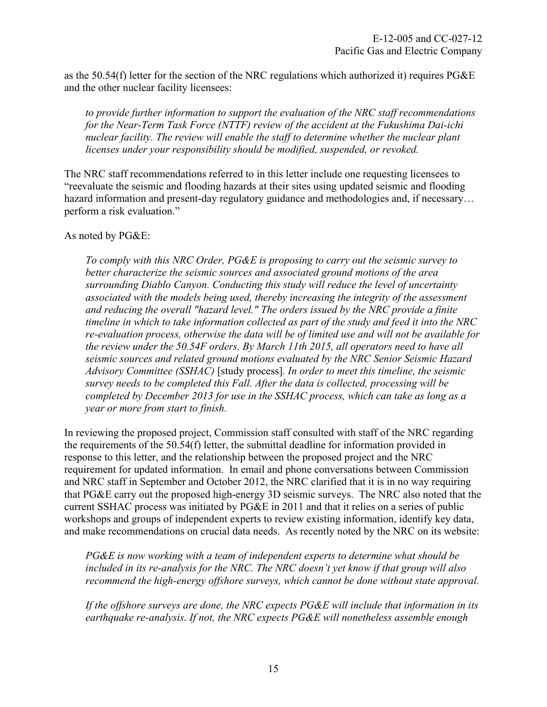as the 50.54(f) letter for the section of the NRC regulations which authorized it) requires PG&E and the other nuclear facility licensees:

*to provide further information to support the evaluation of the NRC staff recommendations for the Near-Term Task Force (NTTF) review of the accident at the Fukushima Dai-ichi nuclear facility. The review will enable the staff to determine whether the nuclear plant licenses under your responsibility should be modified, suspended, or revoked.* 

The NRC staff recommendations referred to in this letter include one requesting licensees to "reevaluate the seismic and flooding hazards at their sites using updated seismic and flooding hazard information and present-day regulatory guidance and methodologies and, if necessary… perform a risk evaluation."

As noted by PG&E:

*To comply with this NRC Order, PG&E is proposing to carry out the seismic survey to better characterize the seismic sources and associated ground motions of the area surrounding Diablo Canyon. Conducting this study will reduce the level of uncertainty associated with the models being used, thereby increasing the integrity of the assessment and reducing the overall "hazard level." The orders issued by the NRC provide a finite timeline in which to take information collected as part of the study and feed it into the NRC re-evaluation process, otherwise the data will be of limited use and will not be available for the review under the 50.54F orders. By March 11th 2015, all operators need to have all seismic sources and related ground motions evaluated by the NRC Senior Seismic Hazard Advisory Committee (SSHAC)* [study process]*. In order to meet this timeline, the seismic survey needs to be completed this Fall. After the data is collected, processing will be completed by December 2013 for use in the SSHAC process, which can take as long as a year or more from start to finish.* 

In reviewing the proposed project, Commission staff consulted with staff of the NRC regarding the requirements of the 50.54(f) letter, the submittal deadline for information provided in response to this letter, and the relationship between the proposed project and the NRC requirement for updated information. In email and phone conversations between Commission and NRC staff in September and October 2012, the NRC clarified that it is in no way requiring that PG&E carry out the proposed high-energy 3D seismic surveys. The NRC also noted that the current SSHAC process was initiated by PG&E in 2011 and that it relies on a series of public workshops and groups of independent experts to review existing information, identify key data, and make recommendations on crucial data needs. As recently noted by the NRC on its website:

*PG&E is now working with a team of independent experts to determine what should be included in its re-analysis for the NRC. The NRC doesn't yet know if that group will also recommend the high-energy offshore surveys, which cannot be done without state approval.* 

*If the offshore surveys are done, the NRC expects PG&E will include that information in its earthquake re-analysis. If not, the NRC expects PG&E will nonetheless assemble enough*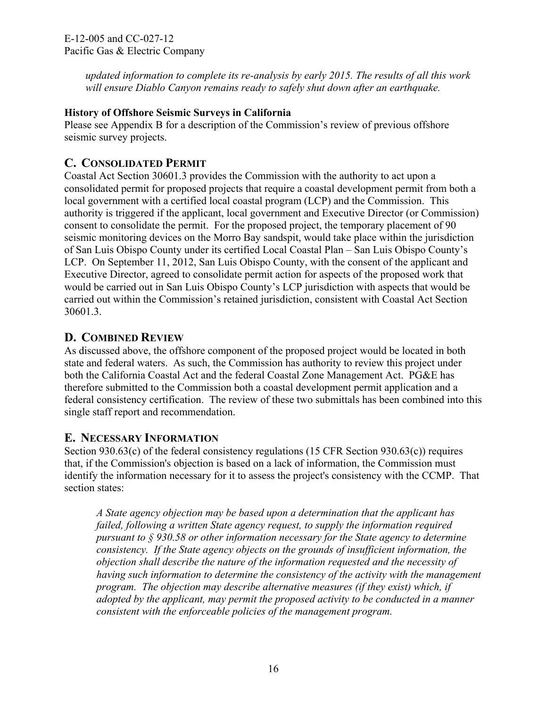*updated information to complete its re-analysis by early 2015. The results of all this work will ensure Diablo Canyon remains ready to safely shut down after an earthquake.* 

# **History of Offshore Seismic Surveys in California**

Please see Appendix B for a description of the Commission's review of previous offshore seismic survey projects.

# <span id="page-16-0"></span>**C. CONSOLIDATED PERMIT**

Coastal Act Section 30601.3 provides the Commission with the authority to act upon a consolidated permit for proposed projects that require a coastal development permit from both a local government with a certified local coastal program (LCP) and the Commission. This authority is triggered if the applicant, local government and Executive Director (or Commission) consent to consolidate the permit. For the proposed project, the temporary placement of 90 seismic monitoring devices on the Morro Bay sandspit, would take place within the jurisdiction of San Luis Obispo County under its certified Local Coastal Plan – San Luis Obispo County's LCP. On September 11, 2012, San Luis Obispo County, with the consent of the applicant and Executive Director, agreed to consolidate permit action for aspects of the proposed work that would be carried out in San Luis Obispo County's LCP jurisdiction with aspects that would be carried out within the Commission's retained jurisdiction, consistent with Coastal Act Section 30601.3.

# <span id="page-16-1"></span>**D. COMBINED REVIEW**

As discussed above, the offshore component of the proposed project would be located in both state and federal waters. As such, the Commission has authority to review this project under both the California Coastal Act and the federal Coastal Zone Management Act. PG&E has therefore submitted to the Commission both a coastal development permit application and a federal consistency certification. The review of these two submittals has been combined into this single staff report and recommendation.

# <span id="page-16-2"></span>**E. NECESSARY INFORMATION**

Section 930.63(c) of the federal consistency regulations (15 CFR Section 930.63(c)) requires that, if the Commission's objection is based on a lack of information, the Commission must identify the information necessary for it to assess the project's consistency with the CCMP. That section states:

*A State agency objection may be based upon a determination that the applicant has failed, following a written State agency request, to supply the information required pursuant to § 930.58 or other information necessary for the State agency to determine consistency. If the State agency objects on the grounds of insufficient information, the objection shall describe the nature of the information requested and the necessity of having such information to determine the consistency of the activity with the management program. The objection may describe alternative measures (if they exist) which, if adopted by the applicant, may permit the proposed activity to be conducted in a manner consistent with the enforceable policies of the management program.*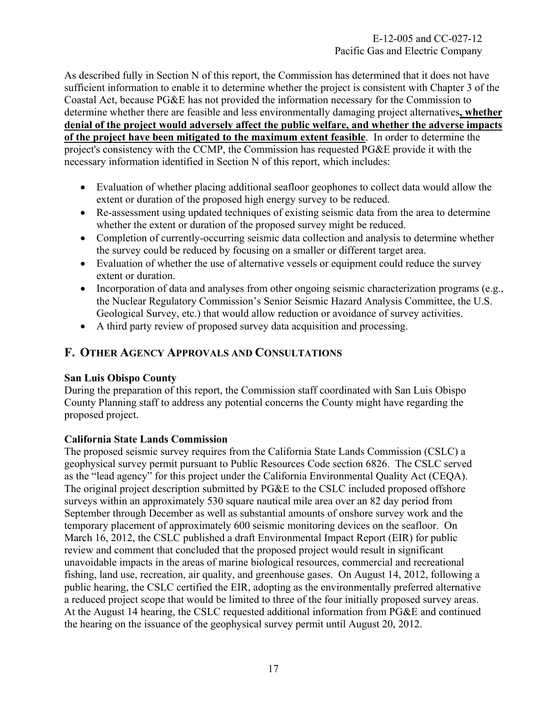As described fully in Section N of this report, the Commission has determined that it does not have sufficient information to enable it to determine whether the project is consistent with Chapter 3 of the Coastal Act, because PG&E has not provided the information necessary for the Commission to determine whether there are feasible and less environmentally damaging project alternatives**, whether denial of the project would adversely affect the public welfare, and whether the adverse impacts of the project have been mitigated to the maximum extent feasible**. In order to determine the project's consistency with the CCMP, the Commission has requested PG&E provide it with the necessary information identified in Section N of this report, which includes:

- Evaluation of whether placing additional seafloor geophones to collect data would allow the extent or duration of the proposed high energy survey to be reduced.
- Re-assessment using updated techniques of existing seismic data from the area to determine whether the extent or duration of the proposed survey might be reduced.
- Completion of currently-occurring seismic data collection and analysis to determine whether the survey could be reduced by focusing on a smaller or different target area.
- Evaluation of whether the use of alternative vessels or equipment could reduce the survey extent or duration.
- Incorporation of data and analyses from other ongoing seismic characterization programs (e.g., the Nuclear Regulatory Commission's Senior Seismic Hazard Analysis Committee, the U.S. Geological Survey, etc.) that would allow reduction or avoidance of survey activities.
- A third party review of proposed survey data acquisition and processing.

# <span id="page-17-0"></span>**F. OTHER AGENCY APPROVALS AND CONSULTATIONS**

# **San Luis Obispo County**

During the preparation of this report, the Commission staff coordinated with San Luis Obispo County Planning staff to address any potential concerns the County might have regarding the proposed project.

# **California State Lands Commission**

The proposed seismic survey requires from the California State Lands Commission (CSLC) a geophysical survey permit pursuant to Public Resources Code section 6826. The CSLC served as the "lead agency" for this project under the California Environmental Quality Act (CEQA). The original project description submitted by PG&E to the CSLC included proposed offshore surveys within an approximately 530 square nautical mile area over an 82 day period from September through December as well as substantial amounts of onshore survey work and the temporary placement of approximately 600 seismic monitoring devices on the seafloor. On March 16, 2012, the CSLC published a draft Environmental Impact Report (EIR) for public review and comment that concluded that the proposed project would result in significant unavoidable impacts in the areas of marine biological resources, commercial and recreational fishing, land use, recreation, air quality, and greenhouse gases. On August 14, 2012, following a public hearing, the CSLC certified the EIR, adopting as the environmentally preferred alternative a reduced project scope that would be limited to three of the four initially proposed survey areas. At the August 14 hearing, the CSLC requested additional information from PG&E and continued the hearing on the issuance of the geophysical survey permit until August 20, 2012.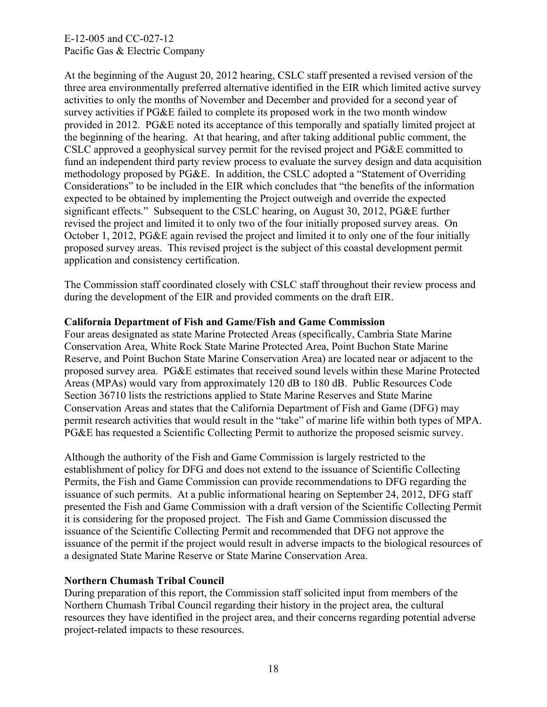At the beginning of the August 20, 2012 hearing, CSLC staff presented a revised version of the three area environmentally preferred alternative identified in the EIR which limited active survey activities to only the months of November and December and provided for a second year of survey activities if PG&E failed to complete its proposed work in the two month window provided in 2012. PG&E noted its acceptance of this temporally and spatially limited project at the beginning of the hearing. At that hearing, and after taking additional public comment, the CSLC approved a geophysical survey permit for the revised project and PG&E committed to fund an independent third party review process to evaluate the survey design and data acquisition methodology proposed by PG&E. In addition, the CSLC adopted a "Statement of Overriding Considerations" to be included in the EIR which concludes that "the benefits of the information expected to be obtained by implementing the Project outweigh and override the expected significant effects." Subsequent to the CSLC hearing, on August 30, 2012, PG&E further revised the project and limited it to only two of the four initially proposed survey areas. On October 1, 2012, PG&E again revised the project and limited it to only one of the four initially proposed survey areas. This revised project is the subject of this coastal development permit application and consistency certification.

The Commission staff coordinated closely with CSLC staff throughout their review process and during the development of the EIR and provided comments on the draft EIR.

## **California Department of Fish and Game/Fish and Game Commission**

Four areas designated as state Marine Protected Areas (specifically, Cambria State Marine Conservation Area, White Rock State Marine Protected Area, Point Buchon State Marine Reserve, and Point Buchon State Marine Conservation Area) are located near or adjacent to the proposed survey area. PG&E estimates that received sound levels within these Marine Protected Areas (MPAs) would vary from approximately 120 dB to 180 dB. Public Resources Code Section 36710 lists the restrictions applied to State Marine Reserves and State Marine Conservation Areas and states that the California Department of Fish and Game (DFG) may permit research activities that would result in the "take" of marine life within both types of MPA. PG&E has requested a Scientific Collecting Permit to authorize the proposed seismic survey.

Although the authority of the Fish and Game Commission is largely restricted to the establishment of policy for DFG and does not extend to the issuance of Scientific Collecting Permits, the Fish and Game Commission can provide recommendations to DFG regarding the issuance of such permits. At a public informational hearing on September 24, 2012, DFG staff presented the Fish and Game Commission with a draft version of the Scientific Collecting Permit it is considering for the proposed project. The Fish and Game Commission discussed the issuance of the Scientific Collecting Permit and recommended that DFG not approve the issuance of the permit if the project would result in adverse impacts to the biological resources of a designated State Marine Reserve or State Marine Conservation Area.

## **Northern Chumash Tribal Council**

During preparation of this report, the Commission staff solicited input from members of the Northern Chumash Tribal Council regarding their history in the project area, the cultural resources they have identified in the project area, and their concerns regarding potential adverse project-related impacts to these resources.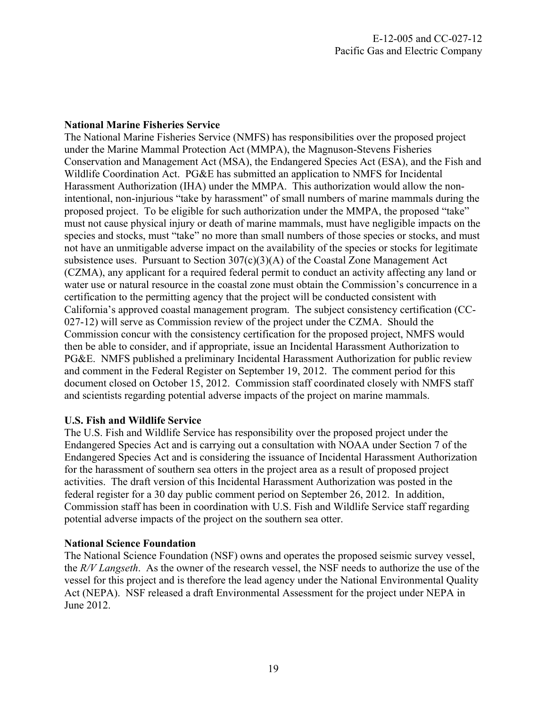## **National Marine Fisheries Service**

The National Marine Fisheries Service (NMFS) has responsibilities over the proposed project under the Marine Mammal Protection Act (MMPA), the Magnuson-Stevens Fisheries Conservation and Management Act (MSA), the Endangered Species Act (ESA), and the Fish and Wildlife Coordination Act. PG&E has submitted an application to NMFS for Incidental Harassment Authorization (IHA) under the MMPA. This authorization would allow the nonintentional, non-injurious "take by harassment" of small numbers of marine mammals during the proposed project. To be eligible for such authorization under the MMPA, the proposed "take" must not cause physical injury or death of marine mammals, must have negligible impacts on the species and stocks, must "take" no more than small numbers of those species or stocks, and must not have an unmitigable adverse impact on the availability of the species or stocks for legitimate subsistence uses. Pursuant to Section 307(c)(3)(A) of the Coastal Zone Management Act (CZMA), any applicant for a required federal permit to conduct an activity affecting any land or water use or natural resource in the coastal zone must obtain the Commission's concurrence in a certification to the permitting agency that the project will be conducted consistent with California's approved coastal management program. The subject consistency certification (CC-027-12) will serve as Commission review of the project under the CZMA. Should the Commission concur with the consistency certification for the proposed project, NMFS would then be able to consider, and if appropriate, issue an Incidental Harassment Authorization to PG&E. NMFS published a preliminary Incidental Harassment Authorization for public review and comment in the Federal Register on September 19, 2012. The comment period for this document closed on October 15, 2012. Commission staff coordinated closely with NMFS staff and scientists regarding potential adverse impacts of the project on marine mammals.

# **U.S. Fish and Wildlife Service**

The U.S. Fish and Wildlife Service has responsibility over the proposed project under the Endangered Species Act and is carrying out a consultation with NOAA under Section 7 of the Endangered Species Act and is considering the issuance of Incidental Harassment Authorization for the harassment of southern sea otters in the project area as a result of proposed project activities. The draft version of this Incidental Harassment Authorization was posted in the federal register for a 30 day public comment period on September 26, 2012. In addition, Commission staff has been in coordination with U.S. Fish and Wildlife Service staff regarding potential adverse impacts of the project on the southern sea otter.

## **National Science Foundation**

The National Science Foundation (NSF) owns and operates the proposed seismic survey vessel, the *R/V Langseth*. As the owner of the research vessel, the NSF needs to authorize the use of the vessel for this project and is therefore the lead agency under the National Environmental Quality Act (NEPA). NSF released a draft Environmental Assessment for the project under NEPA in June 2012.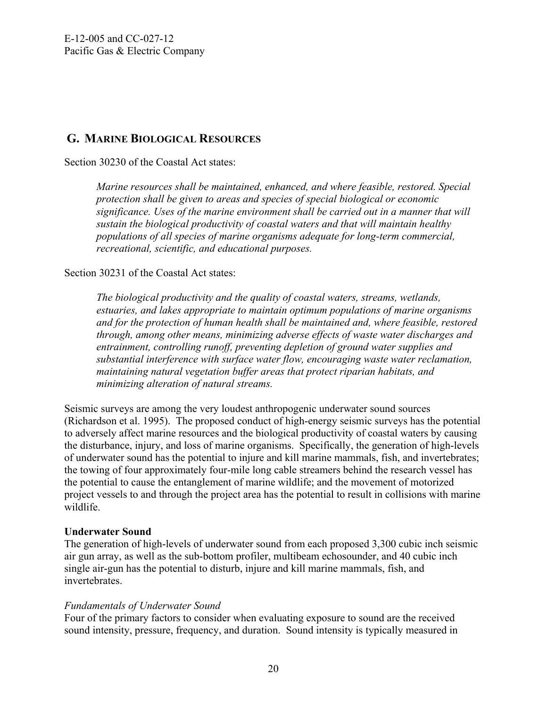# <span id="page-20-0"></span>**G. MARINE BIOLOGICAL RESOURCES**

Section 30230 of the Coastal Act states:

*Marine resources shall be maintained, enhanced, and where feasible, restored. Special protection shall be given to areas and species of special biological or economic significance. Uses of the marine environment shall be carried out in a manner that will sustain the biological productivity of coastal waters and that will maintain healthy populations of all species of marine organisms adequate for long-term commercial, recreational, scientific, and educational purposes.* 

# Section 30231 of the Coastal Act states:

*The biological productivity and the quality of coastal waters, streams, wetlands, estuaries, and lakes appropriate to maintain optimum populations of marine organisms and for the protection of human health shall be maintained and, where feasible, restored through, among other means, minimizing adverse effects of waste water discharges and entrainment, controlling runoff, preventing depletion of ground water supplies and substantial interference with surface water flow, encouraging waste water reclamation, maintaining natural vegetation buffer areas that protect riparian habitats, and minimizing alteration of natural streams.* 

Seismic surveys are among the very loudest anthropogenic underwater sound sources (Richardson et al. 1995). The proposed conduct of high-energy seismic surveys has the potential to adversely affect marine resources and the biological productivity of coastal waters by causing the disturbance, injury, and loss of marine organisms. Specifically, the generation of high-levels of underwater sound has the potential to injure and kill marine mammals, fish, and invertebrates; the towing of four approximately four-mile long cable streamers behind the research vessel has the potential to cause the entanglement of marine wildlife; and the movement of motorized project vessels to and through the project area has the potential to result in collisions with marine wildlife.

## **Underwater Sound**

The generation of high-levels of underwater sound from each proposed 3,300 cubic inch seismic air gun array, as well as the sub-bottom profiler, multibeam echosounder, and 40 cubic inch single air-gun has the potential to disturb, injure and kill marine mammals, fish, and invertebrates.

# *Fundamentals of Underwater Sound*

Four of the primary factors to consider when evaluating exposure to sound are the received sound intensity, pressure, frequency, and duration. Sound intensity is typically measured in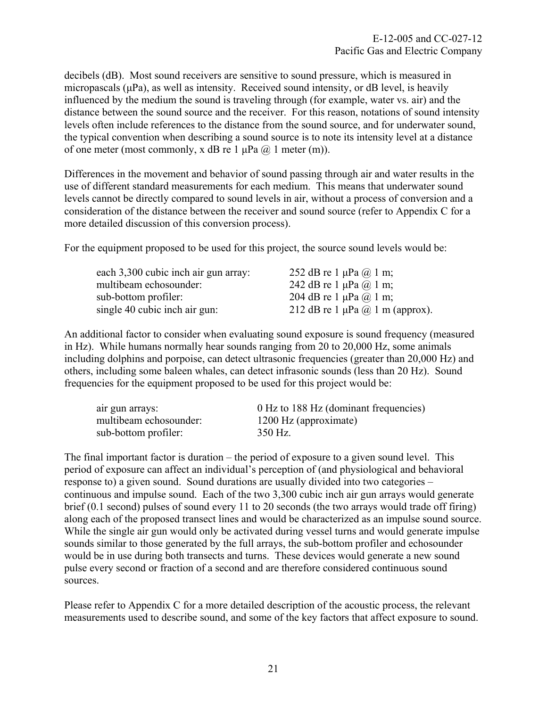decibels (dB). Most sound receivers are sensitive to sound pressure, which is measured in micropascals (μPa), as well as intensity. Received sound intensity, or dB level, is heavily influenced by the medium the sound is traveling through (for example, water vs. air) and the distance between the sound source and the receiver. For this reason, notations of sound intensity levels often include references to the distance from the sound source, and for underwater sound, the typical convention when describing a sound source is to note its intensity level at a distance of one meter (most commonly, x dB re 1  $\mu$ Pa  $\omega$ ) 1 meter (m)).

Differences in the movement and behavior of sound passing through air and water results in the use of different standard measurements for each medium. This means that underwater sound levels cannot be directly compared to sound levels in air, without a process of conversion and a consideration of the distance between the receiver and sound source (refer to Appendix C for a more detailed discussion of this conversion process).

For the equipment proposed to be used for this project, the source sound levels would be:

| 252 dB re 1 $\mu$ Pa $\omega$ 1 m;          |
|---------------------------------------------|
| 242 dB re 1 $\mu$ Pa $\omega$ 1 m;          |
| 204 dB re 1 $\mu$ Pa $\omega$ 1 m;          |
| 212 dB re 1 $\mu$ Pa $\omega$ 1 m (approx). |
|                                             |

An additional factor to consider when evaluating sound exposure is sound frequency (measured in Hz). While humans normally hear sounds ranging from 20 to 20,000 Hz, some animals including dolphins and porpoise, can detect ultrasonic frequencies (greater than 20,000 Hz) and others, including some baleen whales, can detect infrasonic sounds (less than 20 Hz). Sound frequencies for the equipment proposed to be used for this project would be:

| air gun arrays:        | 0 Hz to 188 Hz (dominant frequencies) |
|------------------------|---------------------------------------|
| multibeam echosounder: | 1200 Hz (approximate)                 |
| sub-bottom profiler:   | 350 Hz.                               |

The final important factor is duration – the period of exposure to a given sound level. This period of exposure can affect an individual's perception of (and physiological and behavioral response to) a given sound. Sound durations are usually divided into two categories – continuous and impulse sound. Each of the two 3,300 cubic inch air gun arrays would generate brief (0.1 second) pulses of sound every 11 to 20 seconds (the two arrays would trade off firing) along each of the proposed transect lines and would be characterized as an impulse sound source. While the single air gun would only be activated during vessel turns and would generate impulse sounds similar to those generated by the full arrays, the sub-bottom profiler and echosounder would be in use during both transects and turns. These devices would generate a new sound pulse every second or fraction of a second and are therefore considered continuous sound sources.

Please refer to Appendix C for a more detailed description of the acoustic process, the relevant measurements used to describe sound, and some of the key factors that affect exposure to sound.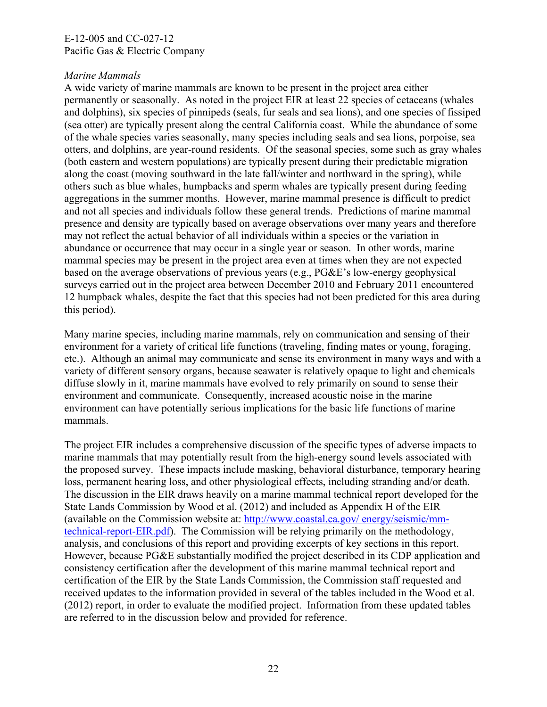# *Marine Mammals*

A wide variety of marine mammals are known to be present in the project area either permanently or seasonally. As noted in the project EIR at least 22 species of cetaceans (whales and dolphins), six species of pinnipeds (seals, fur seals and sea lions), and one species of fissiped (sea otter) are typically present along the central California coast. While the abundance of some of the whale species varies seasonally, many species including seals and sea lions, porpoise, sea otters, and dolphins, are year-round residents. Of the seasonal species, some such as gray whales (both eastern and western populations) are typically present during their predictable migration along the coast (moving southward in the late fall/winter and northward in the spring), while others such as blue whales, humpbacks and sperm whales are typically present during feeding aggregations in the summer months. However, marine mammal presence is difficult to predict and not all species and individuals follow these general trends. Predictions of marine mammal presence and density are typically based on average observations over many years and therefore may not reflect the actual behavior of all individuals within a species or the variation in abundance or occurrence that may occur in a single year or season. In other words, marine mammal species may be present in the project area even at times when they are not expected based on the average observations of previous years (e.g., PG&E's low-energy geophysical surveys carried out in the project area between December 2010 and February 2011 encountered 12 humpback whales, despite the fact that this species had not been predicted for this area during this period).

Many marine species, including marine mammals, rely on communication and sensing of their environment for a variety of critical life functions (traveling, finding mates or young, foraging, etc.). Although an animal may communicate and sense its environment in many ways and with a variety of different sensory organs, because seawater is relatively opaque to light and chemicals diffuse slowly in it, marine mammals have evolved to rely primarily on sound to sense their environment and communicate. Consequently, increased acoustic noise in the marine environment can have potentially serious implications for the basic life functions of marine mammals.

The project EIR includes a comprehensive discussion of the specific types of adverse impacts to marine mammals that may potentially result from the high-energy sound levels associated with the proposed survey. These impacts include masking, behavioral disturbance, temporary hearing loss, permanent hearing loss, and other physiological effects, including stranding and/or death. The discussion in the EIR draws heavily on a marine mammal technical report developed for the State Lands Commission by Wood et al. (2012) and included as Appendix H of the EIR (available on the Commission website at: [http://www.coastal.ca.gov/ energy/seismic/mm](http://www.coastal.ca.gov/%20energy/seismic/mm-technical-report-EIR.pdf)[technical-report-EIR.pdf](http://www.coastal.ca.gov/%20energy/seismic/mm-technical-report-EIR.pdf)). The Commission will be relying primarily on the methodology, analysis, and conclusions of this report and providing excerpts of key sections in this report. However, because PG&E substantially modified the project described in its CDP application and consistency certification after the development of this marine mammal technical report and certification of the EIR by the State Lands Commission, the Commission staff requested and received updates to the information provided in several of the tables included in the Wood et al. (2012) report, in order to evaluate the modified project. Information from these updated tables are referred to in the discussion below and provided for reference.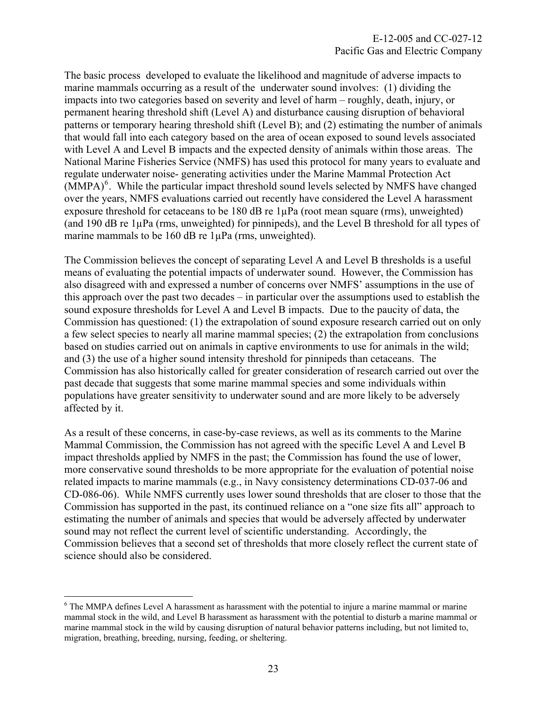The basic process developed to evaluate the likelihood and magnitude of adverse impacts to marine mammals occurring as a result of the underwater sound involves: (1) dividing the impacts into two categories based on severity and level of harm – roughly, death, injury, or permanent hearing threshold shift (Level A) and disturbance causing disruption of behavioral patterns or temporary hearing threshold shift (Level B); and (2) estimating the number of animals that would fall into each category based on the area of ocean exposed to sound levels associated with Level A and Level B impacts and the expected density of animals within those areas. The National Marine Fisheries Service (NMFS) has used this protocol for many years to evaluate and regulate underwater noise- generating activities under the Marine Mammal Protection Act (MMPA)<sup>[6](#page-23-0)</sup>. While the particular impact threshold sound levels selected by NMFS have changed over the years, NMFS evaluations carried out recently have considered the Level A harassment exposure threshold for cetaceans to be 180 dB re  $1\mu Pa$  (root mean square (rms), unweighted) (and 190 dB re 1µPa (rms, unweighted) for pinnipeds), and the Level B threshold for all types of marine mammals to be 160 dB re 1µPa (rms, unweighted).

The Commission believes the concept of separating Level A and Level B thresholds is a useful means of evaluating the potential impacts of underwater sound. However, the Commission has also disagreed with and expressed a number of concerns over NMFS' assumptions in the use of this approach over the past two decades – in particular over the assumptions used to establish the sound exposure thresholds for Level A and Level B impacts. Due to the paucity of data, the Commission has questioned: (1) the extrapolation of sound exposure research carried out on only a few select species to nearly all marine mammal species; (2) the extrapolation from conclusions based on studies carried out on animals in captive environments to use for animals in the wild; and (3) the use of a higher sound intensity threshold for pinnipeds than cetaceans. The Commission has also historically called for greater consideration of research carried out over the past decade that suggests that some marine mammal species and some individuals within populations have greater sensitivity to underwater sound and are more likely to be adversely affected by it.

As a result of these concerns, in case-by-case reviews, as well as its comments to the Marine Mammal Commission, the Commission has not agreed with the specific Level A and Level B impact thresholds applied by NMFS in the past; the Commission has found the use of lower, more conservative sound thresholds to be more appropriate for the evaluation of potential noise related impacts to marine mammals (e.g., in Navy consistency determinations CD-037-06 and CD-086-06). While NMFS currently uses lower sound thresholds that are closer to those that the Commission has supported in the past, its continued reliance on a "one size fits all" approach to estimating the number of animals and species that would be adversely affected by underwater sound may not reflect the current level of scientific understanding. Accordingly, the Commission believes that a second set of thresholds that more closely reflect the current state of science should also be considered.

 $\overline{a}$ 

<span id="page-23-0"></span><sup>&</sup>lt;sup>6</sup> The MMPA defines Level A harassment as harassment with the potential to injure a marine mammal or marine mammal stock in the wild, and Level B harassment as harassment with the potential to disturb a marine mammal or marine mammal stock in the wild by causing disruption of natural behavior patterns including, but not limited to, migration, breathing, breeding, nursing, feeding, or sheltering.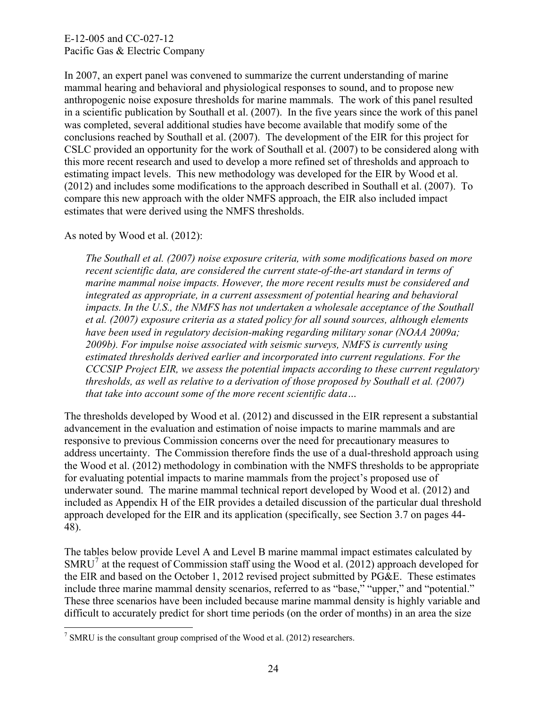In 2007, an expert panel was convened to summarize the current understanding of marine mammal hearing and behavioral and physiological responses to sound, and to propose new anthropogenic noise exposure thresholds for marine mammals. The work of this panel resulted in a scientific publication by Southall et al. (2007). In the five years since the work of this panel was completed, several additional studies have become available that modify some of the conclusions reached by Southall et al. (2007). The development of the EIR for this project for CSLC provided an opportunity for the work of Southall et al. (2007) to be considered along with this more recent research and used to develop a more refined set of thresholds and approach to estimating impact levels. This new methodology was developed for the EIR by Wood et al. (2012) and includes some modifications to the approach described in Southall et al. (2007). To compare this new approach with the older NMFS approach, the EIR also included impact estimates that were derived using the NMFS thresholds.

As noted by Wood et al. (2012):

 $\overline{a}$ 

*The Southall et al. (2007) noise exposure criteria, with some modifications based on more recent scientific data, are considered the current state-of-the-art standard in terms of marine mammal noise impacts. However, the more recent results must be considered and integrated as appropriate, in a current assessment of potential hearing and behavioral impacts. In the U.S., the NMFS has not undertaken a wholesale acceptance of the Southall et al. (2007) exposure criteria as a stated policy for all sound sources, although elements have been used in regulatory decision-making regarding military sonar (NOAA 2009a; 2009b). For impulse noise associated with seismic surveys, NMFS is currently using estimated thresholds derived earlier and incorporated into current regulations. For the CCCSIP Project EIR, we assess the potential impacts according to these current regulatory thresholds, as well as relative to a derivation of those proposed by Southall et al. (2007) that take into account some of the more recent scientific data…* 

The thresholds developed by Wood et al. (2012) and discussed in the EIR represent a substantial advancement in the evaluation and estimation of noise impacts to marine mammals and are responsive to previous Commission concerns over the need for precautionary measures to address uncertainty. The Commission therefore finds the use of a dual-threshold approach using the Wood et al. (2012) methodology in combination with the NMFS thresholds to be appropriate for evaluating potential impacts to marine mammals from the project's proposed use of underwater sound. The marine mammal technical report developed by Wood et al. (2012) and included as Appendix H of the EIR provides a detailed discussion of the particular dual threshold approach developed for the EIR and its application (specifically, see Section 3.7 on pages 44- 48).

The tables below provide Level A and Level B marine mammal impact estimates calculated by SMRU<sup>[7](#page-24-0)</sup> at the request of Commission staff using the Wood et al. (2012) approach developed for the EIR and based on the October 1, 2012 revised project submitted by PG&E. These estimates include three marine mammal density scenarios, referred to as "base," "upper," and "potential." These three scenarios have been included because marine mammal density is highly variable and difficult to accurately predict for short time periods (on the order of months) in an area the size

<span id="page-24-0"></span><sup>&</sup>lt;sup>7</sup> SMRU is the consultant group comprised of the Wood et al. (2012) researchers.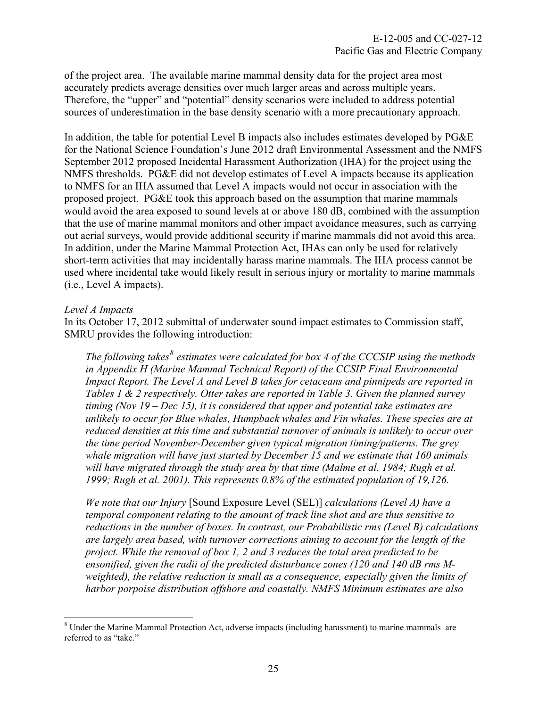of the project area. The available marine mammal density data for the project area most accurately predicts average densities over much larger areas and across multiple years. Therefore, the "upper" and "potential" density scenarios were included to address potential sources of underestimation in the base density scenario with a more precautionary approach.

In addition, the table for potential Level B impacts also includes estimates developed by PG&E for the National Science Foundation's June 2012 draft Environmental Assessment and the NMFS September 2012 proposed Incidental Harassment Authorization (IHA) for the project using the NMFS thresholds. PG&E did not develop estimates of Level A impacts because its application to NMFS for an IHA assumed that Level A impacts would not occur in association with the proposed project. PG&E took this approach based on the assumption that marine mammals would avoid the area exposed to sound levels at or above 180 dB, combined with the assumption that the use of marine mammal monitors and other impact avoidance measures, such as carrying out aerial surveys, would provide additional security if marine mammals did not avoid this area. In addition, under the Marine Mammal Protection Act, IHAs can only be used for relatively short-term activities that may incidentally harass marine mammals. The IHA process cannot be used where incidental take would likely result in serious injury or mortality to marine mammals (i.e., Level A impacts).

#### *Level A Impacts*

 $\overline{a}$ 

In its October 17, 2012 submittal of underwater sound impact estimates to Commission staff, SMRU provides the following introduction:

The following takes<sup>[8](#page-25-0)</sup> estimates were calculated for box 4 of the CCCSIP using the methods *in Appendix H (Marine Mammal Technical Report) of the CCSIP Final Environmental Impact Report. The Level A and Level B takes for cetaceans and pinnipeds are reported in Tables 1 & 2 respectively. Otter takes are reported in Table 3. Given the planned survey timing (Nov 19 – Dec 15), it is considered that upper and potential take estimates are unlikely to occur for Blue whales, Humpback whales and Fin whales. These species are at reduced densities at this time and substantial turnover of animals is unlikely to occur over the time period November-December given typical migration timing/patterns. The grey whale migration will have just started by December 15 and we estimate that 160 animals*  will have migrated through the study area by that time (Malme et al. 1984; Rugh et al. *1999; Rugh et al. 2001). This represents 0.8% of the estimated population of 19,126.* 

*We note that our Injury* [Sound Exposure Level (SEL)] *calculations (Level A) have a temporal component relating to the amount of track line shot and are thus sensitive to reductions in the number of boxes. In contrast, our Probabilistic rms (Level B) calculations are largely area based, with turnover corrections aiming to account for the length of the project. While the removal of box 1, 2 and 3 reduces the total area predicted to be ensonified, given the radii of the predicted disturbance zones (120 and 140 dB rms Mweighted), the relative reduction is small as a consequence, especially given the limits of harbor porpoise distribution offshore and coastally. NMFS Minimum estimates are also* 

<span id="page-25-0"></span><sup>&</sup>lt;sup>8</sup> Under the Marine Mammal Protection Act, adverse impacts (including harassment) to marine mammals are referred to as "take."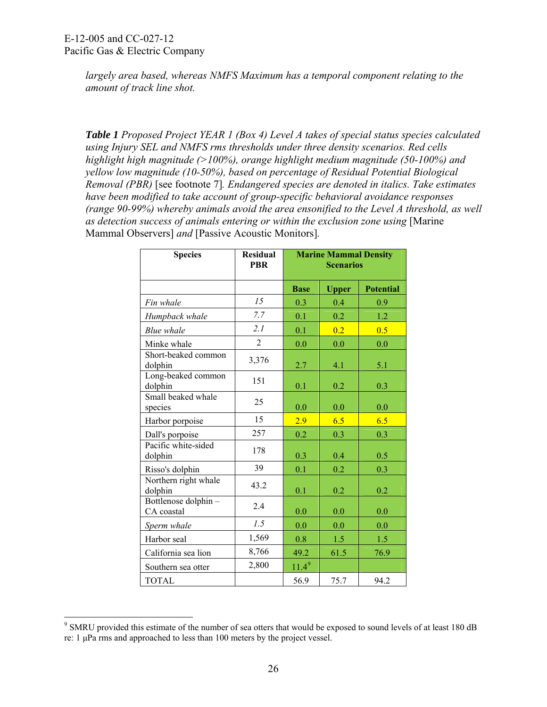$\overline{a}$ 

*largely area based, whereas NMFS Maximum has a temporal component relating to the amount of track line shot.* 

*Table 1 Proposed Project YEAR 1 (Box 4) Level A takes of special status species calculated using Injury SEL and NMFS rms thresholds under three density scenarios. Red cells highlight high magnitude (>100%), orange highlight medium magnitude (50-100%) and yellow low magnitude (10-50%), based on percentage of Residual Potential Biological Removal (PBR)* [see footnote 7]*. Endangered species are denoted in italics. Take estimates have been modified to take account of group-specific behavioral avoidance responses (range 90-99%) whereby animals avoid the area ensonified to the Level A threshold, as well as detection success of animals entering or within the exclusion zone using* [Marine Mammal Observers] *and* [Passive Acoustic Monitors]*.* 

| <b>Species</b>                     | <b>Residual</b><br><b>PBR</b> | <b>Marine Mammal Density</b><br><b>Scenarios</b> |              |                  |
|------------------------------------|-------------------------------|--------------------------------------------------|--------------|------------------|
|                                    |                               | <b>Base</b>                                      | <b>Upper</b> | <b>Potential</b> |
| Fin whale                          | 15                            | 0.3                                              | 0.4          | 0.9              |
| Humpback whale                     | 7.7                           | 0.1                                              | 0.2          | 1.2              |
| Blue whale                         | 2.1                           | 0.1                                              | 0.2          | 0.5              |
| Minke whale                        | $\overline{2}$                | 0.0                                              | 0.0          | 0.0              |
| Short-beaked common<br>dolphin     | 3,376                         | 2.7                                              | 4.1          | 5.1              |
| Long-beaked common<br>dolphin      | 151                           | 0.1                                              | 0.2          | 0.3              |
| Small beaked whale<br>species      | 25                            | 0.0                                              | 0.0          | 0.0              |
| Harbor porpoise                    | 15                            | 2.9                                              | 6.5          | 6.5              |
| Dall's porpoise                    | 257                           | 0.2                                              | 0.3          | 0.3              |
| Pacific white-sided<br>dolphin     | 178                           | 0.3                                              | 0.4          | 0.5              |
| Risso's dolphin                    | 39                            | 0.1                                              | 0.2          | 0.3              |
| Northern right whale<br>dolphin    | 43.2                          | 0.1                                              | 0.2          | $0.2\,$          |
| Bottlenose dolphin -<br>CA coastal | 2.4                           | 0.0                                              | 0.0          | 0.0              |
| Sperm whale                        | 1.5                           | 0.0                                              | 0.0          | 0.0              |
| Harbor seal                        | 1,569                         | 0.8                                              | 1.5          | 1.5              |
| California sea lion                | 8,766                         | 49.2                                             | 61.5         | 76.9             |
| Southern sea otter                 | 2,800                         | $11.4^9$                                         |              |                  |
| <b>TOTAL</b>                       |                               | 56.9                                             | 75.7         | 94.2             |

<span id="page-26-0"></span><sup>&</sup>lt;sup>9</sup> SMRU provided this estimate of the number of sea otters that would be exposed to sound levels of at least 180 dB re: 1 μPa rms and approached to less than 100 meters by the project vessel.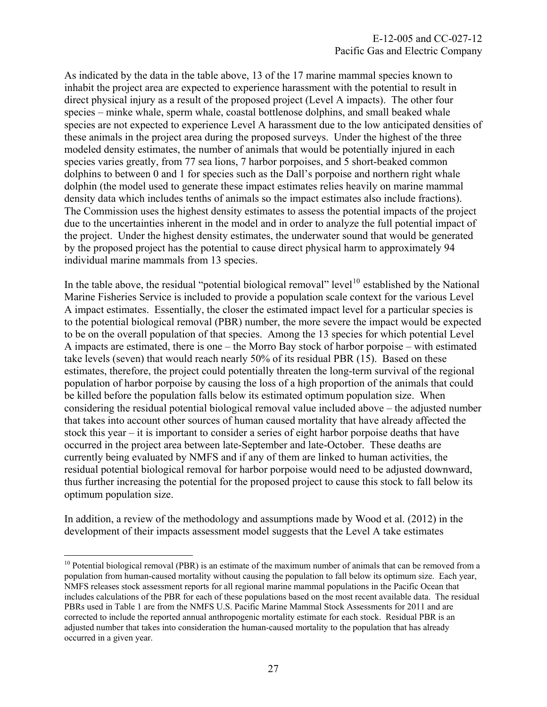As indicated by the data in the table above, 13 of the 17 marine mammal species known to inhabit the project area are expected to experience harassment with the potential to result in direct physical injury as a result of the proposed project (Level A impacts). The other four species – minke whale, sperm whale, coastal bottlenose dolphins, and small beaked whale species are not expected to experience Level A harassment due to the low anticipated densities of these animals in the project area during the proposed surveys. Under the highest of the three modeled density estimates, the number of animals that would be potentially injured in each species varies greatly, from 77 sea lions, 7 harbor porpoises, and 5 short-beaked common dolphins to between 0 and 1 for species such as the Dall's porpoise and northern right whale dolphin (the model used to generate these impact estimates relies heavily on marine mammal density data which includes tenths of animals so the impact estimates also include fractions). The Commission uses the highest density estimates to assess the potential impacts of the project due to the uncertainties inherent in the model and in order to analyze the full potential impact of the project. Under the highest density estimates, the underwater sound that would be generated by the proposed project has the potential to cause direct physical harm to approximately 94 individual marine mammals from 13 species.

In the table above, the residual "potential biological removal" level<sup>[10](#page-27-0)</sup> established by the National Marine Fisheries Service is included to provide a population scale context for the various Level A impact estimates. Essentially, the closer the estimated impact level for a particular species is to the potential biological removal (PBR) number, the more severe the impact would be expected to be on the overall population of that species. Among the 13 species for which potential Level A impacts are estimated, there is one – the Morro Bay stock of harbor porpoise – with estimated take levels (seven) that would reach nearly 50% of its residual PBR (15). Based on these estimates, therefore, the project could potentially threaten the long-term survival of the regional population of harbor porpoise by causing the loss of a high proportion of the animals that could be killed before the population falls below its estimated optimum population size. When considering the residual potential biological removal value included above – the adjusted number that takes into account other sources of human caused mortality that have already affected the stock this year – it is important to consider a series of eight harbor porpoise deaths that have occurred in the project area between late-September and late-October. These deaths are currently being evaluated by NMFS and if any of them are linked to human activities, the residual potential biological removal for harbor porpoise would need to be adjusted downward, thus further increasing the potential for the proposed project to cause this stock to fall below its optimum population size.

In addition, a review of the methodology and assumptions made by Wood et al. (2012) in the development of their impacts assessment model suggests that the Level A take estimates

 $\overline{a}$ 

<span id="page-27-0"></span> $10$  Potential biological removal (PBR) is an estimate of the maximum number of animals that can be removed from a population from human-caused mortality without causing the population to fall below its optimum size. Each year, NMFS releases stock assessment reports for all regional marine mammal populations in the Pacific Ocean that includes calculations of the PBR for each of these populations based on the most recent available data. The residual PBRs used in Table 1 are from the NMFS U.S. Pacific Marine Mammal Stock Assessments for 2011 and are corrected to include the reported annual anthropogenic mortality estimate for each stock. Residual PBR is an adjusted number that takes into consideration the human-caused mortality to the population that has already occurred in a given year.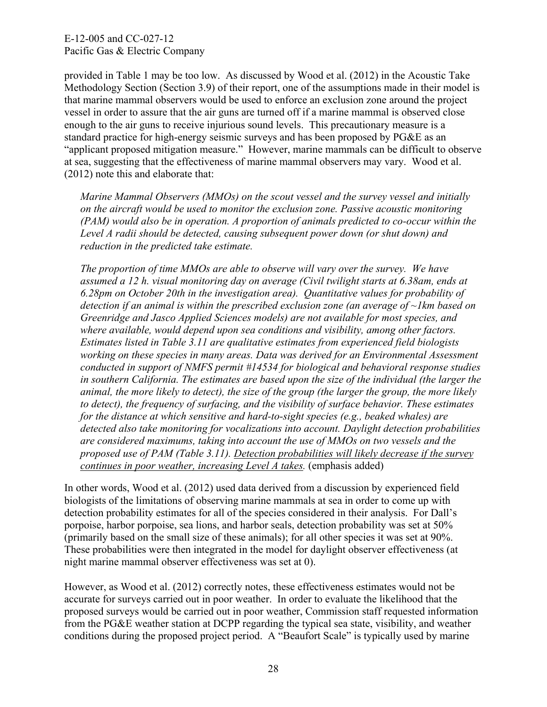provided in Table 1 may be too low. As discussed by Wood et al. (2012) in the Acoustic Take Methodology Section (Section 3.9) of their report, one of the assumptions made in their model is that marine mammal observers would be used to enforce an exclusion zone around the project vessel in order to assure that the air guns are turned off if a marine mammal is observed close enough to the air guns to receive injurious sound levels. This precautionary measure is a standard practice for high-energy seismic surveys and has been proposed by PG&E as an "applicant proposed mitigation measure." However, marine mammals can be difficult to observe at sea, suggesting that the effectiveness of marine mammal observers may vary. Wood et al. (2012) note this and elaborate that:

*Marine Mammal Observers (MMOs) on the scout vessel and the survey vessel and initially on the aircraft would be used to monitor the exclusion zone. Passive acoustic monitoring (PAM) would also be in operation. A proportion of animals predicted to co-occur within the Level A radii should be detected, causing subsequent power down (or shut down) and reduction in the predicted take estimate.* 

*The proportion of time MMOs are able to observe will vary over the survey. We have assumed a 12 h. visual monitoring day on average (Civil twilight starts at 6.38am, ends at 6.28pm on October 20th in the investigation area). Quantitative values for probability of detection if an animal is within the prescribed exclusion zone (an average of ~1km based on Greenridge and Jasco Applied Sciences models) are not available for most species, and where available, would depend upon sea conditions and visibility, among other factors. Estimates listed in Table 3.11 are qualitative estimates from experienced field biologists working on these species in many areas. Data was derived for an Environmental Assessment conducted in support of NMFS permit #14534 for biological and behavioral response studies in southern California. The estimates are based upon the size of the individual (the larger the animal, the more likely to detect), the size of the group (the larger the group, the more likely to detect), the frequency of surfacing, and the visibility of surface behavior. These estimates for the distance at which sensitive and hard-to-sight species (e.g., beaked whales) are detected also take monitoring for vocalizations into account. Daylight detection probabilities are considered maximums, taking into account the use of MMOs on two vessels and the proposed use of PAM (Table 3.11). Detection probabilities will likely decrease if the survey continues in poor weather, increasing Level A takes.* (emphasis added)

In other words, Wood et al. (2012) used data derived from a discussion by experienced field biologists of the limitations of observing marine mammals at sea in order to come up with detection probability estimates for all of the species considered in their analysis. For Dall's porpoise, harbor porpoise, sea lions, and harbor seals, detection probability was set at 50% (primarily based on the small size of these animals); for all other species it was set at 90%. These probabilities were then integrated in the model for daylight observer effectiveness (at night marine mammal observer effectiveness was set at 0).

However, as Wood et al. (2012) correctly notes, these effectiveness estimates would not be accurate for surveys carried out in poor weather. In order to evaluate the likelihood that the proposed surveys would be carried out in poor weather, Commission staff requested information from the PG&E weather station at DCPP regarding the typical sea state, visibility, and weather conditions during the proposed project period. A "Beaufort Scale" is typically used by marine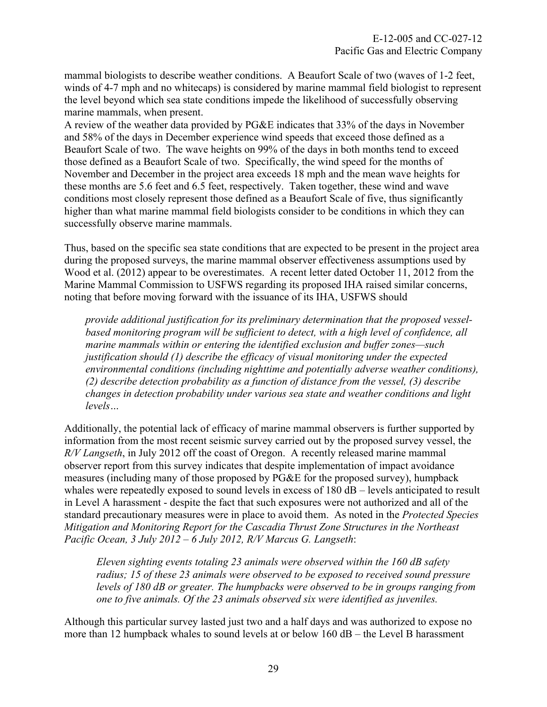mammal biologists to describe weather conditions. A Beaufort Scale of two (waves of 1-2 feet, winds of 4-7 mph and no whitecaps) is considered by marine mammal field biologist to represent the level beyond which sea state conditions impede the likelihood of successfully observing marine mammals, when present.

A review of the weather data provided by PG&E indicates that 33% of the days in November and 58% of the days in December experience wind speeds that exceed those defined as a Beaufort Scale of two. The wave heights on 99% of the days in both months tend to exceed those defined as a Beaufort Scale of two. Specifically, the wind speed for the months of November and December in the project area exceeds 18 mph and the mean wave heights for these months are 5.6 feet and 6.5 feet, respectively. Taken together, these wind and wave conditions most closely represent those defined as a Beaufort Scale of five, thus significantly higher than what marine mammal field biologists consider to be conditions in which they can successfully observe marine mammals.

Thus, based on the specific sea state conditions that are expected to be present in the project area during the proposed surveys, the marine mammal observer effectiveness assumptions used by Wood et al. (2012) appear to be overestimates. A recent letter dated October 11, 2012 from the Marine Mammal Commission to USFWS regarding its proposed IHA raised similar concerns, noting that before moving forward with the issuance of its IHA, USFWS should

*provide additional justification for its preliminary determination that the proposed vesselbased monitoring program will be sufficient to detect, with a high level of confidence, all marine mammals within or entering the identified exclusion and buffer zones—such justification should (1) describe the efficacy of visual monitoring under the expected environmental conditions (including nighttime and potentially adverse weather conditions), (2) describe detection probability as a function of distance from the vessel, (3) describe changes in detection probability under various sea state and weather conditions and light levels…* 

Additionally, the potential lack of efficacy of marine mammal observers is further supported by information from the most recent seismic survey carried out by the proposed survey vessel, the *R/V Langseth*, in July 2012 off the coast of Oregon. A recently released marine mammal observer report from this survey indicates that despite implementation of impact avoidance measures (including many of those proposed by PG&E for the proposed survey), humpback whales were repeatedly exposed to sound levels in excess of 180 dB – levels anticipated to result in Level A harassment - despite the fact that such exposures were not authorized and all of the standard precautionary measures were in place to avoid them. As noted in the *Protected Species Mitigation and Monitoring Report for the Cascadia Thrust Zone Structures in the Northeast Pacific Ocean, 3 July 2012 – 6 July 2012, R/V Marcus G. Langseth*:

*Eleven sighting events totaling 23 animals were observed within the 160 dB safety radius; 15 of these 23 animals were observed to be exposed to received sound pressure levels of 180 dB or greater. The humpbacks were observed to be in groups ranging from one to five animals. Of the 23 animals observed six were identified as juveniles.* 

Although this particular survey lasted just two and a half days and was authorized to expose no more than 12 humpback whales to sound levels at or below 160 dB – the Level B harassment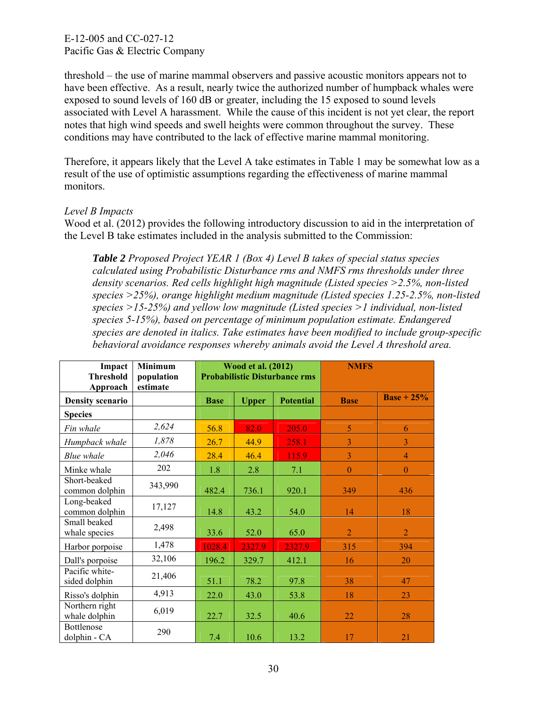threshold – the use of marine mammal observers and passive acoustic monitors appears not to have been effective. As a result, nearly twice the authorized number of humpback whales were exposed to sound levels of 160 dB or greater, including the 15 exposed to sound levels associated with Level A harassment. While the cause of this incident is not yet clear, the report notes that high wind speeds and swell heights were common throughout the survey. These conditions may have contributed to the lack of effective marine mammal monitoring.

Therefore, it appears likely that the Level A take estimates in Table 1 may be somewhat low as a result of the use of optimistic assumptions regarding the effectiveness of marine mammal monitors.

## *Level B Impacts*

Wood et al. (2012) provides the following introductory discussion to aid in the interpretation of the Level B take estimates included in the analysis submitted to the Commission:

*Table 2 Proposed Project YEAR 1 (Box 4) Level B takes of special status species calculated using Probabilistic Disturbance rms and NMFS rms thresholds under three density scenarios. Red cells highlight high magnitude (Listed species >2.5%, non-listed species >25%), orange highlight medium magnitude (Listed species 1.25-2.5%, non-listed species >15-25%) and yellow low magnitude (Listed species >1 individual, non-listed species 5-15%), based on percentage of minimum population estimate. Endangered species are denoted in italics. Take estimates have been modified to include group-specific behavioral avoidance responses whereby animals avoid the Level A threshold area.* 

| Impact<br><b>Threshold</b><br>Approach | Minimum<br>population<br>estimate |             | <b>Wood et al. (2012)</b> | <b>Probabilistic Disturbance rms</b> | <b>NMFS</b>    |                |
|----------------------------------------|-----------------------------------|-------------|---------------------------|--------------------------------------|----------------|----------------|
| <b>Density scenario</b>                |                                   | <b>Base</b> | <b>Upper</b>              | <b>Potential</b>                     | <b>Base</b>    | $Base + 25%$   |
| <b>Species</b>                         |                                   |             |                           |                                      |                |                |
| Fin whale                              | 2,624                             | 56.8        | 82.0                      | 205.0                                | 5              | 6              |
| Humpback whale                         | 1,878                             | 26.7        | 44.9                      | 258.1                                | 3              | 3              |
| <b>Blue</b> whale                      | 2,046                             | 28.4        | 46.4                      | 115.9                                | $\overline{3}$ | $\overline{4}$ |
| Minke whale                            | 202                               | 1.8         | 2.8                       | 7.1                                  | $\mathbf{0}$   | $\mathbf{0}$   |
| Short-beaked<br>common dolphin         | 343,990                           | 482.4       | 736.1                     | 920.1                                | 349            | 436            |
| Long-beaked<br>common dolphin          | 17,127                            | 14.8        | 43.2                      | 54.0                                 | 14             | 18             |
| Small beaked<br>whale species          | 2,498                             | 33.6        | 52.0                      | 65.0                                 | $\overline{2}$ | $\overline{2}$ |
| Harbor porpoise                        | 1,478                             | 1028.4      | 2327.9                    | 2327.9                               | 315            | 394            |
| Dall's porpoise                        | 32,106                            | 196.2       | 329.7                     | 412.1                                | 16             | 20             |
| Pacific white-<br>sided dolphin        | 21,406                            | 51.1        | 78.2                      | 97.8                                 | 38             | 47             |
| Risso's dolphin                        | 4,913                             | 22.0        | 43.0                      | 53.8                                 | 18             | 23             |
| Northern right<br>whale dolphin        | 6,019                             | 22.7        | 32.5                      | 40.6                                 | 22             | 28             |
| Bottlenose<br>dolphin - CA             | 290                               | 7.4         | 10.6                      | 13.2                                 | 17             | 21             |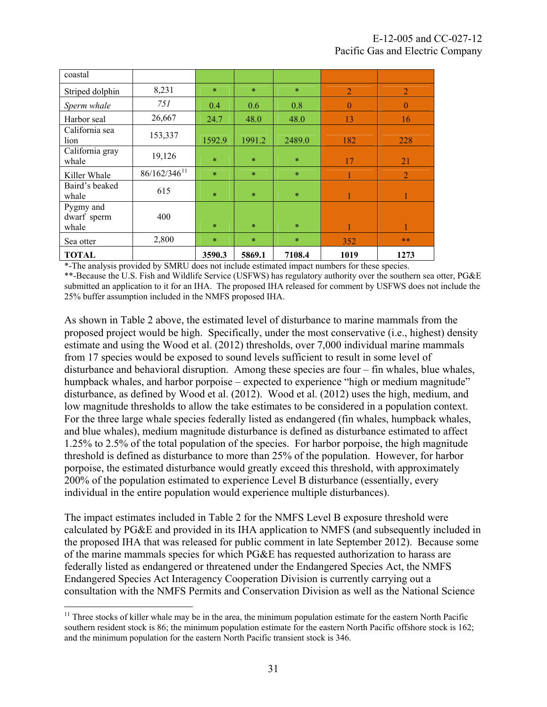| coastal                  |                          |        |        |        |                |                |
|--------------------------|--------------------------|--------|--------|--------|----------------|----------------|
| Striped dolphin          | 8,231                    | $\ast$ | $\ast$ | $\ast$ | $\overline{2}$ | $\overline{2}$ |
| Sperm whale              | 751                      | 0.4    | 0.6    | 0.8    | $\theta$       | $\theta$       |
| Harbor seal              | 26,667                   | 24.7   | 48.0   | 48.0   | 13             | 16             |
| California sea<br>lion   | 153,337                  | 1592.9 | 1991.2 | 2489.0 | 182            | 228            |
| California gray<br>whale | 19,126                   | $\ast$ | $\ast$ | $\ast$ | 17             | 21             |
| Killer Whale             | 86/162/346 <sup>11</sup> | $\ast$ | $\ast$ | $\ast$ |                | 2              |
| Baird's beaked<br>whale  | 615                      | $\ast$ | $\ast$ | $\ast$ | 1              |                |
| Pygmy and<br>dwarf sperm | 400                      |        |        |        |                |                |
| whale                    |                          | $\ast$ | $\ast$ | $\ast$ |                |                |
| Sea otter                | 2,800                    | $\ast$ | $\ast$ | $\ast$ | 352            | $**$           |
| <b>TOTAL</b>             |                          | 3590.3 | 5869.1 | 7108.4 | 1019           | 1273           |

\*-The analysis provided by SMRU does not include estimated impact numbers for these species.

\*\*-Because the U.S. Fish and Wildlife Service (USFWS) has regulatory authority over the southern sea otter, PG&E submitted an application to it for an IHA. The proposed IHA released for comment by USFWS does not include the 25% buffer assumption included in the NMFS proposed IHA.

As shown in Table 2 above, the estimated level of disturbance to marine mammals from the proposed project would be high. Specifically, under the most conservative (i.e., highest) density estimate and using the Wood et al. (2012) thresholds, over 7,000 individual marine mammals from 17 species would be exposed to sound levels sufficient to result in some level of disturbance and behavioral disruption. Among these species are four – fin whales, blue whales, humpback whales, and harbor porpoise – expected to experience "high or medium magnitude" disturbance, as defined by Wood et al. (2012). Wood et al. (2012) uses the high, medium, and low magnitude thresholds to allow the take estimates to be considered in a population context. For the three large whale species federally listed as endangered (fin whales, humpback whales, and blue whales), medium magnitude disturbance is defined as disturbance estimated to affect 1.25% to 2.5% of the total population of the species. For harbor porpoise, the high magnitude threshold is defined as disturbance to more than 25% of the population. However, for harbor porpoise, the estimated disturbance would greatly exceed this threshold, with approximately 200% of the population estimated to experience Level B disturbance (essentially, every individual in the entire population would experience multiple disturbances).

The impact estimates included in Table 2 for the NMFS Level B exposure threshold were calculated by PG&E and provided in its IHA application to NMFS (and subsequently included in the proposed IHA that was released for public comment in late September 2012). Because some of the marine mammals species for which PG&E has requested authorization to harass are federally listed as endangered or threatened under the Endangered Species Act, the NMFS Endangered Species Act Interagency Cooperation Division is currently carrying out a consultation with the NMFS Permits and Conservation Division as well as the National Science

<span id="page-31-0"></span><sup>1</sup>  $11$  Three stocks of killer whale may be in the area, the minimum population estimate for the eastern North Pacific southern resident stock is 86; the minimum population estimate for the eastern North Pacific offshore stock is 162; and the minimum population for the eastern North Pacific transient stock is 346.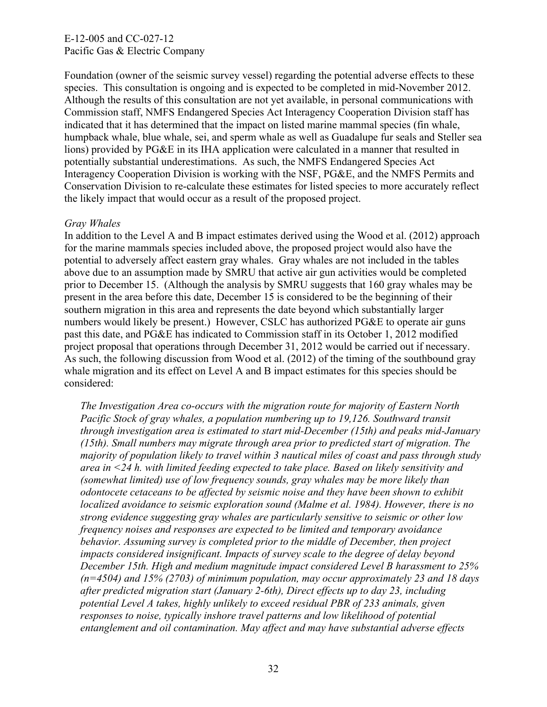Foundation (owner of the seismic survey vessel) regarding the potential adverse effects to these species. This consultation is ongoing and is expected to be completed in mid-November 2012. Although the results of this consultation are not yet available, in personal communications with Commission staff, NMFS Endangered Species Act Interagency Cooperation Division staff has indicated that it has determined that the impact on listed marine mammal species (fin whale, humpback whale, blue whale, sei, and sperm whale as well as Guadalupe fur seals and Steller sea lions) provided by PG&E in its IHA application were calculated in a manner that resulted in potentially substantial underestimations. As such, the NMFS Endangered Species Act Interagency Cooperation Division is working with the NSF, PG&E, and the NMFS Permits and Conservation Division to re-calculate these estimates for listed species to more accurately reflect the likely impact that would occur as a result of the proposed project.

# *Gray Whales*

In addition to the Level A and B impact estimates derived using the Wood et al. (2012) approach for the marine mammals species included above, the proposed project would also have the potential to adversely affect eastern gray whales. Gray whales are not included in the tables above due to an assumption made by SMRU that active air gun activities would be completed prior to December 15. (Although the analysis by SMRU suggests that 160 gray whales may be present in the area before this date, December 15 is considered to be the beginning of their southern migration in this area and represents the date beyond which substantially larger numbers would likely be present.) However, CSLC has authorized PG&E to operate air guns past this date, and PG&E has indicated to Commission staff in its October 1, 2012 modified project proposal that operations through December 31, 2012 would be carried out if necessary. As such, the following discussion from Wood et al. (2012) of the timing of the southbound gray whale migration and its effect on Level A and B impact estimates for this species should be considered:

*The Investigation Area co-occurs with the migration route for majority of Eastern North Pacific Stock of gray whales, a population numbering up to 19,126. Southward transit through investigation area is estimated to start mid-December (15th) and peaks mid-January (15th). Small numbers may migrate through area prior to predicted start of migration. The majority of population likely to travel within 3 nautical miles of coast and pass through study area in <24 h. with limited feeding expected to take place. Based on likely sensitivity and (somewhat limited) use of low frequency sounds, gray whales may be more likely than odontocete cetaceans to be affected by seismic noise and they have been shown to exhibit localized avoidance to seismic exploration sound (Malme et al. 1984). However, there is no strong evidence suggesting gray whales are particularly sensitive to seismic or other low frequency noises and responses are expected to be limited and temporary avoidance behavior. Assuming survey is completed prior to the middle of December, then project impacts considered insignificant. Impacts of survey scale to the degree of delay beyond December 15th. High and medium magnitude impact considered Level B harassment to 25% (n=4504) and 15% (2703) of minimum population, may occur approximately 23 and 18 days after predicted migration start (January 2-6th), Direct effects up to day 23, including potential Level A takes, highly unlikely to exceed residual PBR of 233 animals, given responses to noise, typically inshore travel patterns and low likelihood of potential entanglement and oil contamination. May affect and may have substantial adverse effects*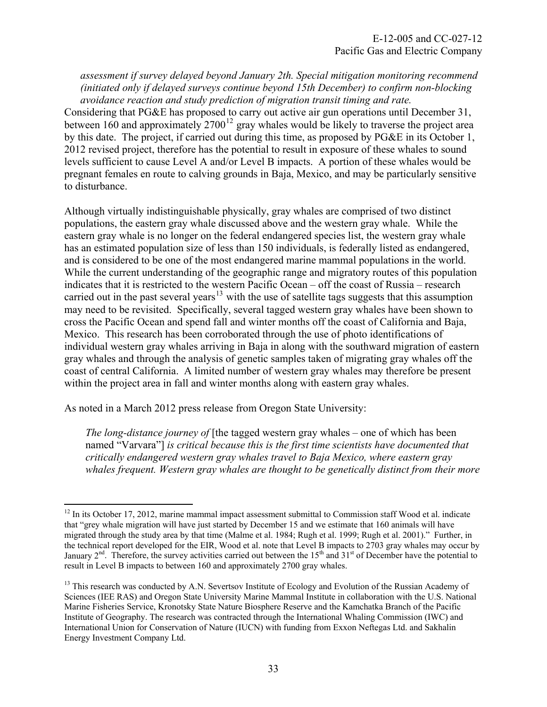*assessment if survey delayed beyond January 2th. Special mitigation monitoring recommend (initiated only if delayed surveys continue beyond 15th December) to confirm non-blocking avoidance reaction and study prediction of migration transit timing and rate.* 

Considering that PG&E has proposed to carry out active air gun operations until December 31, between 160 and approximately  $2700^{12}$  $2700^{12}$  $2700^{12}$  gray whales would be likely to traverse the project area by this date. The project, if carried out during this time, as proposed by PG&E in its October 1, 2012 revised project, therefore has the potential to result in exposure of these whales to sound levels sufficient to cause Level A and/or Level B impacts. A portion of these whales would be pregnant females en route to calving grounds in Baja, Mexico, and may be particularly sensitive to disturbance.

Although virtually indistinguishable physically, gray whales are comprised of two distinct populations, the eastern gray whale discussed above and the western gray whale. While the eastern gray whale is no longer on the federal endangered species list, the western gray whale has an estimated population size of less than 150 individuals, is federally listed as endangered, and is considered to be one of the most endangered marine mammal populations in the world. While the current understanding of the geographic range and migratory routes of this population indicates that it is restricted to the western Pacific Ocean – off the coast of Russia – research carried out in the past several years<sup>[13](#page-33-1)</sup> with the use of satellite tags suggests that this assumption may need to be revisited. Specifically, several tagged western gray whales have been shown to cross the Pacific Ocean and spend fall and winter months off the coast of California and Baja, Mexico. This research has been corroborated through the use of photo identifications of individual western gray whales arriving in Baja in along with the southward migration of eastern gray whales and through the analysis of genetic samples taken of migrating gray whales off the coast of central California. A limited number of western gray whales may therefore be present within the project area in fall and winter months along with eastern gray whales.

As noted in a March 2012 press release from Oregon State University:

 $\overline{a}$ 

*The long-distance journey of* [the tagged western gray whales – one of which has been named "Varvara"] *is critical because this is the first time scientists have documented that critically endangered western gray whales travel to Baja Mexico, where eastern gray whales frequent. Western gray whales are thought to be genetically distinct from their more* 

<span id="page-33-0"></span> $12$  In its October 17, 2012, marine mammal impact assessment submittal to Commission staff Wood et al. indicate that "grey whale migration will have just started by December 15 and we estimate that 160 animals will have migrated through the study area by that time (Malme et al. 1984; Rugh et al. 1999; Rugh et al. 2001)." Further, in the technical report developed for the EIR, Wood et al. note that Level B impacts to 2703 gray whales may occur by January 2<sup>nd</sup>. Therefore, the survey activities carried out between the 15<sup>th</sup> and 31<sup>st</sup> of December have the potential to result in Level B impacts to between 160 and approximately 2700 gray whales.

<span id="page-33-1"></span><sup>&</sup>lt;sup>13</sup> This research was conducted by A.N. Severtsov Institute of Ecology and Evolution of the Russian Academy of Sciences (IEE RAS) and Oregon State University Marine Mammal Institute in collaboration with the U.S. National Marine Fisheries Service, Kronotsky State Nature Biosphere Reserve and the Kamchatka Branch of the Pacific Institute of Geography. The research was contracted through the International Whaling Commission (IWC) and International Union for Conservation of Nature (IUCN) with funding from Exxon Neftegas Ltd. and Sakhalin Energy Investment Company Ltd.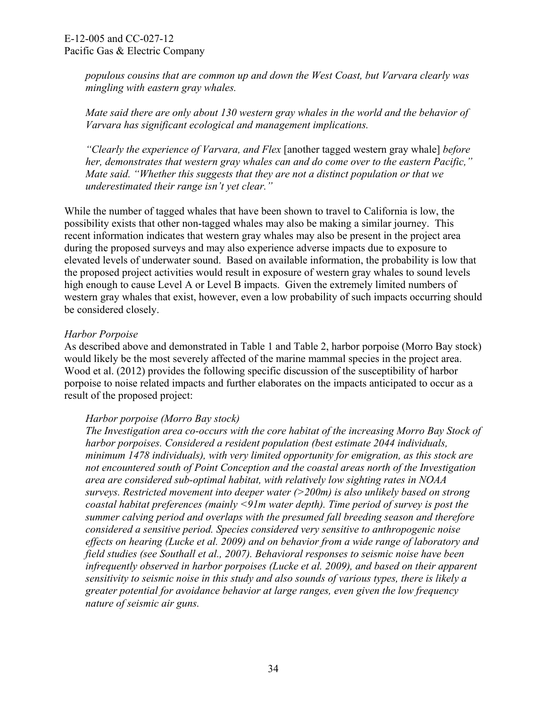*populous cousins that are common up and down the West Coast, but Varvara clearly was mingling with eastern gray whales.* 

*Mate said there are only about 130 western gray whales in the world and the behavior of Varvara has significant ecological and management implications.* 

*"Clearly the experience of Varvara, and Flex* [another tagged western gray whale] *before her, demonstrates that western gray whales can and do come over to the eastern Pacific," Mate said. "Whether this suggests that they are not a distinct population or that we underestimated their range isn't yet clear."* 

While the number of tagged whales that have been shown to travel to California is low, the possibility exists that other non-tagged whales may also be making a similar journey. This recent information indicates that western gray whales may also be present in the project area during the proposed surveys and may also experience adverse impacts due to exposure to elevated levels of underwater sound. Based on available information, the probability is low that the proposed project activities would result in exposure of western gray whales to sound levels high enough to cause Level A or Level B impacts. Given the extremely limited numbers of western gray whales that exist, however, even a low probability of such impacts occurring should be considered closely.

## *Harbor Porpoise*

As described above and demonstrated in Table 1 and Table 2, harbor porpoise (Morro Bay stock) would likely be the most severely affected of the marine mammal species in the project area. Wood et al. (2012) provides the following specific discussion of the susceptibility of harbor porpoise to noise related impacts and further elaborates on the impacts anticipated to occur as a result of the proposed project:

## *Harbor porpoise (Morro Bay stock)*

*The Investigation area co-occurs with the core habitat of the increasing Morro Bay Stock of harbor porpoises. Considered a resident population (best estimate 2044 individuals, minimum 1478 individuals), with very limited opportunity for emigration, as this stock are not encountered south of Point Conception and the coastal areas north of the Investigation area are considered sub-optimal habitat, with relatively low sighting rates in NOAA surveys. Restricted movement into deeper water (>200m) is also unlikely based on strong coastal habitat preferences (mainly <91m water depth). Time period of survey is post the summer calving period and overlaps with the presumed fall breeding season and therefore considered a sensitive period. Species considered very sensitive to anthropogenic noise effects on hearing (Lucke et al. 2009) and on behavior from a wide range of laboratory and field studies (see Southall et al., 2007). Behavioral responses to seismic noise have been infrequently observed in harbor porpoises (Lucke et al. 2009), and based on their apparent sensitivity to seismic noise in this study and also sounds of various types, there is likely a greater potential for avoidance behavior at large ranges, even given the low frequency nature of seismic air guns.*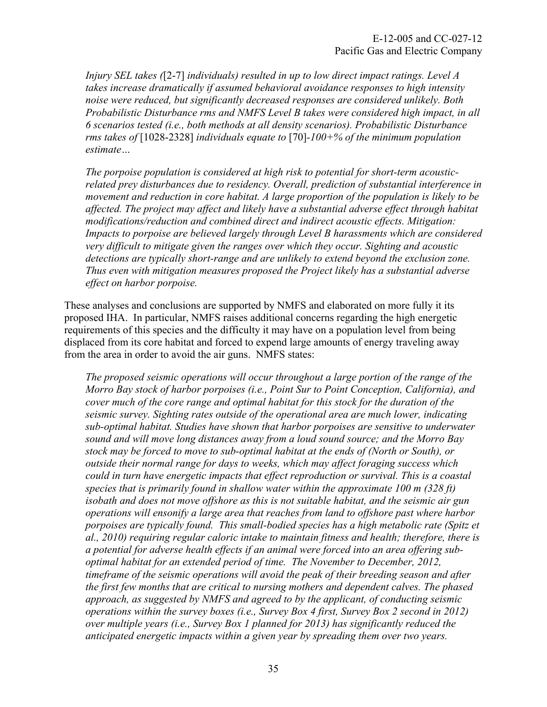*Injury SEL takes (*[2-7] *individuals) resulted in up to low direct impact ratings. Level A takes increase dramatically if assumed behavioral avoidance responses to high intensity noise were reduced, but significantly decreased responses are considered unlikely. Both Probabilistic Disturbance rms and NMFS Level B takes were considered high impact, in all 6 scenarios tested (i.e., both methods at all density scenarios). Probabilistic Disturbance rms takes of* [1028-2328] *individuals equate to* [70]*-100+% of the minimum population estimate…* 

*The porpoise population is considered at high risk to potential for short-term acousticrelated prey disturbances due to residency. Overall, prediction of substantial interference in movement and reduction in core habitat. A large proportion of the population is likely to be affected. The project may affect and likely have a substantial adverse effect through habitat modifications/reduction and combined direct and indirect acoustic effects. Mitigation: Impacts to porpoise are believed largely through Level B harassments which are considered very difficult to mitigate given the ranges over which they occur. Sighting and acoustic detections are typically short-range and are unlikely to extend beyond the exclusion zone. Thus even with mitigation measures proposed the Project likely has a substantial adverse effect on harbor porpoise.* 

These analyses and conclusions are supported by NMFS and elaborated on more fully it its proposed IHA. In particular, NMFS raises additional concerns regarding the high energetic requirements of this species and the difficulty it may have on a population level from being displaced from its core habitat and forced to expend large amounts of energy traveling away from the area in order to avoid the air guns. NMFS states:

*The proposed seismic operations will occur throughout a large portion of the range of the Morro Bay stock of harbor porpoises (i.e., Point Sur to Point Conception, California), and cover much of the core range and optimal habitat for this stock for the duration of the seismic survey. Sighting rates outside of the operational area are much lower, indicating sub-optimal habitat. Studies have shown that harbor porpoises are sensitive to underwater sound and will move long distances away from a loud sound source; and the Morro Bay stock may be forced to move to sub-optimal habitat at the ends of (North or South), or outside their normal range for days to weeks, which may affect foraging success which could in turn have energetic impacts that effect reproduction or survival. This is a coastal species that is primarily found in shallow water within the approximate 100 m (328 ft) isobath and does not move offshore as this is not suitable habitat, and the seismic air gun operations will ensonify a large area that reaches from land to offshore past where harbor porpoises are typically found. This small-bodied species has a high metabolic rate (Spitz et al., 2010) requiring regular caloric intake to maintain fitness and health; therefore, there is a potential for adverse health effects if an animal were forced into an area offering suboptimal habitat for an extended period of time. The November to December, 2012, timeframe of the seismic operations will avoid the peak of their breeding season and after the first few months that are critical to nursing mothers and dependent calves. The phased approach, as suggested by NMFS and agreed to by the applicant, of conducting seismic operations within the survey boxes (i.e., Survey Box 4 first, Survey Box 2 second in 2012) over multiple years (i.e., Survey Box 1 planned for 2013) has significantly reduced the anticipated energetic impacts within a given year by spreading them over two years.*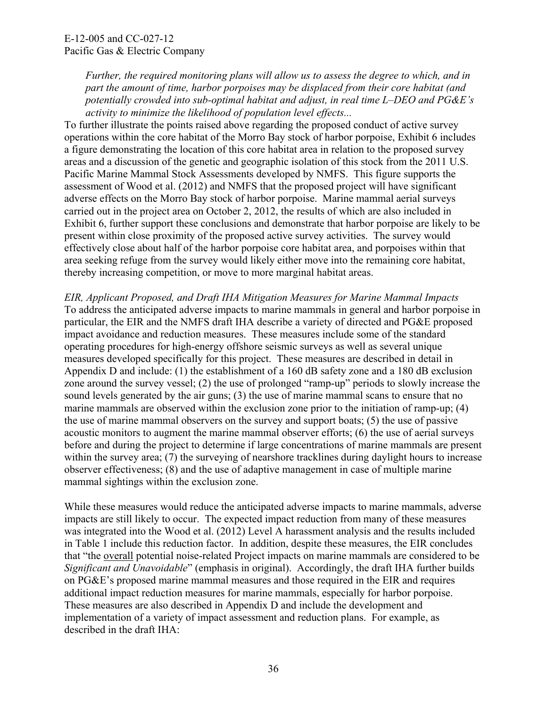*Further, the required monitoring plans will allow us to assess the degree to which, and in part the amount of time, harbor porpoises may be displaced from their core habitat (and potentially crowded into sub-optimal habitat and adjust, in real time L–DEO and PG&E's activity to minimize the likelihood of population level effects...* 

To further illustrate the points raised above regarding the proposed conduct of active survey operations within the core habitat of the Morro Bay stock of harbor porpoise, Exhibit 6 includes a figure demonstrating the location of this core habitat area in relation to the proposed survey areas and a discussion of the genetic and geographic isolation of this stock from the 2011 U.S. Pacific Marine Mammal Stock Assessments developed by NMFS. This figure supports the assessment of Wood et al. (2012) and NMFS that the proposed project will have significant adverse effects on the Morro Bay stock of harbor porpoise. Marine mammal aerial surveys carried out in the project area on October 2, 2012, the results of which are also included in Exhibit 6, further support these conclusions and demonstrate that harbor porpoise are likely to be present within close proximity of the proposed active survey activities. The survey would effectively close about half of the harbor porpoise core habitat area, and porpoises within that area seeking refuge from the survey would likely either move into the remaining core habitat, thereby increasing competition, or move to more marginal habitat areas.

*EIR, Applicant Proposed, and Draft IHA Mitigation Measures for Marine Mammal Impacts*  To address the anticipated adverse impacts to marine mammals in general and harbor porpoise in particular, the EIR and the NMFS draft IHA describe a variety of directed and PG&E proposed impact avoidance and reduction measures. These measures include some of the standard operating procedures for high-energy offshore seismic surveys as well as several unique measures developed specifically for this project. These measures are described in detail in Appendix D and include: (1) the establishment of a 160 dB safety zone and a 180 dB exclusion zone around the survey vessel; (2) the use of prolonged "ramp-up" periods to slowly increase the sound levels generated by the air guns; (3) the use of marine mammal scans to ensure that no marine mammals are observed within the exclusion zone prior to the initiation of ramp-up; (4) the use of marine mammal observers on the survey and support boats; (5) the use of passive acoustic monitors to augment the marine mammal observer efforts; (6) the use of aerial surveys before and during the project to determine if large concentrations of marine mammals are present within the survey area; (7) the surveying of nearshore tracklines during daylight hours to increase observer effectiveness; (8) and the use of adaptive management in case of multiple marine mammal sightings within the exclusion zone.

While these measures would reduce the anticipated adverse impacts to marine mammals, adverse impacts are still likely to occur. The expected impact reduction from many of these measures was integrated into the Wood et al. (2012) Level A harassment analysis and the results included in Table 1 include this reduction factor. In addition, despite these measures, the EIR concludes that "the overall potential noise-related Project impacts on marine mammals are considered to be *Significant and Unavoidable*" (emphasis in original). Accordingly, the draft IHA further builds on PG&E's proposed marine mammal measures and those required in the EIR and requires additional impact reduction measures for marine mammals, especially for harbor porpoise. These measures are also described in Appendix D and include the development and implementation of a variety of impact assessment and reduction plans. For example, as described in the draft IHA: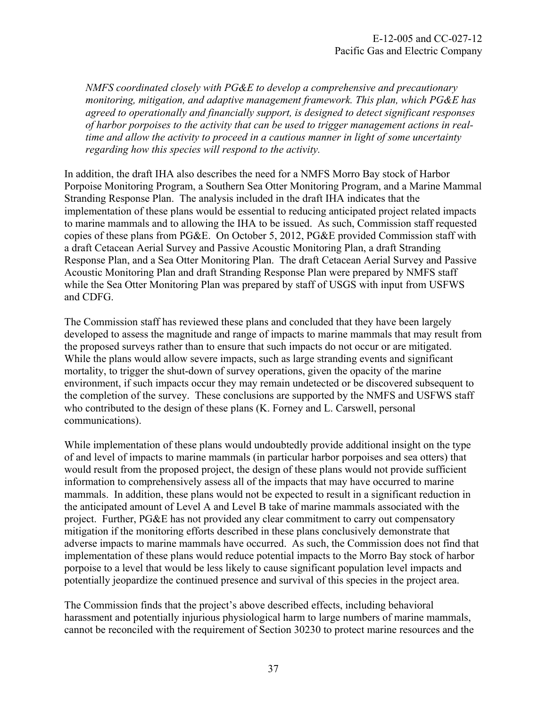*NMFS coordinated closely with PG&E to develop a comprehensive and precautionary monitoring, mitigation, and adaptive management framework. This plan, which PG&E has agreed to operationally and financially support, is designed to detect significant responses of harbor porpoises to the activity that can be used to trigger management actions in realtime and allow the activity to proceed in a cautious manner in light of some uncertainty regarding how this species will respond to the activity.* 

In addition, the draft IHA also describes the need for a NMFS Morro Bay stock of Harbor Porpoise Monitoring Program, a Southern Sea Otter Monitoring Program, and a Marine Mammal Stranding Response Plan. The analysis included in the draft IHA indicates that the implementation of these plans would be essential to reducing anticipated project related impacts to marine mammals and to allowing the IHA to be issued. As such, Commission staff requested copies of these plans from PG&E. On October 5, 2012, PG&E provided Commission staff with a draft Cetacean Aerial Survey and Passive Acoustic Monitoring Plan, a draft Stranding Response Plan, and a Sea Otter Monitoring Plan. The draft Cetacean Aerial Survey and Passive Acoustic Monitoring Plan and draft Stranding Response Plan were prepared by NMFS staff while the Sea Otter Monitoring Plan was prepared by staff of USGS with input from USFWS and CDFG.

The Commission staff has reviewed these plans and concluded that they have been largely developed to assess the magnitude and range of impacts to marine mammals that may result from the proposed surveys rather than to ensure that such impacts do not occur or are mitigated. While the plans would allow severe impacts, such as large stranding events and significant mortality, to trigger the shut-down of survey operations, given the opacity of the marine environment, if such impacts occur they may remain undetected or be discovered subsequent to the completion of the survey. These conclusions are supported by the NMFS and USFWS staff who contributed to the design of these plans (K. Forney and L. Carswell, personal communications).

While implementation of these plans would undoubtedly provide additional insight on the type of and level of impacts to marine mammals (in particular harbor porpoises and sea otters) that would result from the proposed project, the design of these plans would not provide sufficient information to comprehensively assess all of the impacts that may have occurred to marine mammals. In addition, these plans would not be expected to result in a significant reduction in the anticipated amount of Level A and Level B take of marine mammals associated with the project. Further, PG&E has not provided any clear commitment to carry out compensatory mitigation if the monitoring efforts described in these plans conclusively demonstrate that adverse impacts to marine mammals have occurred. As such, the Commission does not find that implementation of these plans would reduce potential impacts to the Morro Bay stock of harbor porpoise to a level that would be less likely to cause significant population level impacts and potentially jeopardize the continued presence and survival of this species in the project area.

The Commission finds that the project's above described effects, including behavioral harassment and potentially injurious physiological harm to large numbers of marine mammals, cannot be reconciled with the requirement of Section 30230 to protect marine resources and the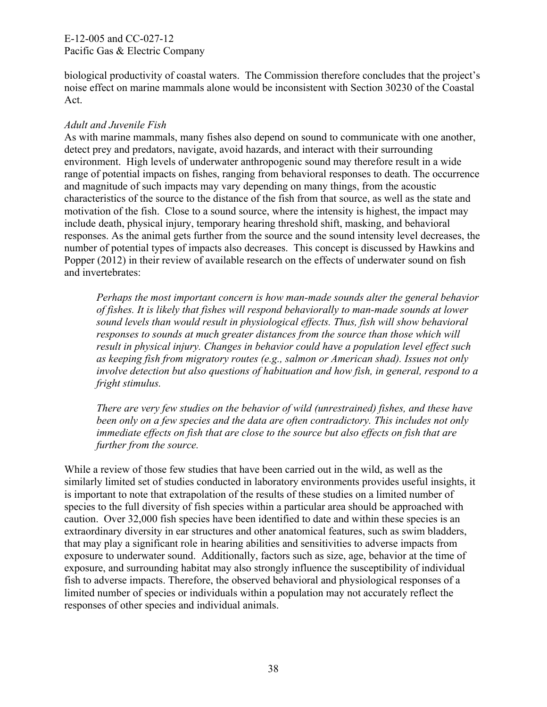biological productivity of coastal waters. The Commission therefore concludes that the project's noise effect on marine mammals alone would be inconsistent with Section 30230 of the Coastal Act.

## *Adult and Juvenile Fish*

As with marine mammals, many fishes also depend on sound to communicate with one another, detect prey and predators, navigate, avoid hazards, and interact with their surrounding environment. High levels of underwater anthropogenic sound may therefore result in a wide range of potential impacts on fishes, ranging from behavioral responses to death. The occurrence and magnitude of such impacts may vary depending on many things, from the acoustic characteristics of the source to the distance of the fish from that source, as well as the state and motivation of the fish. Close to a sound source, where the intensity is highest, the impact may include death, physical injury, temporary hearing threshold shift, masking, and behavioral responses. As the animal gets further from the source and the sound intensity level decreases, the number of potential types of impacts also decreases. This concept is discussed by Hawkins and Popper (2012) in their review of available research on the effects of underwater sound on fish and invertebrates:

*Perhaps the most important concern is how man-made sounds alter the general behavior of fishes. It is likely that fishes will respond behaviorally to man-made sounds at lower sound levels than would result in physiological effects. Thus, fish will show behavioral*  responses to sounds at much greater distances from the source than those which will *result in physical injury. Changes in behavior could have a population level effect such as keeping fish from migratory routes (e.g., salmon or American shad). Issues not only involve detection but also questions of habituation and how fish, in general, respond to a fright stimulus.* 

*There are very few studies on the behavior of wild (unrestrained) fishes, and these have been only on a few species and the data are often contradictory. This includes not only immediate effects on fish that are close to the source but also effects on fish that are further from the source.* 

While a review of those few studies that have been carried out in the wild, as well as the similarly limited set of studies conducted in laboratory environments provides useful insights, it is important to note that extrapolation of the results of these studies on a limited number of species to the full diversity of fish species within a particular area should be approached with caution. Over 32,000 fish species have been identified to date and within these species is an extraordinary diversity in ear structures and other anatomical features, such as swim bladders, that may play a significant role in hearing abilities and sensitivities to adverse impacts from exposure to underwater sound. Additionally, factors such as size, age, behavior at the time of exposure, and surrounding habitat may also strongly influence the susceptibility of individual fish to adverse impacts. Therefore, the observed behavioral and physiological responses of a limited number of species or individuals within a population may not accurately reflect the responses of other species and individual animals.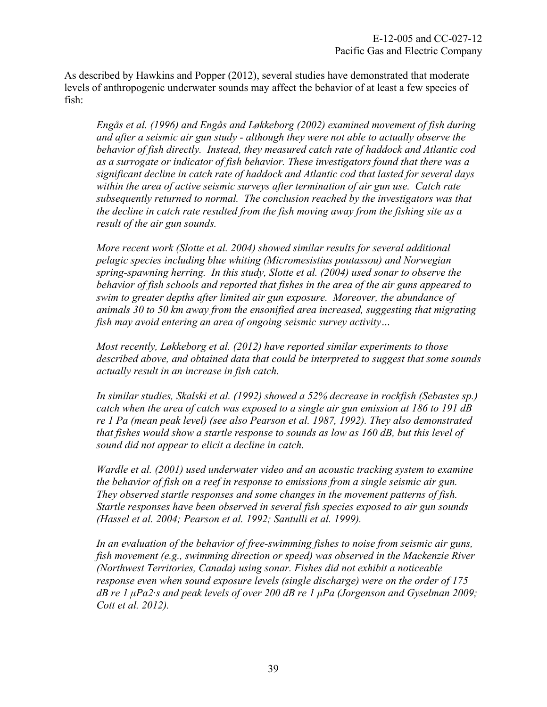As described by Hawkins and Popper (2012), several studies have demonstrated that moderate levels of anthropogenic underwater sounds may affect the behavior of at least a few species of fish:

*Engås et al. (1996) and Engås and Løkkeborg (2002) examined movement of fish during and after a seismic air gun study - although they were not able to actually observe the behavior of fish directly. Instead, they measured catch rate of haddock and Atlantic cod as a surrogate or indicator of fish behavior. These investigators found that there was a significant decline in catch rate of haddock and Atlantic cod that lasted for several days within the area of active seismic surveys after termination of air gun use. Catch rate subsequently returned to normal. The conclusion reached by the investigators was that the decline in catch rate resulted from the fish moving away from the fishing site as a result of the air gun sounds.* 

*More recent work (Slotte et al. 2004) showed similar results for several additional pelagic species including blue whiting (Micromesistius poutassou) and Norwegian spring-spawning herring. In this study, Slotte et al. (2004) used sonar to observe the behavior of fish schools and reported that fishes in the area of the air guns appeared to swim to greater depths after limited air gun exposure. Moreover, the abundance of animals 30 to 50 km away from the ensonified area increased, suggesting that migrating fish may avoid entering an area of ongoing seismic survey activity…* 

*Most recently, Løkkeborg et al. (2012) have reported similar experiments to those described above, and obtained data that could be interpreted to suggest that some sounds actually result in an increase in fish catch.* 

*In similar studies, Skalski et al. (1992) showed a 52% decrease in rockfish (Sebastes sp.) catch when the area of catch was exposed to a single air gun emission at 186 to 191 dB re 1 Pa (mean peak level) (see also Pearson et al. 1987, 1992). They also demonstrated that fishes would show a startle response to sounds as low as 160 dB, but this level of sound did not appear to elicit a decline in catch.* 

*Wardle et al. (2001) used underwater video and an acoustic tracking system to examine the behavior of fish on a reef in response to emissions from a single seismic air gun. They observed startle responses and some changes in the movement patterns of fish. Startle responses have been observed in several fish species exposed to air gun sounds (Hassel et al. 2004; Pearson et al. 1992; Santulli et al. 1999).* 

*In an evaluation of the behavior of free-swimming fishes to noise from seismic air guns, fish movement (e.g., swimming direction or speed) was observed in the Mackenzie River (Northwest Territories, Canada) using sonar. Fishes did not exhibit a noticeable response even when sound exposure levels (single discharge) were on the order of 175 dB re 1 μPa2·s and peak levels of over 200 dB re 1 μPa (Jorgenson and Gyselman 2009; Cott et al. 2012).*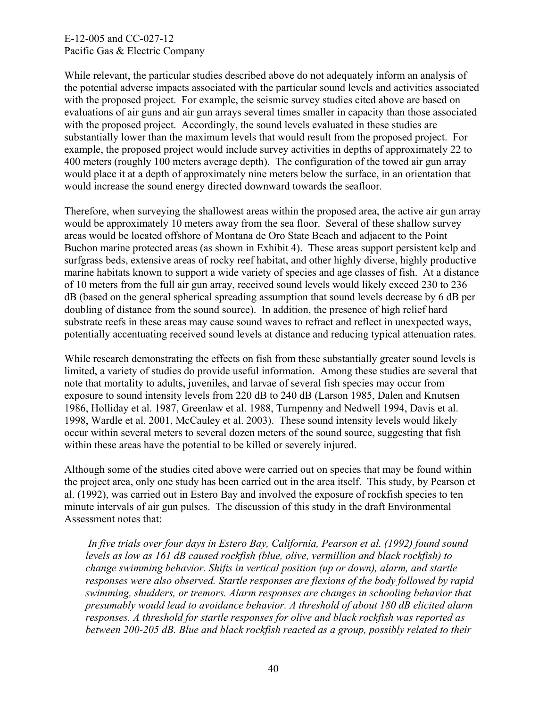While relevant, the particular studies described above do not adequately inform an analysis of the potential adverse impacts associated with the particular sound levels and activities associated with the proposed project. For example, the seismic survey studies cited above are based on evaluations of air guns and air gun arrays several times smaller in capacity than those associated with the proposed project. Accordingly, the sound levels evaluated in these studies are substantially lower than the maximum levels that would result from the proposed project. For example, the proposed project would include survey activities in depths of approximately 22 to 400 meters (roughly 100 meters average depth). The configuration of the towed air gun array would place it at a depth of approximately nine meters below the surface, in an orientation that would increase the sound energy directed downward towards the seafloor.

Therefore, when surveying the shallowest areas within the proposed area, the active air gun array would be approximately 10 meters away from the sea floor. Several of these shallow survey areas would be located offshore of Montana de Oro State Beach and adjacent to the Point Buchon marine protected areas (as shown in Exhibit 4). These areas support persistent kelp and surfgrass beds, extensive areas of rocky reef habitat, and other highly diverse, highly productive marine habitats known to support a wide variety of species and age classes of fish. At a distance of 10 meters from the full air gun array, received sound levels would likely exceed 230 to 236 dB (based on the general spherical spreading assumption that sound levels decrease by 6 dB per doubling of distance from the sound source). In addition, the presence of high relief hard substrate reefs in these areas may cause sound waves to refract and reflect in unexpected ways, potentially accentuating received sound levels at distance and reducing typical attenuation rates.

While research demonstrating the effects on fish from these substantially greater sound levels is limited, a variety of studies do provide useful information. Among these studies are several that note that mortality to adults, juveniles, and larvae of several fish species may occur from exposure to sound intensity levels from 220 dB to 240 dB (Larson 1985, Dalen and Knutsen 1986, Holliday et al. 1987, Greenlaw et al. 1988, Turnpenny and Nedwell 1994, Davis et al. 1998, Wardle et al. 2001, McCauley et al. 2003). These sound intensity levels would likely occur within several meters to several dozen meters of the sound source, suggesting that fish within these areas have the potential to be killed or severely injured.

Although some of the studies cited above were carried out on species that may be found within the project area, only one study has been carried out in the area itself. This study, by Pearson et al. (1992), was carried out in Estero Bay and involved the exposure of rockfish species to ten minute intervals of air gun pulses. The discussion of this study in the draft Environmental Assessment notes that:

 *In five trials over four days in Estero Bay, California, Pearson et al. (1992) found sound levels as low as 161 dB caused rockfish (blue, olive, vermillion and black rockfish) to change swimming behavior. Shifts in vertical position (up or down), alarm, and startle responses were also observed. Startle responses are flexions of the body followed by rapid swimming, shudders, or tremors. Alarm responses are changes in schooling behavior that presumably would lead to avoidance behavior. A threshold of about 180 dB elicited alarm responses. A threshold for startle responses for olive and black rockfish was reported as between 200-205 dB. Blue and black rockfish reacted as a group, possibly related to their*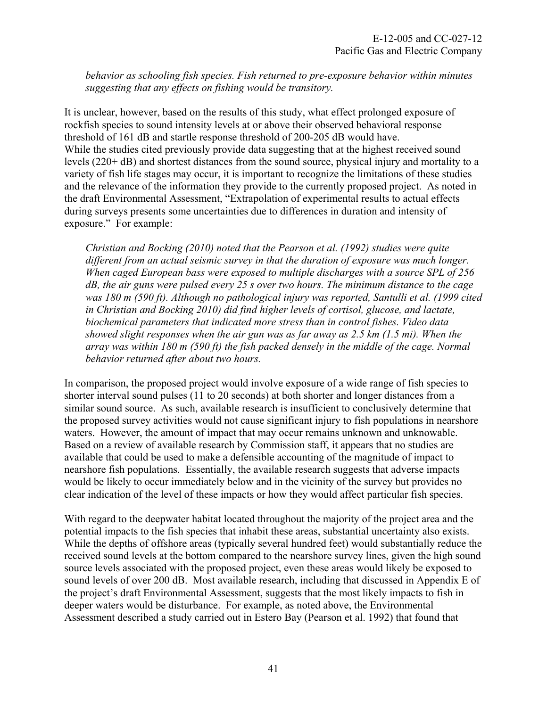*behavior as schooling fish species. Fish returned to pre-exposure behavior within minutes suggesting that any effects on fishing would be transitory.* 

It is unclear, however, based on the results of this study, what effect prolonged exposure of rockfish species to sound intensity levels at or above their observed behavioral response threshold of 161 dB and startle response threshold of 200-205 dB would have. While the studies cited previously provide data suggesting that at the highest received sound levels (220+ dB) and shortest distances from the sound source, physical injury and mortality to a variety of fish life stages may occur, it is important to recognize the limitations of these studies and the relevance of the information they provide to the currently proposed project. As noted in the draft Environmental Assessment, "Extrapolation of experimental results to actual effects during surveys presents some uncertainties due to differences in duration and intensity of exposure." For example:

*Christian and Bocking (2010) noted that the Pearson et al. (1992) studies were quite different from an actual seismic survey in that the duration of exposure was much longer. When caged European bass were exposed to multiple discharges with a source SPL of 256 dB, the air guns were pulsed every 25 s over two hours. The minimum distance to the cage was 180 m (590 ft). Although no pathological injury was reported, Santulli et al. (1999 cited in Christian and Bocking 2010) did find higher levels of cortisol, glucose, and lactate, biochemical parameters that indicated more stress than in control fishes. Video data showed slight responses when the air gun was as far away as 2.5 km (1.5 mi). When the array was within 180 m (590 ft) the fish packed densely in the middle of the cage. Normal behavior returned after about two hours.* 

In comparison, the proposed project would involve exposure of a wide range of fish species to shorter interval sound pulses (11 to 20 seconds) at both shorter and longer distances from a similar sound source. As such, available research is insufficient to conclusively determine that the proposed survey activities would not cause significant injury to fish populations in nearshore waters. However, the amount of impact that may occur remains unknown and unknowable. Based on a review of available research by Commission staff, it appears that no studies are available that could be used to make a defensible accounting of the magnitude of impact to nearshore fish populations. Essentially, the available research suggests that adverse impacts would be likely to occur immediately below and in the vicinity of the survey but provides no clear indication of the level of these impacts or how they would affect particular fish species.

With regard to the deepwater habitat located throughout the majority of the project area and the potential impacts to the fish species that inhabit these areas, substantial uncertainty also exists. While the depths of offshore areas (typically several hundred feet) would substantially reduce the received sound levels at the bottom compared to the nearshore survey lines, given the high sound source levels associated with the proposed project, even these areas would likely be exposed to sound levels of over 200 dB. Most available research, including that discussed in Appendix E of the project's draft Environmental Assessment, suggests that the most likely impacts to fish in deeper waters would be disturbance. For example, as noted above, the Environmental Assessment described a study carried out in Estero Bay (Pearson et al. 1992) that found that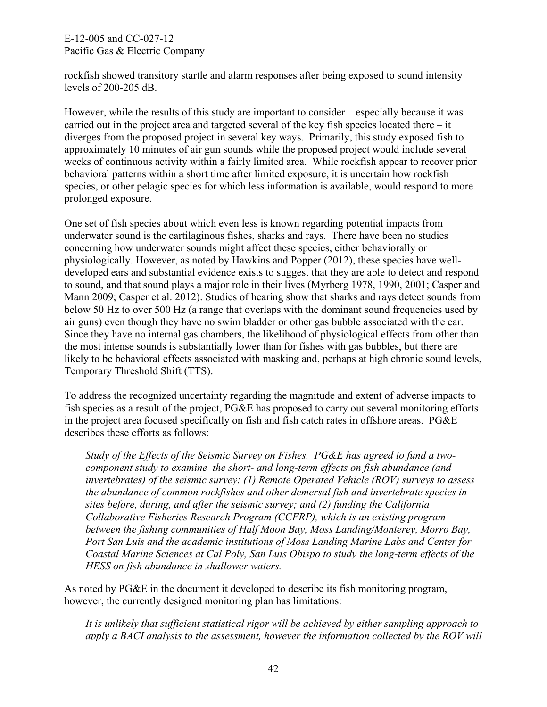rockfish showed transitory startle and alarm responses after being exposed to sound intensity levels of 200-205 dB.

However, while the results of this study are important to consider – especially because it was carried out in the project area and targeted several of the key fish species located there  $-$  it diverges from the proposed project in several key ways. Primarily, this study exposed fish to approximately 10 minutes of air gun sounds while the proposed project would include several weeks of continuous activity within a fairly limited area. While rockfish appear to recover prior behavioral patterns within a short time after limited exposure, it is uncertain how rockfish species, or other pelagic species for which less information is available, would respond to more prolonged exposure.

One set of fish species about which even less is known regarding potential impacts from underwater sound is the cartilaginous fishes, sharks and rays. There have been no studies concerning how underwater sounds might affect these species, either behaviorally or physiologically. However, as noted by Hawkins and Popper (2012), these species have welldeveloped ears and substantial evidence exists to suggest that they are able to detect and respond to sound, and that sound plays a major role in their lives (Myrberg 1978, 1990, 2001; Casper and Mann 2009; Casper et al. 2012). Studies of hearing show that sharks and rays detect sounds from below 50 Hz to over 500 Hz (a range that overlaps with the dominant sound frequencies used by air guns) even though they have no swim bladder or other gas bubble associated with the ear. Since they have no internal gas chambers, the likelihood of physiological effects from other than the most intense sounds is substantially lower than for fishes with gas bubbles, but there are likely to be behavioral effects associated with masking and, perhaps at high chronic sound levels, Temporary Threshold Shift (TTS).

To address the recognized uncertainty regarding the magnitude and extent of adverse impacts to fish species as a result of the project, PG&E has proposed to carry out several monitoring efforts in the project area focused specifically on fish and fish catch rates in offshore areas. PG&E describes these efforts as follows:

*Study of the Effects of the Seismic Survey on Fishes. PG&E has agreed to fund a twocomponent study to examine the short- and long-term effects on fish abundance (and invertebrates) of the seismic survey: (1) Remote Operated Vehicle (ROV) surveys to assess the abundance of common rockfishes and other demersal fish and invertebrate species in sites before, during, and after the seismic survey; and (2) funding the California Collaborative Fisheries Research Program (CCFRP), which is an existing program between the fishing communities of Half Moon Bay, Moss Landing/Monterey, Morro Bay, Port San Luis and the academic institutions of Moss Landing Marine Labs and Center for Coastal Marine Sciences at Cal Poly, San Luis Obispo to study the long-term effects of the HESS on fish abundance in shallower waters.*

As noted by PG&E in the document it developed to describe its fish monitoring program, however, the currently designed monitoring plan has limitations:

*It is unlikely that sufficient statistical rigor will be achieved by either sampling approach to apply a BACI analysis to the assessment, however the information collected by the ROV will*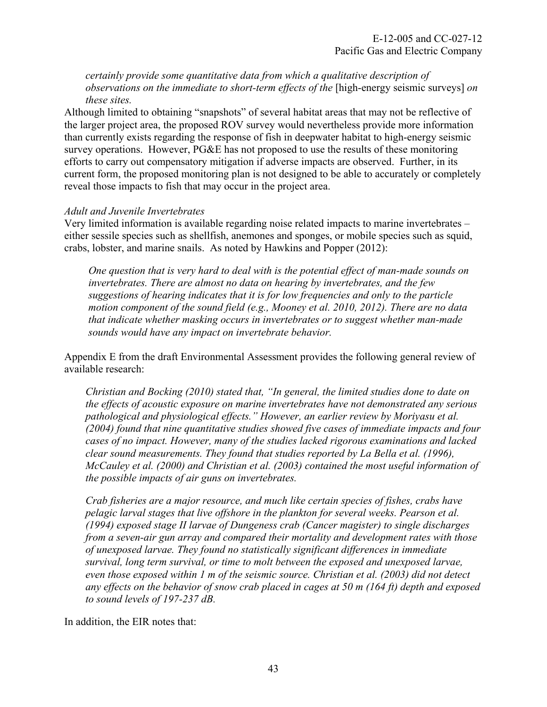*certainly provide some quantitative data from which a qualitative description of observations on the immediate to short-term effects of the [high-energy seismic surveys] on these sites.* 

Although limited to obtaining "snapshots" of several habitat areas that may not be reflective of the larger project area, the proposed ROV survey would nevertheless provide more information than currently exists regarding the response of fish in deepwater habitat to high-energy seismic survey operations. However, PG&E has not proposed to use the results of these monitoring efforts to carry out compensatory mitigation if adverse impacts are observed. Further, in its current form, the proposed monitoring plan is not designed to be able to accurately or completely reveal those impacts to fish that may occur in the project area.

#### *Adult and Juvenile Invertebrates*

Very limited information is available regarding noise related impacts to marine invertebrates – either sessile species such as shellfish, anemones and sponges, or mobile species such as squid, crabs, lobster, and marine snails. As noted by Hawkins and Popper (2012):

*One question that is very hard to deal with is the potential effect of man-made sounds on invertebrates. There are almost no data on hearing by invertebrates, and the few suggestions of hearing indicates that it is for low frequencies and only to the particle motion component of the sound field (e.g., Mooney et al. 2010, 2012). There are no data that indicate whether masking occurs in invertebrates or to suggest whether man-made sounds would have any impact on invertebrate behavior.* 

Appendix E from the draft Environmental Assessment provides the following general review of available research:

*Christian and Bocking (2010) stated that, "In general, the limited studies done to date on the effects of acoustic exposure on marine invertebrates have not demonstrated any serious pathological and physiological effects." However, an earlier review by Moriyasu et al. (2004) found that nine quantitative studies showed five cases of immediate impacts and four cases of no impact. However, many of the studies lacked rigorous examinations and lacked clear sound measurements. They found that studies reported by La Bella et al. (1996), McCauley et al. (2000) and Christian et al. (2003) contained the most useful information of the possible impacts of air guns on invertebrates.* 

*Crab fisheries are a major resource, and much like certain species of fishes, crabs have pelagic larval stages that live offshore in the plankton for several weeks. Pearson et al. (1994) exposed stage II larvae of Dungeness crab (Cancer magister) to single discharges from a seven-air gun array and compared their mortality and development rates with those of unexposed larvae. They found no statistically significant differences in immediate survival, long term survival, or time to molt between the exposed and unexposed larvae, even those exposed within 1 m of the seismic source. Christian et al. (2003) did not detect any effects on the behavior of snow crab placed in cages at 50 m (164 ft) depth and exposed to sound levels of 197-237 dB.* 

In addition, the EIR notes that: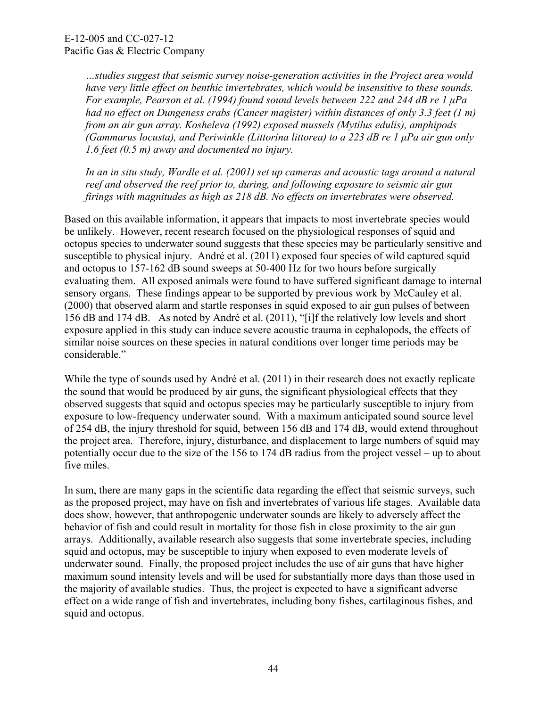*…studies suggest that seismic survey noise-generation activities in the Project area would have very little effect on benthic invertebrates, which would be insensitive to these sounds. For example, Pearson et al. (1994) found sound levels between 222 and 244 dB re 1 μPa had no effect on Dungeness crabs (Cancer magister) within distances of only 3.3 feet (1 m) from an air gun array. Kosheleva (1992) exposed mussels (Mytilus edulis), amphipods (Gammarus locusta), and Periwinkle (Littorina littorea) to a 223 dB re 1 μPa air gun only 1.6 feet (0.5 m) away and documented no injury.* 

*In an in situ study, Wardle et al. (2001) set up cameras and acoustic tags around a natural reef and observed the reef prior to, during, and following exposure to seismic air gun firings with magnitudes as high as 218 dB. No effects on invertebrates were observed.* 

Based on this available information, it appears that impacts to most invertebrate species would be unlikely. However, recent research focused on the physiological responses of squid and octopus species to underwater sound suggests that these species may be particularly sensitive and susceptible to physical injury. André et al. (2011) exposed four species of wild captured squid and octopus to 157-162 dB sound sweeps at 50-400 Hz for two hours before surgically evaluating them. All exposed animals were found to have suffered significant damage to internal sensory organs. These findings appear to be supported by previous work by McCauley et al. (2000) that observed alarm and startle responses in squid exposed to air gun pulses of between 156 dB and 174 dB. As noted by André et al. (2011), "[i]f the relatively low levels and short exposure applied in this study can induce severe acoustic trauma in cephalopods, the effects of similar noise sources on these species in natural conditions over longer time periods may be considerable."

While the type of sounds used by André et al. (2011) in their research does not exactly replicate the sound that would be produced by air guns, the significant physiological effects that they observed suggests that squid and octopus species may be particularly susceptible to injury from exposure to low-frequency underwater sound. With a maximum anticipated sound source level of 254 dB, the injury threshold for squid, between 156 dB and 174 dB, would extend throughout the project area. Therefore, injury, disturbance, and displacement to large numbers of squid may potentially occur due to the size of the 156 to 174 dB radius from the project vessel – up to about five miles.

In sum, there are many gaps in the scientific data regarding the effect that seismic surveys, such as the proposed project, may have on fish and invertebrates of various life stages. Available data does show, however, that anthropogenic underwater sounds are likely to adversely affect the behavior of fish and could result in mortality for those fish in close proximity to the air gun arrays. Additionally, available research also suggests that some invertebrate species, including squid and octopus, may be susceptible to injury when exposed to even moderate levels of underwater sound. Finally, the proposed project includes the use of air guns that have higher maximum sound intensity levels and will be used for substantially more days than those used in the majority of available studies. Thus, the project is expected to have a significant adverse effect on a wide range of fish and invertebrates, including bony fishes, cartilaginous fishes, and squid and octopus.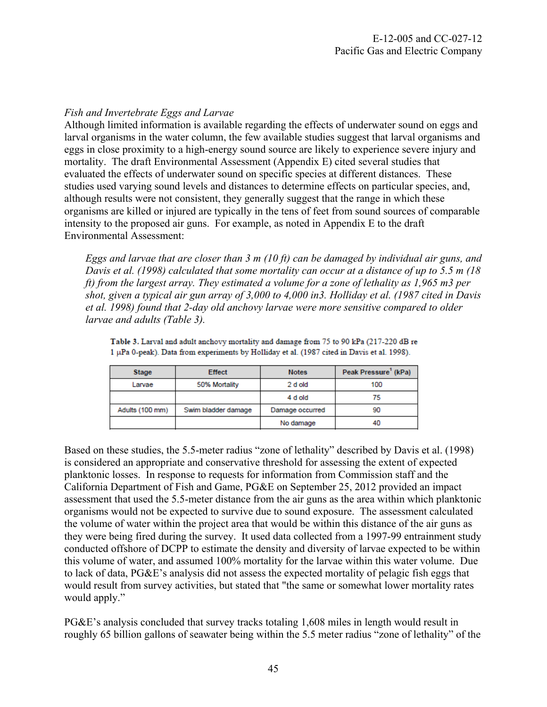## *Fish and Invertebrate Eggs and Larvae*

Although limited information is available regarding the effects of underwater sound on eggs and larval organisms in the water column, the few available studies suggest that larval organisms and eggs in close proximity to a high-energy sound source are likely to experience severe injury and mortality. The draft Environmental Assessment (Appendix E) cited several studies that evaluated the effects of underwater sound on specific species at different distances. These studies used varying sound levels and distances to determine effects on particular species, and, although results were not consistent, they generally suggest that the range in which these organisms are killed or injured are typically in the tens of feet from sound sources of comparable intensity to the proposed air guns. For example, as noted in Appendix E to the draft Environmental Assessment:

*Eggs and larvae that are closer than 3 m (10 ft) can be damaged by individual air guns, and Davis et al. (1998) calculated that some mortality can occur at a distance of up to 5.5 m (18 ft) from the largest array. They estimated a volume for a zone of lethality as 1,965 m3 per shot, given a typical air gun array of 3,000 to 4,000 in3. Holliday et al. (1987 cited in Davis et al. 1998) found that 2-day old anchovy larvae were more sensitive compared to older larvae and adults (Table 3).* 

| <b>Stage</b>    | <b>Effect</b>       | <b>Notes</b>    | Peak Pressure' (kPa) |
|-----------------|---------------------|-----------------|----------------------|
| Larvae          | 50% Mortality       | 2 d old         | 100                  |
|                 |                     | 4 d old         | 75                   |
| Adults (100 mm) | Swim bladder damage | Damage occurred | 90                   |
|                 |                     | No damage       | 40                   |

Table 3. Larval and adult anchovy mortality and damage from 75 to 90 kPa (217-220 dB re 1 µPa 0-peak). Data from experiments by Holliday et al. (1987 cited in Davis et al. 1998).

Based on these studies, the 5.5-meter radius "zone of lethality" described by Davis et al. (1998) is considered an appropriate and conservative threshold for assessing the extent of expected planktonic losses. In response to requests for information from Commission staff and the California Department of Fish and Game, PG&E on September 25, 2012 provided an impact assessment that used the 5.5-meter distance from the air guns as the area within which planktonic organisms would not be expected to survive due to sound exposure. The assessment calculated the volume of water within the project area that would be within this distance of the air guns as they were being fired during the survey. It used data collected from a 1997-99 entrainment study conducted offshore of DCPP to estimate the density and diversity of larvae expected to be within this volume of water, and assumed 100% mortality for the larvae within this water volume. Due to lack of data, PG&E's analysis did not assess the expected mortality of pelagic fish eggs that would result from survey activities, but stated that "the same or somewhat lower mortality rates would apply."

PG&E's analysis concluded that survey tracks totaling 1,608 miles in length would result in roughly 65 billion gallons of seawater being within the 5.5 meter radius "zone of lethality" of the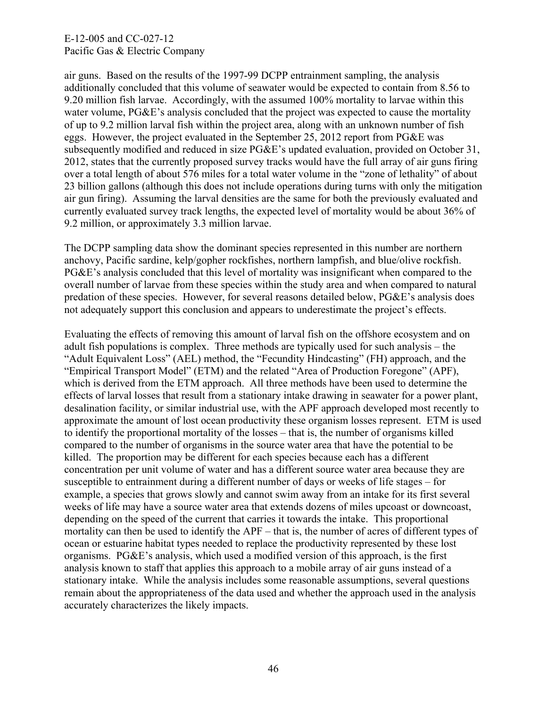air guns. Based on the results of the 1997-99 DCPP entrainment sampling, the analysis additionally concluded that this volume of seawater would be expected to contain from 8.56 to 9.20 million fish larvae. Accordingly, with the assumed 100% mortality to larvae within this water volume, PG&E's analysis concluded that the project was expected to cause the mortality of up to 9.2 million larval fish within the project area, along with an unknown number of fish eggs. However, the project evaluated in the September 25, 2012 report from PG&E was subsequently modified and reduced in size PG&E's updated evaluation, provided on October 31, 2012, states that the currently proposed survey tracks would have the full array of air guns firing over a total length of about 576 miles for a total water volume in the "zone of lethality" of about 23 billion gallons (although this does not include operations during turns with only the mitigation air gun firing). Assuming the larval densities are the same for both the previously evaluated and currently evaluated survey track lengths, the expected level of mortality would be about 36% of 9.2 million, or approximately 3.3 million larvae.

The DCPP sampling data show the dominant species represented in this number are northern anchovy, Pacific sardine, kelp/gopher rockfishes, northern lampfish, and blue/olive rockfish. PG&E's analysis concluded that this level of mortality was insignificant when compared to the overall number of larvae from these species within the study area and when compared to natural predation of these species. However, for several reasons detailed below, PG&E's analysis does not adequately support this conclusion and appears to underestimate the project's effects.

Evaluating the effects of removing this amount of larval fish on the offshore ecosystem and on adult fish populations is complex. Three methods are typically used for such analysis – the "Adult Equivalent Loss" (AEL) method, the "Fecundity Hindcasting" (FH) approach, and the "Empirical Transport Model" (ETM) and the related "Area of Production Foregone" (APF), which is derived from the ETM approach. All three methods have been used to determine the effects of larval losses that result from a stationary intake drawing in seawater for a power plant, desalination facility, or similar industrial use, with the APF approach developed most recently to approximate the amount of lost ocean productivity these organism losses represent. ETM is used to identify the proportional mortality of the losses – that is, the number of organisms killed compared to the number of organisms in the source water area that have the potential to be killed. The proportion may be different for each species because each has a different concentration per unit volume of water and has a different source water area because they are susceptible to entrainment during a different number of days or weeks of life stages – for example, a species that grows slowly and cannot swim away from an intake for its first several weeks of life may have a source water area that extends dozens of miles upcoast or downcoast, depending on the speed of the current that carries it towards the intake. This proportional mortality can then be used to identify the APF – that is, the number of acres of different types of ocean or estuarine habitat types needed to replace the productivity represented by these lost organisms. PG&E's analysis, which used a modified version of this approach, is the first analysis known to staff that applies this approach to a mobile array of air guns instead of a stationary intake. While the analysis includes some reasonable assumptions, several questions remain about the appropriateness of the data used and whether the approach used in the analysis accurately characterizes the likely impacts.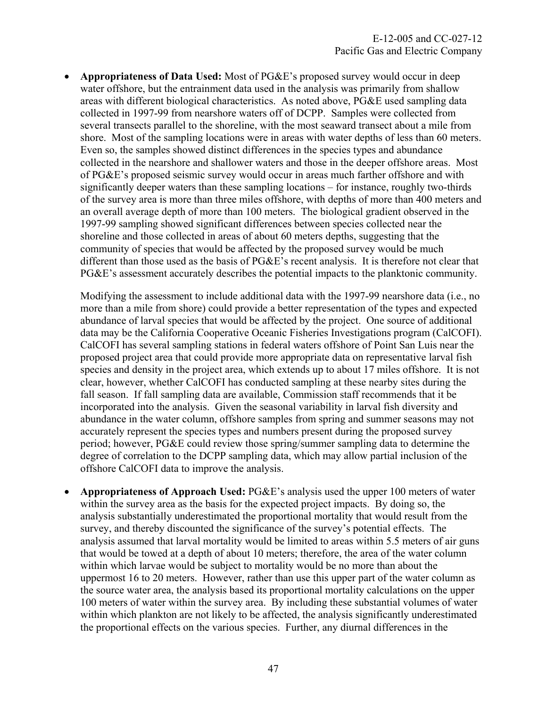**Appropriateness of Data Used:** Most of PG&E's proposed survey would occur in deep water offshore, but the entrainment data used in the analysis was primarily from shallow areas with different biological characteristics. As noted above, PG&E used sampling data collected in 1997-99 from nearshore waters off of DCPP. Samples were collected from several transects parallel to the shoreline, with the most seaward transect about a mile from shore. Most of the sampling locations were in areas with water depths of less than 60 meters. Even so, the samples showed distinct differences in the species types and abundance collected in the nearshore and shallower waters and those in the deeper offshore areas. Most of PG&E's proposed seismic survey would occur in areas much farther offshore and with significantly deeper waters than these sampling locations – for instance, roughly two-thirds of the survey area is more than three miles offshore, with depths of more than 400 meters and an overall average depth of more than 100 meters. The biological gradient observed in the 1997-99 sampling showed significant differences between species collected near the shoreline and those collected in areas of about 60 meters depths, suggesting that the community of species that would be affected by the proposed survey would be much different than those used as the basis of PG&E's recent analysis. It is therefore not clear that PG&E's assessment accurately describes the potential impacts to the planktonic community.

Modifying the assessment to include additional data with the 1997-99 nearshore data (i.e., no more than a mile from shore) could provide a better representation of the types and expected abundance of larval species that would be affected by the project. One source of additional data may be the California Cooperative Oceanic Fisheries Investigations program (CalCOFI). CalCOFI has several sampling stations in federal waters offshore of Point San Luis near the proposed project area that could provide more appropriate data on representative larval fish species and density in the project area, which extends up to about 17 miles offshore. It is not clear, however, whether CalCOFI has conducted sampling at these nearby sites during the fall season. If fall sampling data are available, Commission staff recommends that it be incorporated into the analysis. Given the seasonal variability in larval fish diversity and abundance in the water column, offshore samples from spring and summer seasons may not accurately represent the species types and numbers present during the proposed survey period; however, PG&E could review those spring/summer sampling data to determine the degree of correlation to the DCPP sampling data, which may allow partial inclusion of the offshore CalCOFI data to improve the analysis.

 **Appropriateness of Approach Used:** PG&E's analysis used the upper 100 meters of water within the survey area as the basis for the expected project impacts. By doing so, the analysis substantially underestimated the proportional mortality that would result from the survey, and thereby discounted the significance of the survey's potential effects. The analysis assumed that larval mortality would be limited to areas within 5.5 meters of air guns that would be towed at a depth of about 10 meters; therefore, the area of the water column within which larvae would be subject to mortality would be no more than about the uppermost 16 to 20 meters. However, rather than use this upper part of the water column as the source water area, the analysis based its proportional mortality calculations on the upper 100 meters of water within the survey area. By including these substantial volumes of water within which plankton are not likely to be affected, the analysis significantly underestimated the proportional effects on the various species. Further, any diurnal differences in the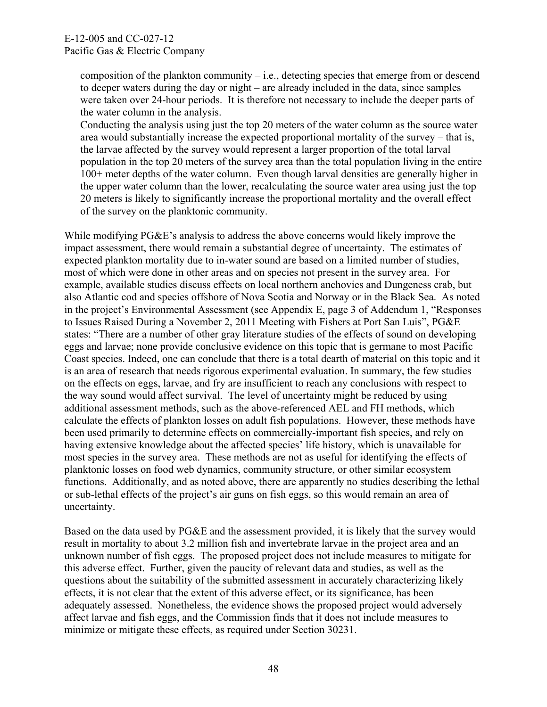composition of the plankton community – i.e., detecting species that emerge from or descend to deeper waters during the day or night – are already included in the data, since samples were taken over 24-hour periods. It is therefore not necessary to include the deeper parts of the water column in the analysis.

Conducting the analysis using just the top 20 meters of the water column as the source water area would substantially increase the expected proportional mortality of the survey – that is, the larvae affected by the survey would represent a larger proportion of the total larval population in the top 20 meters of the survey area than the total population living in the entire 100+ meter depths of the water column. Even though larval densities are generally higher in the upper water column than the lower, recalculating the source water area using just the top 20 meters is likely to significantly increase the proportional mortality and the overall effect of the survey on the planktonic community.

While modifying PG&E's analysis to address the above concerns would likely improve the impact assessment, there would remain a substantial degree of uncertainty. The estimates of expected plankton mortality due to in-water sound are based on a limited number of studies, most of which were done in other areas and on species not present in the survey area. For example, available studies discuss effects on local northern anchovies and Dungeness crab, but also Atlantic cod and species offshore of Nova Scotia and Norway or in the Black Sea. As noted in the project's Environmental Assessment (see Appendix E, page 3 of Addendum 1, "Responses to Issues Raised During a November 2, 2011 Meeting with Fishers at Port San Luis", PG&E states: "There are a number of other gray literature studies of the effects of sound on developing eggs and larvae; none provide conclusive evidence on this topic that is germane to most Pacific Coast species. Indeed, one can conclude that there is a total dearth of material on this topic and it is an area of research that needs rigorous experimental evaluation. In summary, the few studies on the effects on eggs, larvae, and fry are insufficient to reach any conclusions with respect to the way sound would affect survival. The level of uncertainty might be reduced by using additional assessment methods, such as the above-referenced AEL and FH methods, which calculate the effects of plankton losses on adult fish populations. However, these methods have been used primarily to determine effects on commercially-important fish species, and rely on having extensive knowledge about the affected species' life history, which is unavailable for most species in the survey area. These methods are not as useful for identifying the effects of planktonic losses on food web dynamics, community structure, or other similar ecosystem functions. Additionally, and as noted above, there are apparently no studies describing the lethal or sub-lethal effects of the project's air guns on fish eggs, so this would remain an area of uncertainty.

Based on the data used by PG&E and the assessment provided, it is likely that the survey would result in mortality to about 3.2 million fish and invertebrate larvae in the project area and an unknown number of fish eggs. The proposed project does not include measures to mitigate for this adverse effect. Further, given the paucity of relevant data and studies, as well as the questions about the suitability of the submitted assessment in accurately characterizing likely effects, it is not clear that the extent of this adverse effect, or its significance, has been adequately assessed. Nonetheless, the evidence shows the proposed project would adversely affect larvae and fish eggs, and the Commission finds that it does not include measures to minimize or mitigate these effects, as required under Section 30231.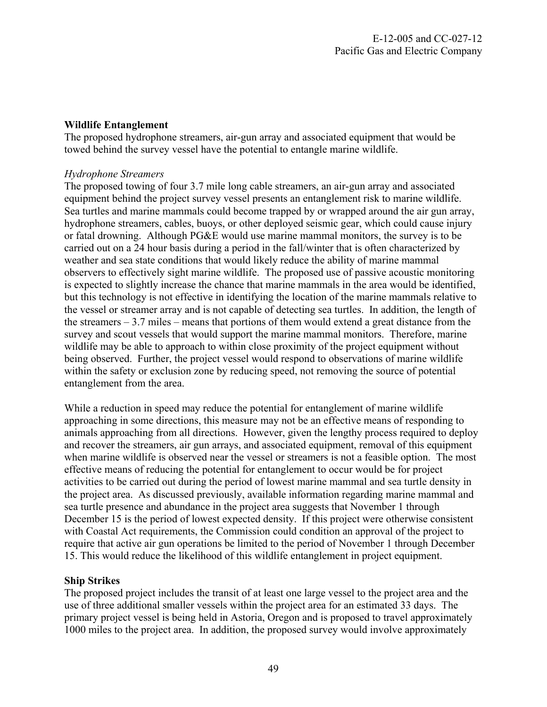## **Wildlife Entanglement**

The proposed hydrophone streamers, air-gun array and associated equipment that would be towed behind the survey vessel have the potential to entangle marine wildlife.

#### *Hydrophone Streamers*

The proposed towing of four 3.7 mile long cable streamers, an air-gun array and associated equipment behind the project survey vessel presents an entanglement risk to marine wildlife. Sea turtles and marine mammals could become trapped by or wrapped around the air gun array, hydrophone streamers, cables, buoys, or other deployed seismic gear, which could cause injury or fatal drowning. Although PG&E would use marine mammal monitors, the survey is to be carried out on a 24 hour basis during a period in the fall/winter that is often characterized by weather and sea state conditions that would likely reduce the ability of marine mammal observers to effectively sight marine wildlife. The proposed use of passive acoustic monitoring is expected to slightly increase the chance that marine mammals in the area would be identified, but this technology is not effective in identifying the location of the marine mammals relative to the vessel or streamer array and is not capable of detecting sea turtles. In addition, the length of the streamers  $-3.7$  miles – means that portions of them would extend a great distance from the survey and scout vessels that would support the marine mammal monitors. Therefore, marine wildlife may be able to approach to within close proximity of the project equipment without being observed. Further, the project vessel would respond to observations of marine wildlife within the safety or exclusion zone by reducing speed, not removing the source of potential entanglement from the area.

While a reduction in speed may reduce the potential for entanglement of marine wildlife approaching in some directions, this measure may not be an effective means of responding to animals approaching from all directions. However, given the lengthy process required to deploy and recover the streamers, air gun arrays, and associated equipment, removal of this equipment when marine wildlife is observed near the vessel or streamers is not a feasible option. The most effective means of reducing the potential for entanglement to occur would be for project activities to be carried out during the period of lowest marine mammal and sea turtle density in the project area. As discussed previously, available information regarding marine mammal and sea turtle presence and abundance in the project area suggests that November 1 through December 15 is the period of lowest expected density. If this project were otherwise consistent with Coastal Act requirements, the Commission could condition an approval of the project to require that active air gun operations be limited to the period of November 1 through December 15. This would reduce the likelihood of this wildlife entanglement in project equipment.

## **Ship Strikes**

The proposed project includes the transit of at least one large vessel to the project area and the use of three additional smaller vessels within the project area for an estimated 33 days. The primary project vessel is being held in Astoria, Oregon and is proposed to travel approximately 1000 miles to the project area. In addition, the proposed survey would involve approximately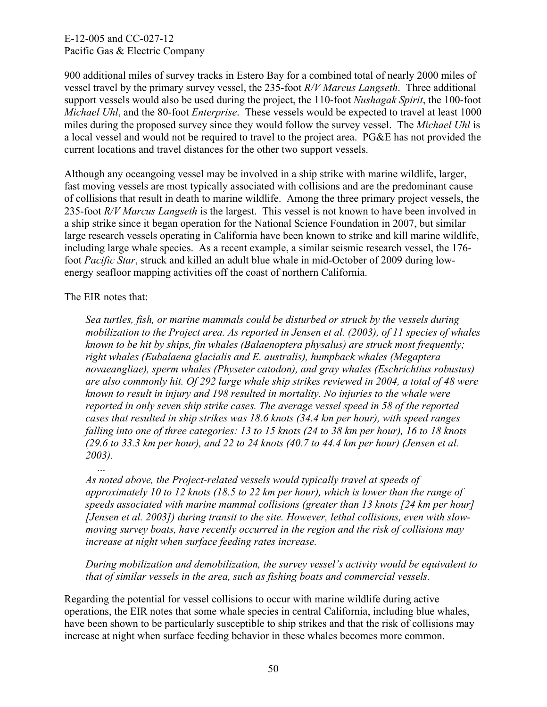900 additional miles of survey tracks in Estero Bay for a combined total of nearly 2000 miles of vessel travel by the primary survey vessel, the 235-foot *R/V Marcus Langseth*. Three additional support vessels would also be used during the project, the 110-foot *Nushagak Spirit*, the 100-foot *Michael Uhl*, and the 80-foot *Enterprise*. These vessels would be expected to travel at least 1000 miles during the proposed survey since they would follow the survey vessel. The *Michael Uhl* is a local vessel and would not be required to travel to the project area. PG&E has not provided the current locations and travel distances for the other two support vessels.

Although any oceangoing vessel may be involved in a ship strike with marine wildlife, larger, fast moving vessels are most typically associated with collisions and are the predominant cause of collisions that result in death to marine wildlife. Among the three primary project vessels, the 235-foot *R/V Marcus Langseth* is the largest. This vessel is not known to have been involved in a ship strike since it began operation for the National Science Foundation in 2007, but similar large research vessels operating in California have been known to strike and kill marine wildlife, including large whale species. As a recent example, a similar seismic research vessel, the 176 foot *Pacific Star*, struck and killed an adult blue whale in mid-October of 2009 during lowenergy seafloor mapping activities off the coast of northern California.

The EIR notes that:

 *…* 

*Sea turtles, fish, or marine mammals could be disturbed or struck by the vessels during mobilization to the Project area. As reported in Jensen et al. (2003), of 11 species of whales known to be hit by ships, fin whales (Balaenoptera physalus) are struck most frequently; right whales (Eubalaena glacialis and E. australis), humpback whales (Megaptera novaeangliae), sperm whales (Physeter catodon), and gray whales (Eschrichtius robustus) are also commonly hit. Of 292 large whale ship strikes reviewed in 2004, a total of 48 were known to result in injury and 198 resulted in mortality. No injuries to the whale were reported in only seven ship strike cases. The average vessel speed in 58 of the reported cases that resulted in ship strikes was 18.6 knots (34.4 km per hour), with speed ranges falling into one of three categories: 13 to 15 knots (24 to 38 km per hour), 16 to 18 knots (29.6 to 33.3 km per hour), and 22 to 24 knots (40.7 to 44.4 km per hour) (Jensen et al. 2003).* 

*As noted above, the Project-related vessels would typically travel at speeds of approximately 10 to 12 knots (18.5 to 22 km per hour), which is lower than the range of speeds associated with marine mammal collisions (greater than 13 knots [24 km per hour] [Jensen et al. 2003]) during transit to the site. However, lethal collisions, even with slowmoving survey boats, have recently occurred in the region and the risk of collisions may increase at night when surface feeding rates increase.* 

*During mobilization and demobilization, the survey vessel's activity would be equivalent to that of similar vessels in the area, such as fishing boats and commercial vessels.* 

Regarding the potential for vessel collisions to occur with marine wildlife during active operations, the EIR notes that some whale species in central California, including blue whales, have been shown to be particularly susceptible to ship strikes and that the risk of collisions may increase at night when surface feeding behavior in these whales becomes more common.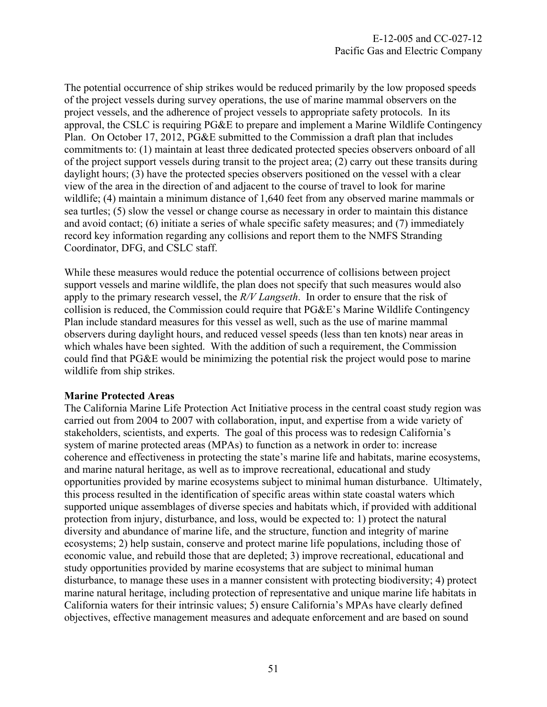The potential occurrence of ship strikes would be reduced primarily by the low proposed speeds of the project vessels during survey operations, the use of marine mammal observers on the project vessels, and the adherence of project vessels to appropriate safety protocols. In its approval, the CSLC is requiring PG&E to prepare and implement a Marine Wildlife Contingency Plan. On October 17, 2012, PG&E submitted to the Commission a draft plan that includes commitments to: (1) maintain at least three dedicated protected species observers onboard of all of the project support vessels during transit to the project area; (2) carry out these transits during daylight hours; (3) have the protected species observers positioned on the vessel with a clear view of the area in the direction of and adjacent to the course of travel to look for marine wildlife; (4) maintain a minimum distance of 1,640 feet from any observed marine mammals or sea turtles; (5) slow the vessel or change course as necessary in order to maintain this distance and avoid contact; (6) initiate a series of whale specific safety measures; and (7) immediately record key information regarding any collisions and report them to the NMFS Stranding Coordinator, DFG, and CSLC staff.

While these measures would reduce the potential occurrence of collisions between project support vessels and marine wildlife, the plan does not specify that such measures would also apply to the primary research vessel, the *R/V Langseth*. In order to ensure that the risk of collision is reduced, the Commission could require that PG&E's Marine Wildlife Contingency Plan include standard measures for this vessel as well, such as the use of marine mammal observers during daylight hours, and reduced vessel speeds (less than ten knots) near areas in which whales have been sighted. With the addition of such a requirement, the Commission could find that PG&E would be minimizing the potential risk the project would pose to marine wildlife from ship strikes.

#### **Marine Protected Areas**

The California Marine Life Protection Act Initiative process in the central coast study region was carried out from 2004 to 2007 with collaboration, input, and expertise from a wide variety of stakeholders, scientists, and experts. The goal of this process was to redesign California's system of marine protected areas (MPAs) to function as a network in order to: increase coherence and effectiveness in protecting the state's marine life and habitats, marine ecosystems, and marine natural heritage, as well as to improve recreational, educational and study opportunities provided by marine ecosystems subject to minimal human disturbance. Ultimately, this process resulted in the identification of specific areas within state coastal waters which supported unique assemblages of diverse species and habitats which, if provided with additional protection from injury, disturbance, and loss, would be expected to: 1) protect the natural diversity and abundance of marine life, and the structure, function and integrity of marine ecosystems; 2) help sustain, conserve and protect marine life populations, including those of economic value, and rebuild those that are depleted; 3) improve recreational, educational and study opportunities provided by marine ecosystems that are subject to minimal human disturbance, to manage these uses in a manner consistent with protecting biodiversity; 4) protect marine natural heritage, including protection of representative and unique marine life habitats in California waters for their intrinsic values; 5) ensure California's MPAs have clearly defined objectives, effective management measures and adequate enforcement and are based on sound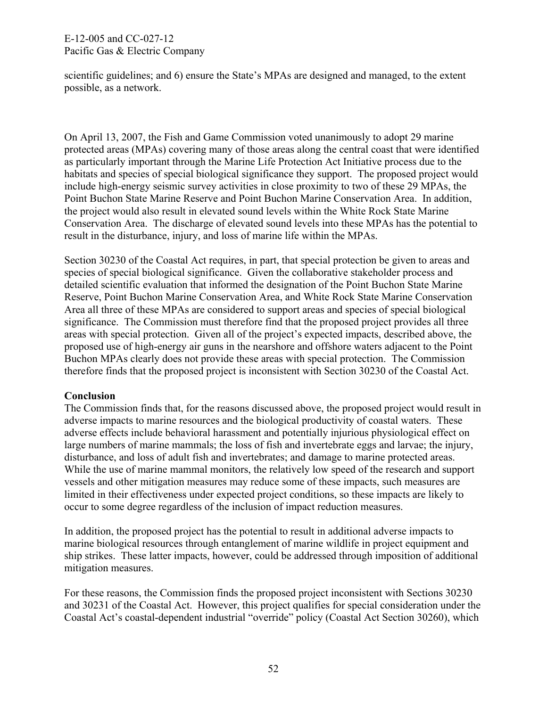scientific guidelines; and 6) ensure the State's MPAs are designed and managed, to the extent possible, as a network.

On April 13, 2007, the Fish and Game Commission voted unanimously to adopt 29 marine protected areas (MPAs) covering many of those areas along the central coast that were identified as particularly important through the Marine Life Protection Act Initiative process due to the habitats and species of special biological significance they support. The proposed project would include high-energy seismic survey activities in close proximity to two of these 29 MPAs, the Point Buchon State Marine Reserve and Point Buchon Marine Conservation Area. In addition, the project would also result in elevated sound levels within the White Rock State Marine Conservation Area. The discharge of elevated sound levels into these MPAs has the potential to result in the disturbance, injury, and loss of marine life within the MPAs.

Section 30230 of the Coastal Act requires, in part, that special protection be given to areas and species of special biological significance. Given the collaborative stakeholder process and detailed scientific evaluation that informed the designation of the Point Buchon State Marine Reserve, Point Buchon Marine Conservation Area, and White Rock State Marine Conservation Area all three of these MPAs are considered to support areas and species of special biological significance. The Commission must therefore find that the proposed project provides all three areas with special protection. Given all of the project's expected impacts, described above, the proposed use of high-energy air guns in the nearshore and offshore waters adjacent to the Point Buchon MPAs clearly does not provide these areas with special protection. The Commission therefore finds that the proposed project is inconsistent with Section 30230 of the Coastal Act.

#### **Conclusion**

The Commission finds that, for the reasons discussed above, the proposed project would result in adverse impacts to marine resources and the biological productivity of coastal waters. These adverse effects include behavioral harassment and potentially injurious physiological effect on large numbers of marine mammals; the loss of fish and invertebrate eggs and larvae; the injury, disturbance, and loss of adult fish and invertebrates; and damage to marine protected areas. While the use of marine mammal monitors, the relatively low speed of the research and support vessels and other mitigation measures may reduce some of these impacts, such measures are limited in their effectiveness under expected project conditions, so these impacts are likely to occur to some degree regardless of the inclusion of impact reduction measures.

In addition, the proposed project has the potential to result in additional adverse impacts to marine biological resources through entanglement of marine wildlife in project equipment and ship strikes. These latter impacts, however, could be addressed through imposition of additional mitigation measures.

For these reasons, the Commission finds the proposed project inconsistent with Sections 30230 and 30231 of the Coastal Act. However, this project qualifies for special consideration under the Coastal Act's coastal-dependent industrial "override" policy (Coastal Act Section 30260), which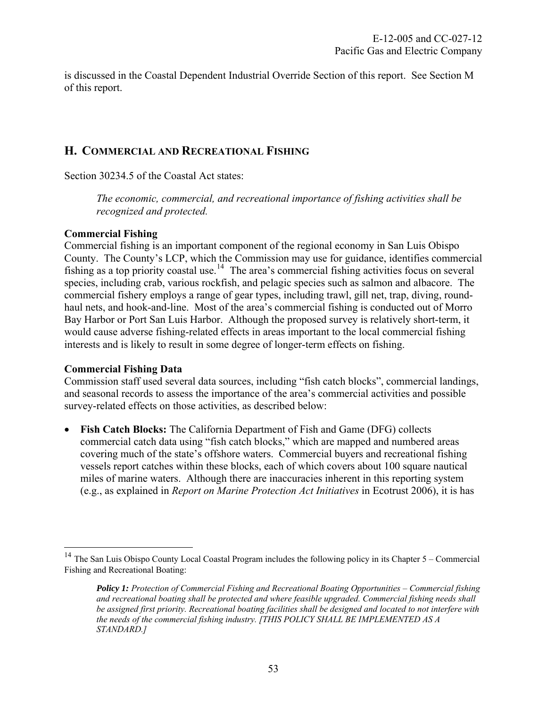is discussed in the Coastal Dependent Industrial Override Section of this report. See Section M of this report.

## **H. COMMERCIAL AND RECREATIONAL FISHING**

Section 30234.5 of the Coastal Act states:

*The economic, commercial, and recreational importance of fishing activities shall be recognized and protected.* 

## **Commercial Fishing**

Commercial fishing is an important component of the regional economy in San Luis Obispo County. The County's LCP, which the Commission may use for guidance, identifies commercial fishing as a top priority coastal use.<sup>[14](#page-53-0)</sup> The area's commercial fishing activities focus on several species, including crab, various rockfish, and pelagic species such as salmon and albacore. The commercial fishery employs a range of gear types, including trawl, gill net, trap, diving, roundhaul nets, and hook-and-line. Most of the area's commercial fishing is conducted out of Morro Bay Harbor or Port San Luis Harbor. Although the proposed survey is relatively short-term, it would cause adverse fishing-related effects in areas important to the local commercial fishing interests and is likely to result in some degree of longer-term effects on fishing.

#### **Commercial Fishing Data**

 $\overline{a}$ 

Commission staff used several data sources, including "fish catch blocks", commercial landings, and seasonal records to assess the importance of the area's commercial activities and possible survey-related effects on those activities, as described below:

 **Fish Catch Blocks:** The California Department of Fish and Game (DFG) collects commercial catch data using "fish catch blocks," which are mapped and numbered areas covering much of the state's offshore waters. Commercial buyers and recreational fishing vessels report catches within these blocks, each of which covers about 100 square nautical miles of marine waters. Although there are inaccuracies inherent in this reporting system (e.g., as explained in *Report on Marine Protection Act Initiatives* in Ecotrust 2006), it is has

<span id="page-53-0"></span><sup>&</sup>lt;sup>14</sup> The San Luis Obispo County Local Coastal Program includes the following policy in its Chapter  $5 -$ Commercial Fishing and Recreational Boating:

*Policy 1: Protection of Commercial Fishing and Recreational Boating Opportunities – Commercial fishing and recreational boating shall be protected and where feasible upgraded. Commercial fishing needs shall be assigned first priority. Recreational boating facilities shall be designed and located to not interfere with the needs of the commercial fishing industry. [THIS POLICY SHALL BE IMPLEMENTED AS A STANDARD.]*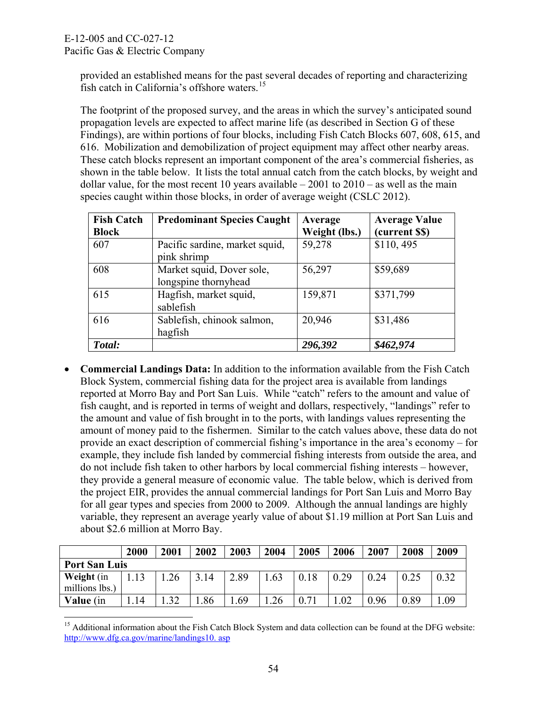provided an established means for the past several decades of reporting and characterizing fish catch in California's offshore waters.<sup>15</sup>

The footprint of the proposed survey, and the areas in which the survey's anticipated sound propagation levels are expected to affect marine life (as described in Section G of these Findings), are within portions of four blocks, including Fish Catch Blocks 607, 608, 615, and 616. Mobilization and demobilization of project equipment may affect other nearby areas. These catch blocks represent an important component of the area's commercial fisheries, as shown in the table below. It lists the total annual catch from the catch blocks, by weight and dollar value, for the most recent 10 years available  $-2001$  to  $2010 -$  as well as the main species caught within those blocks, in order of average weight (CSLC 2012).

| <b>Fish Catch</b> | <b>Predominant Species Caught</b> | Average       | <b>Average Value</b> |  |
|-------------------|-----------------------------------|---------------|----------------------|--|
| <b>Block</b>      |                                   | Weight (lbs.) | (current \$\$)       |  |
| 607               | Pacific sardine, market squid,    | 59,278        | \$110,495            |  |
|                   | pink shrimp                       |               |                      |  |
| 608               | Market squid, Dover sole,         | 56,297        | \$59,689             |  |
|                   | longspine thornyhead              |               |                      |  |
| 615               | Hagfish, market squid,            | 159,871       | \$371,799            |  |
|                   | sablefish                         |               |                      |  |
| 616               | Sablefish, chinook salmon,        | 20,946        | \$31,486             |  |
|                   | hagfish                           |               |                      |  |
| Total:            |                                   | 296,392       | \$462,974            |  |

 **Commercial Landings Data:** In addition to the information available from the Fish Catch Block System, commercial fishing data for the project area is available from landings reported at Morro Bay and Port San Luis. While "catch" refers to the amount and value of fish caught, and is reported in terms of weight and dollars, respectively, "landings" refer to the amount and value of fish brought in to the ports, with landings values representing the amount of money paid to the fishermen. Similar to the catch values above, these data do not provide an exact description of commercial fishing's importance in the area's economy – for example, they include fish landed by commercial fishing interests from outside the area, and do not include fish taken to other harbors by local commercial fishing interests – however, they provide a general measure of economic value. The table below, which is derived from the project EIR, provides the annual commercial landings for Port San Luis and Morro Bay for all gear types and species from 2000 to 2009. Although the annual landings are highly variable, they represent an average yearly value of about \$1.19 million at Port San Luis and about \$2.6 million at Morro Bay.

|                                     | 2000 | 2001        | 2002 | 2003 | 2004 | 2005 | 2006 | 2007 | 2008 | 2009 |
|-------------------------------------|------|-------------|------|------|------|------|------|------|------|------|
| <b>Port San Luis</b>                |      |             |      |      |      |      |      |      |      |      |
| <b>Weight</b> (in<br>millions lbs.) | 13   | 26          | 14   | 2.89 | .63  | 0.18 | 0.29 | 0.24 | 0.25 | 0.32 |
| Value (in                           | 14   | $2^{\circ}$ | .86  | .69  | 26   |      | .02  | 0.96 | 0.89 | 0.09 |

 $\overline{a}$ <sup>15</sup> Additional information about the Fish Catch Block System and data collection can be found at the DFG website: [http://www.dfg.ca.gov/marine/landings10. asp](http://www.dfg.ca.gov/marine/landings10.%20asp)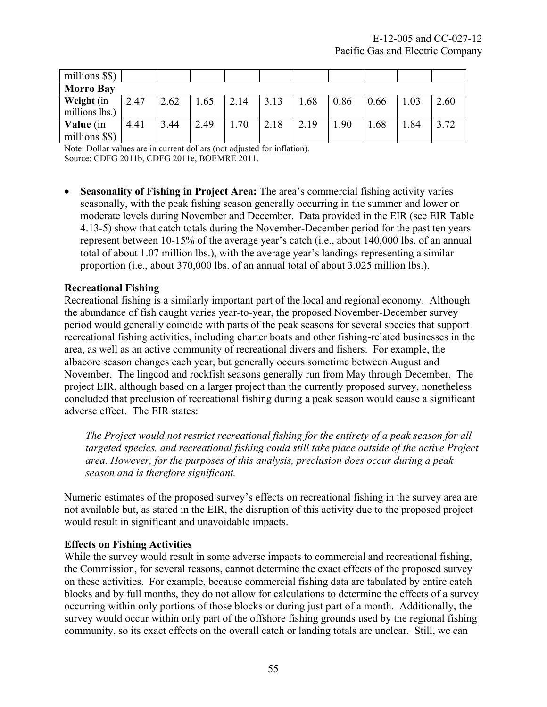| millions \$\$)   |      |      |      |      |      |      |      |      |      |      |
|------------------|------|------|------|------|------|------|------|------|------|------|
| <b>Morro Bay</b> |      |      |      |      |      |      |      |      |      |      |
| Weight (in       | 2.47 | 2.62 | .65  | 2.14 | 3.13 | .68  | 0.86 | 0.66 | 1.03 | 2.60 |
| millions lbs.)   |      |      |      |      |      |      |      |      |      |      |
| <b>Value</b> (in | 4.41 | 3.44 | 2.49 | 1.70 | 2.18 | 2.19 | 1.90 | 1.68 | 1.84 | 3.72 |
| millions \$\$)   |      |      |      |      |      |      |      |      |      |      |

Note: Dollar values are in current dollars (not adjusted for inflation). Source: CDFG 2011b, CDFG 2011e, BOEMRE 2011.

 **Seasonality of Fishing in Project Area:** The area's commercial fishing activity varies seasonally, with the peak fishing season generally occurring in the summer and lower or moderate levels during November and December. Data provided in the EIR (see EIR Table 4.13-5) show that catch totals during the November-December period for the past ten years represent between 10-15% of the average year's catch (i.e., about 140,000 lbs. of an annual total of about 1.07 million lbs.), with the average year's landings representing a similar proportion (i.e., about 370,000 lbs. of an annual total of about 3.025 million lbs.).

## **Recreational Fishing**

Recreational fishing is a similarly important part of the local and regional economy. Although the abundance of fish caught varies year-to-year, the proposed November-December survey period would generally coincide with parts of the peak seasons for several species that support recreational fishing activities, including charter boats and other fishing-related businesses in the area, as well as an active community of recreational divers and fishers. For example, the albacore season changes each year, but generally occurs sometime between August and November. The lingcod and rockfish seasons generally run from May through December. The project EIR, although based on a larger project than the currently proposed survey, nonetheless concluded that preclusion of recreational fishing during a peak season would cause a significant adverse effect. The EIR states:

*The Project would not restrict recreational fishing for the entirety of a peak season for all targeted species, and recreational fishing could still take place outside of the active Project area. However, for the purposes of this analysis, preclusion does occur during a peak season and is therefore significant.*

Numeric estimates of the proposed survey's effects on recreational fishing in the survey area are not available but, as stated in the EIR, the disruption of this activity due to the proposed project would result in significant and unavoidable impacts.

#### **Effects on Fishing Activities**

While the survey would result in some adverse impacts to commercial and recreational fishing, the Commission, for several reasons, cannot determine the exact effects of the proposed survey on these activities. For example, because commercial fishing data are tabulated by entire catch blocks and by full months, they do not allow for calculations to determine the effects of a survey occurring within only portions of those blocks or during just part of a month. Additionally, the survey would occur within only part of the offshore fishing grounds used by the regional fishing community, so its exact effects on the overall catch or landing totals are unclear. Still, we can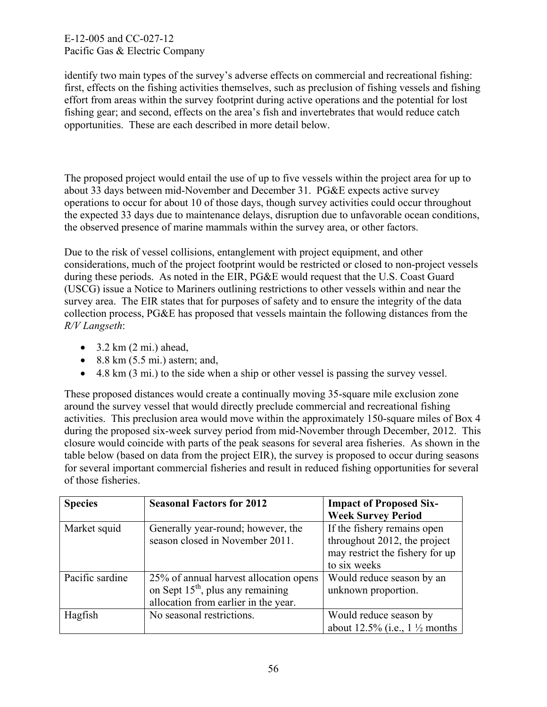identify two main types of the survey's adverse effects on commercial and recreational fishing: first, effects on the fishing activities themselves, such as preclusion of fishing vessels and fishing effort from areas within the survey footprint during active operations and the potential for lost fishing gear; and second, effects on the area's fish and invertebrates that would reduce catch opportunities. These are each described in more detail below.

The proposed project would entail the use of up to five vessels within the project area for up to about 33 days between mid-November and December 31. PG&E expects active survey operations to occur for about 10 of those days, though survey activities could occur throughout the expected 33 days due to maintenance delays, disruption due to unfavorable ocean conditions, the observed presence of marine mammals within the survey area, or other factors.

Due to the risk of vessel collisions, entanglement with project equipment, and other considerations, much of the project footprint would be restricted or closed to non-project vessels during these periods. As noted in the EIR, PG&E would request that the U.S. Coast Guard (USCG) issue a Notice to Mariners outlining restrictions to other vessels within and near the survey area. The EIR states that for purposes of safety and to ensure the integrity of the data collection process, PG&E has proposed that vessels maintain the following distances from the *R/V Langseth*:

- $\bullet$  3.2 km (2 mi.) ahead,
- $\bullet$  8.8 km (5.5 mi.) astern; and,
- 4.8 km (3 mi.) to the side when a ship or other vessel is passing the survey vessel.

These proposed distances would create a continually moving 35-square mile exclusion zone around the survey vessel that would directly preclude commercial and recreational fishing activities. This preclusion area would move within the approximately 150-square miles of Box 4 during the proposed six-week survey period from mid-November through December, 2012. This closure would coincide with parts of the peak seasons for several area fisheries. As shown in the table below (based on data from the project EIR), the survey is proposed to occur during seasons for several important commercial fisheries and result in reduced fishing opportunities for several of those fisheries.

| <b>Species</b>  | <b>Seasonal Factors for 2012</b>       | <b>Impact of Proposed Six-</b>           |
|-----------------|----------------------------------------|------------------------------------------|
|                 |                                        | <b>Week Survey Period</b>                |
| Market squid    | Generally year-round; however, the     | If the fishery remains open              |
|                 | season closed in November 2011.        | throughout 2012, the project             |
|                 |                                        | may restrict the fishery for up          |
|                 |                                        | to six weeks                             |
| Pacific sardine | 25% of annual harvest allocation opens | Would reduce season by an                |
|                 | on Sept $15th$ , plus any remaining    | unknown proportion.                      |
|                 | allocation from earlier in the year.   |                                          |
| Hagfish         | No seasonal restrictions.              | Would reduce season by                   |
|                 |                                        | about 12.5% (i.e., $1\frac{1}{2}$ months |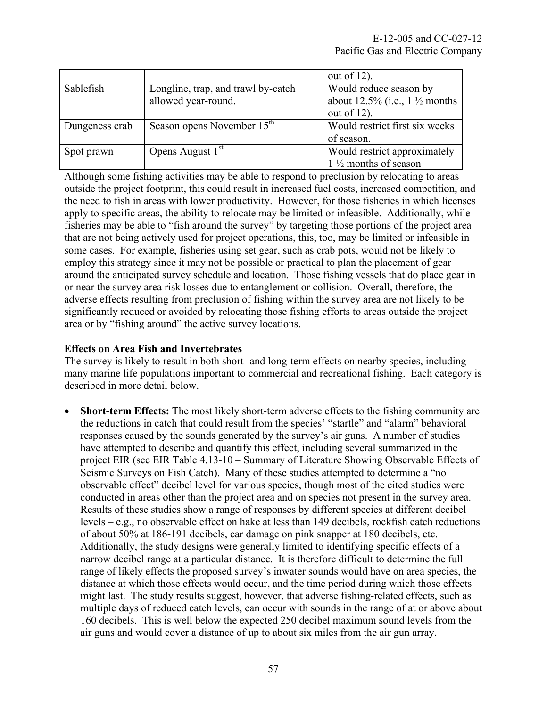|                |                                        | out of $12$ ).                           |
|----------------|----------------------------------------|------------------------------------------|
| Sablefish      | Longline, trap, and trawl by-catch     | Would reduce season by                   |
|                | allowed year-round.                    | about 12.5% (i.e., $1\frac{1}{2}$ months |
|                |                                        | out of $12$ ).                           |
| Dungeness crab | Season opens November 15 <sup>th</sup> | Would restrict first six weeks           |
|                |                                        | of season.                               |
| Spot prawn     | Opens August 1 <sup>st</sup>           | Would restrict approximately             |
|                |                                        | $1\frac{1}{2}$ months of season          |

Although some fishing activities may be able to respond to preclusion by relocating to areas outside the project footprint, this could result in increased fuel costs, increased competition, and the need to fish in areas with lower productivity. However, for those fisheries in which licenses apply to specific areas, the ability to relocate may be limited or infeasible. Additionally, while fisheries may be able to "fish around the survey" by targeting those portions of the project area that are not being actively used for project operations, this, too, may be limited or infeasible in some cases. For example, fisheries using set gear, such as crab pots, would not be likely to employ this strategy since it may not be possible or practical to plan the placement of gear around the anticipated survey schedule and location. Those fishing vessels that do place gear in or near the survey area risk losses due to entanglement or collision. Overall, therefore, the adverse effects resulting from preclusion of fishing within the survey area are not likely to be significantly reduced or avoided by relocating those fishing efforts to areas outside the project area or by "fishing around" the active survey locations.

## **Effects on Area Fish and Invertebrates**

The survey is likely to result in both short- and long-term effects on nearby species, including many marine life populations important to commercial and recreational fishing. Each category is described in more detail below.

 **Short-term Effects:** The most likely short-term adverse effects to the fishing community are the reductions in catch that could result from the species' "startle" and "alarm" behavioral responses caused by the sounds generated by the survey's air guns. A number of studies have attempted to describe and quantify this effect, including several summarized in the project EIR (see EIR Table 4.13-10 – Summary of Literature Showing Observable Effects of Seismic Surveys on Fish Catch). Many of these studies attempted to determine a "no observable effect" decibel level for various species, though most of the cited studies were conducted in areas other than the project area and on species not present in the survey area. Results of these studies show a range of responses by different species at different decibel levels – e.g., no observable effect on hake at less than 149 decibels, rockfish catch reductions of about 50% at 186-191 decibels, ear damage on pink snapper at 180 decibels, etc. Additionally, the study designs were generally limited to identifying specific effects of a narrow decibel range at a particular distance. It is therefore difficult to determine the full range of likely effects the proposed survey's inwater sounds would have on area species, the distance at which those effects would occur, and the time period during which those effects might last. The study results suggest, however, that adverse fishing-related effects, such as multiple days of reduced catch levels, can occur with sounds in the range of at or above about 160 decibels. This is well below the expected 250 decibel maximum sound levels from the air guns and would cover a distance of up to about six miles from the air gun array.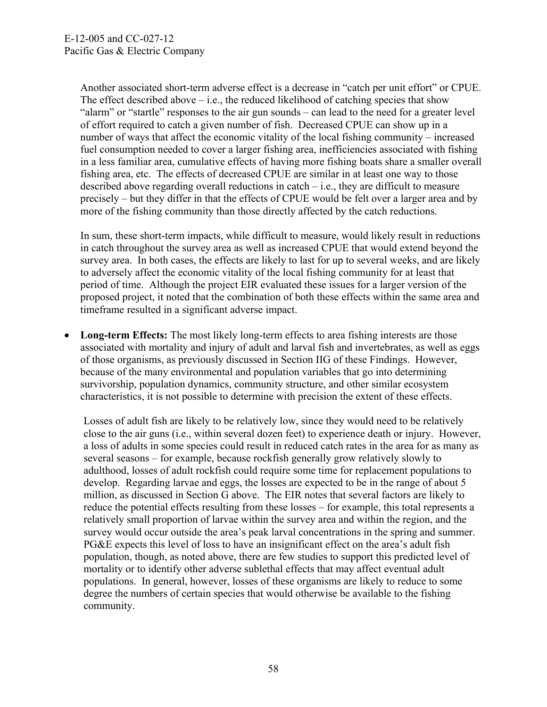Another associated short-term adverse effect is a decrease in "catch per unit effort" or CPUE. The effect described above  $-$  i.e., the reduced likelihood of catching species that show "alarm" or "startle" responses to the air gun sounds – can lead to the need for a greater level of effort required to catch a given number of fish. Decreased CPUE can show up in a number of ways that affect the economic vitality of the local fishing community – increased fuel consumption needed to cover a larger fishing area, inefficiencies associated with fishing in a less familiar area, cumulative effects of having more fishing boats share a smaller overall fishing area, etc. The effects of decreased CPUE are similar in at least one way to those described above regarding overall reductions in catch – i.e., they are difficult to measure precisely – but they differ in that the effects of CPUE would be felt over a larger area and by more of the fishing community than those directly affected by the catch reductions.

In sum, these short-term impacts, while difficult to measure, would likely result in reductions in catch throughout the survey area as well as increased CPUE that would extend beyond the survey area. In both cases, the effects are likely to last for up to several weeks, and are likely to adversely affect the economic vitality of the local fishing community for at least that period of time. Although the project EIR evaluated these issues for a larger version of the proposed project, it noted that the combination of both these effects within the same area and timeframe resulted in a significant adverse impact.

 **Long-term Effects:** The most likely long-term effects to area fishing interests are those associated with mortality and injury of adult and larval fish and invertebrates, as well as eggs of those organisms, as previously discussed in Section IIG of these Findings. However, because of the many environmental and population variables that go into determining survivorship, population dynamics, community structure, and other similar ecosystem characteristics, it is not possible to determine with precision the extent of these effects.

Losses of adult fish are likely to be relatively low, since they would need to be relatively close to the air guns (i.e., within several dozen feet) to experience death or injury. However, a loss of adults in some species could result in reduced catch rates in the area for as many as several seasons – for example, because rockfish generally grow relatively slowly to adulthood, losses of adult rockfish could require some time for replacement populations to develop. Regarding larvae and eggs, the losses are expected to be in the range of about 5 million, as discussed in Section G above. The EIR notes that several factors are likely to reduce the potential effects resulting from these losses – for example, this total represents a relatively small proportion of larvae within the survey area and within the region, and the survey would occur outside the area's peak larval concentrations in the spring and summer. PG&E expects this level of loss to have an insignificant effect on the area's adult fish population, though, as noted above, there are few studies to support this predicted level of mortality or to identify other adverse sublethal effects that may affect eventual adult populations. In general, however, losses of these organisms are likely to reduce to some degree the numbers of certain species that would otherwise be available to the fishing community.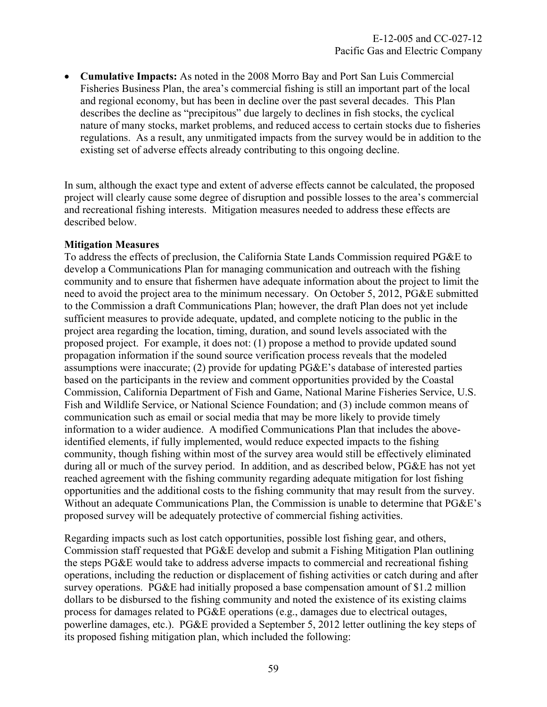**Cumulative Impacts:** As noted in the 2008 Morro Bay and Port San Luis Commercial Fisheries Business Plan, the area's commercial fishing is still an important part of the local and regional economy, but has been in decline over the past several decades. This Plan describes the decline as "precipitous" due largely to declines in fish stocks, the cyclical nature of many stocks, market problems, and reduced access to certain stocks due to fisheries regulations. As a result, any unmitigated impacts from the survey would be in addition to the existing set of adverse effects already contributing to this ongoing decline.

In sum, although the exact type and extent of adverse effects cannot be calculated, the proposed project will clearly cause some degree of disruption and possible losses to the area's commercial and recreational fishing interests. Mitigation measures needed to address these effects are described below.

#### **Mitigation Measures**

To address the effects of preclusion, the California State Lands Commission required PG&E to develop a Communications Plan for managing communication and outreach with the fishing community and to ensure that fishermen have adequate information about the project to limit the need to avoid the project area to the minimum necessary. On October 5, 2012, PG&E submitted to the Commission a draft Communications Plan; however, the draft Plan does not yet include sufficient measures to provide adequate, updated, and complete noticing to the public in the project area regarding the location, timing, duration, and sound levels associated with the proposed project. For example, it does not: (1) propose a method to provide updated sound propagation information if the sound source verification process reveals that the modeled assumptions were inaccurate; (2) provide for updating PG&E's database of interested parties based on the participants in the review and comment opportunities provided by the Coastal Commission, California Department of Fish and Game, National Marine Fisheries Service, U.S. Fish and Wildlife Service, or National Science Foundation; and (3) include common means of communication such as email or social media that may be more likely to provide timely information to a wider audience. A modified Communications Plan that includes the aboveidentified elements, if fully implemented, would reduce expected impacts to the fishing community, though fishing within most of the survey area would still be effectively eliminated during all or much of the survey period. In addition, and as described below, PG&E has not yet reached agreement with the fishing community regarding adequate mitigation for lost fishing opportunities and the additional costs to the fishing community that may result from the survey. Without an adequate Communications Plan, the Commission is unable to determine that PG&E's proposed survey will be adequately protective of commercial fishing activities.

Regarding impacts such as lost catch opportunities, possible lost fishing gear, and others, Commission staff requested that PG&E develop and submit a Fishing Mitigation Plan outlining the steps PG&E would take to address adverse impacts to commercial and recreational fishing operations, including the reduction or displacement of fishing activities or catch during and after survey operations. PG&E had initially proposed a base compensation amount of \$1.2 million dollars to be disbursed to the fishing community and noted the existence of its existing claims process for damages related to PG&E operations (e.g., damages due to electrical outages, powerline damages, etc.). PG&E provided a September 5, 2012 letter outlining the key steps of its proposed fishing mitigation plan, which included the following: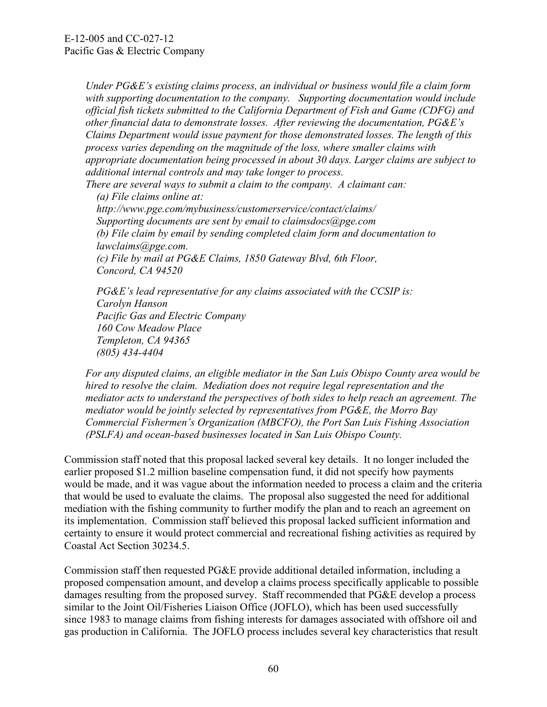*Under PG&E's existing claims process, an individual or business would file a claim form with supporting documentation to the company. Supporting documentation would include official fish tickets submitted to the California Department of Fish and Game (CDFG) and other financial data to demonstrate losses. After reviewing the documentation, PG&E's Claims Department would issue payment for those demonstrated losses. The length of this process varies depending on the magnitude of the loss, where smaller claims with appropriate documentation being processed in about 30 days. Larger claims are subject to additional internal controls and may take longer to process.* 

*There are several ways to submit a claim to the company. A claimant can:* 

 *(a) File claims online at: http://www.pge.com/mybusiness/customerservice/contact/claims/ Supporting documents are sent by email to claimsdocs@pge.com (b) File claim by email by sending completed claim form and documentation to lawclaims@pge.com. (c) File by mail at PG&E Claims, 1850 Gateway Blvd, 6th Floor, Concord, CA 94520* 

 *PG&E's lead representative for any claims associated with the CCSIP is: Carolyn Hanson Pacific Gas and Electric Company 160 Cow Meadow Place Templeton, CA 94365 (805) 434-4404* 

*For any disputed claims, an eligible mediator in the San Luis Obispo County area would be hired to resolve the claim. Mediation does not require legal representation and the mediator acts to understand the perspectives of both sides to help reach an agreement. The mediator would be jointly selected by representatives from PG&E, the Morro Bay Commercial Fishermen's Organization (MBCFO), the Port San Luis Fishing Association (PSLFA) and ocean-based businesses located in San Luis Obispo County.* 

Commission staff noted that this proposal lacked several key details. It no longer included the earlier proposed \$1.2 million baseline compensation fund, it did not specify how payments would be made, and it was vague about the information needed to process a claim and the criteria that would be used to evaluate the claims. The proposal also suggested the need for additional mediation with the fishing community to further modify the plan and to reach an agreement on its implementation. Commission staff believed this proposal lacked sufficient information and certainty to ensure it would protect commercial and recreational fishing activities as required by Coastal Act Section 30234.5.

Commission staff then requested PG&E provide additional detailed information, including a proposed compensation amount, and develop a claims process specifically applicable to possible damages resulting from the proposed survey. Staff recommended that PG&E develop a process similar to the Joint Oil/Fisheries Liaison Office (JOFLO), which has been used successfully since 1983 to manage claims from fishing interests for damages associated with offshore oil and gas production in California. The JOFLO process includes several key characteristics that result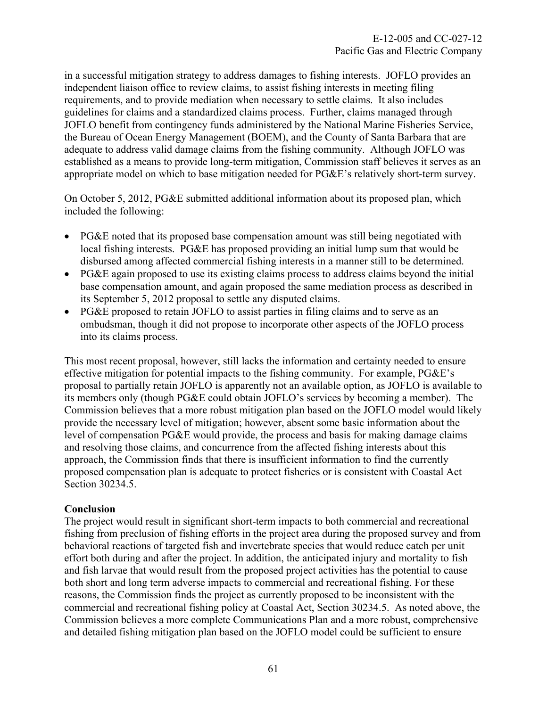in a successful mitigation strategy to address damages to fishing interests. JOFLO provides an independent liaison office to review claims, to assist fishing interests in meeting filing requirements, and to provide mediation when necessary to settle claims. It also includes guidelines for claims and a standardized claims process. Further, claims managed through JOFLO benefit from contingency funds administered by the National Marine Fisheries Service, the Bureau of Ocean Energy Management (BOEM), and the County of Santa Barbara that are adequate to address valid damage claims from the fishing community. Although JOFLO was established as a means to provide long-term mitigation, Commission staff believes it serves as an appropriate model on which to base mitigation needed for PG&E's relatively short-term survey.

On October 5, 2012, PG&E submitted additional information about its proposed plan, which included the following:

- PG&E noted that its proposed base compensation amount was still being negotiated with local fishing interests. PG&E has proposed providing an initial lump sum that would be disbursed among affected commercial fishing interests in a manner still to be determined.
- PG&E again proposed to use its existing claims process to address claims beyond the initial base compensation amount, and again proposed the same mediation process as described in its September 5, 2012 proposal to settle any disputed claims.
- PG&E proposed to retain JOFLO to assist parties in filing claims and to serve as an ombudsman, though it did not propose to incorporate other aspects of the JOFLO process into its claims process.

This most recent proposal, however, still lacks the information and certainty needed to ensure effective mitigation for potential impacts to the fishing community. For example, PG&E's proposal to partially retain JOFLO is apparently not an available option, as JOFLO is available to its members only (though PG&E could obtain JOFLO's services by becoming a member). The Commission believes that a more robust mitigation plan based on the JOFLO model would likely provide the necessary level of mitigation; however, absent some basic information about the level of compensation PG&E would provide, the process and basis for making damage claims and resolving those claims, and concurrence from the affected fishing interests about this approach, the Commission finds that there is insufficient information to find the currently proposed compensation plan is adequate to protect fisheries or is consistent with Coastal Act Section 30234.5.

## **Conclusion**

The project would result in significant short-term impacts to both commercial and recreational fishing from preclusion of fishing efforts in the project area during the proposed survey and from behavioral reactions of targeted fish and invertebrate species that would reduce catch per unit effort both during and after the project. In addition, the anticipated injury and mortality to fish and fish larvae that would result from the proposed project activities has the potential to cause both short and long term adverse impacts to commercial and recreational fishing. For these reasons, the Commission finds the project as currently proposed to be inconsistent with the commercial and recreational fishing policy at Coastal Act, Section 30234.5. As noted above, the Commission believes a more complete Communications Plan and a more robust, comprehensive and detailed fishing mitigation plan based on the JOFLO model could be sufficient to ensure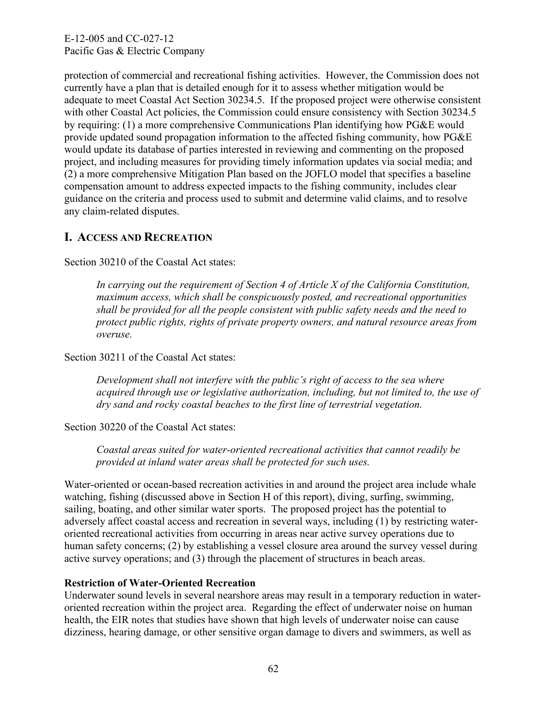protection of commercial and recreational fishing activities. However, the Commission does not currently have a plan that is detailed enough for it to assess whether mitigation would be adequate to meet Coastal Act Section 30234.5. If the proposed project were otherwise consistent with other Coastal Act policies, the Commission could ensure consistency with Section 30234.5 by requiring: (1) a more comprehensive Communications Plan identifying how PG&E would provide updated sound propagation information to the affected fishing community, how PG&E would update its database of parties interested in reviewing and commenting on the proposed project, and including measures for providing timely information updates via social media; and (2) a more comprehensive Mitigation Plan based on the JOFLO model that specifies a baseline compensation amount to address expected impacts to the fishing community, includes clear guidance on the criteria and process used to submit and determine valid claims, and to resolve any claim-related disputes.

# **I. ACCESS AND RECREATION**

Section 30210 of the Coastal Act states:

*In carrying out the requirement of Section 4 of Article X of the California Constitution, maximum access, which shall be conspicuously posted, and recreational opportunities shall be provided for all the people consistent with public safety needs and the need to protect public rights, rights of private property owners, and natural resource areas from overuse.* 

Section 30211 of the Coastal Act states:

*Development shall not interfere with the public's right of access to the sea where acquired through use or legislative authorization, including, but not limited to, the use of dry sand and rocky coastal beaches to the first line of terrestrial vegetation.* 

Section 30220 of the Coastal Act states:

*Coastal areas suited for water-oriented recreational activities that cannot readily be provided at inland water areas shall be protected for such uses.* 

Water-oriented or ocean-based recreation activities in and around the project area include whale watching, fishing (discussed above in Section H of this report), diving, surfing, swimming, sailing, boating, and other similar water sports. The proposed project has the potential to adversely affect coastal access and recreation in several ways, including (1) by restricting wateroriented recreational activities from occurring in areas near active survey operations due to human safety concerns; (2) by establishing a vessel closure area around the survey vessel during active survey operations; and (3) through the placement of structures in beach areas.

## **Restriction of Water-Oriented Recreation**

Underwater sound levels in several nearshore areas may result in a temporary reduction in wateroriented recreation within the project area. Regarding the effect of underwater noise on human health, the EIR notes that studies have shown that high levels of underwater noise can cause dizziness, hearing damage, or other sensitive organ damage to divers and swimmers, as well as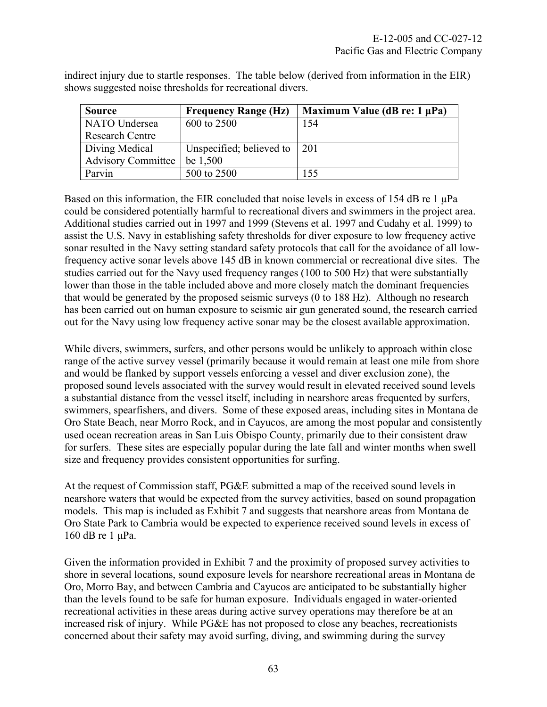| <b>Source</b>             | <b>Frequency Range (Hz)</b> | Maximum Value (dB re: $1 \mu Pa$ ) |
|---------------------------|-----------------------------|------------------------------------|
| NATO Undersea             | 600 to 2500                 | 154                                |
| <b>Research Centre</b>    |                             |                                    |
| Diving Medical            | Unspecified; believed to    | $\mid$ 201                         |
| <b>Advisory Committee</b> | be 1,500                    |                                    |
| Parvin                    | 500 to 2500                 | 155                                |

indirect injury due to startle responses. The table below (derived from information in the EIR) shows suggested noise thresholds for recreational divers.

Based on this information, the EIR concluded that noise levels in excess of 154 dB re 1 μPa could be considered potentially harmful to recreational divers and swimmers in the project area. Additional studies carried out in 1997 and 1999 (Stevens et al. 1997 and Cudahy et al. 1999) to assist the U.S. Navy in establishing safety thresholds for diver exposure to low frequency active sonar resulted in the Navy setting standard safety protocols that call for the avoidance of all lowfrequency active sonar levels above 145 dB in known commercial or recreational dive sites. The studies carried out for the Navy used frequency ranges (100 to 500 Hz) that were substantially lower than those in the table included above and more closely match the dominant frequencies that would be generated by the proposed seismic surveys (0 to 188 Hz). Although no research has been carried out on human exposure to seismic air gun generated sound, the research carried out for the Navy using low frequency active sonar may be the closest available approximation.

While divers, swimmers, surfers, and other persons would be unlikely to approach within close range of the active survey vessel (primarily because it would remain at least one mile from shore and would be flanked by support vessels enforcing a vessel and diver exclusion zone), the proposed sound levels associated with the survey would result in elevated received sound levels a substantial distance from the vessel itself, including in nearshore areas frequented by surfers, swimmers, spearfishers, and divers. Some of these exposed areas, including sites in Montana de Oro State Beach, near Morro Rock, and in Cayucos, are among the most popular and consistently used ocean recreation areas in San Luis Obispo County, primarily due to their consistent draw for surfers. These sites are especially popular during the late fall and winter months when swell size and frequency provides consistent opportunities for surfing.

At the request of Commission staff, PG&E submitted a map of the received sound levels in nearshore waters that would be expected from the survey activities, based on sound propagation models. This map is included as [Exhibit 7](#page-1-0) and suggests that nearshore areas from Montana de Oro State Park to Cambria would be expected to experience received sound levels in excess of 160 dB re 1 μPa.

Given the information provided in Exhibit 7 and the proximity of proposed survey activities to shore in several locations, sound exposure levels for nearshore recreational areas in Montana de Oro, Morro Bay, and between Cambria and Cayucos are anticipated to be substantially higher than the levels found to be safe for human exposure. Individuals engaged in water-oriented recreational activities in these areas during active survey operations may therefore be at an increased risk of injury. While PG&E has not proposed to close any beaches, recreationists concerned about their safety may avoid surfing, diving, and swimming during the survey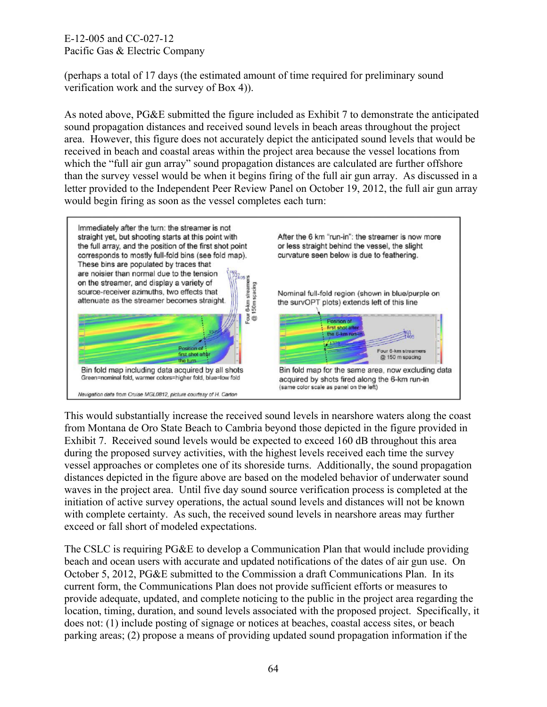(perhaps a total of 17 days (the estimated amount of time required for preliminary sound verification work and the survey of Box 4)).

As noted above, PG&E submitted the figure included as Exhibit 7 to demonstrate the anticipated sound propagation distances and received sound levels in beach areas throughout the project area. However, this figure does not accurately depict the anticipated sound levels that would be received in beach and coastal areas within the project area because the vessel locations from which the "full air gun array" sound propagation distances are calculated are further offshore than the survey vessel would be when it begins firing of the full air gun array. As discussed in a letter provided to the Independent Peer Review Panel on October 19, 2012, the full air gun array would begin firing as soon as the vessel completes each turn:



This would substantially increase the received sound levels in nearshore waters along the coast from Montana de Oro State Beach to Cambria beyond those depicted in the figure provided in Exhibit 7. Received sound levels would be expected to exceed 160 dB throughout this area during the proposed survey activities, with the highest levels received each time the survey vessel approaches or completes one of its shoreside turns. Additionally, the sound propagation distances depicted in the figure above are based on the modeled behavior of underwater sound waves in the project area. Until five day sound source verification process is completed at the initiation of active survey operations, the actual sound levels and distances will not be known with complete certainty. As such, the received sound levels in nearshore areas may further exceed or fall short of modeled expectations.

The CSLC is requiring PG&E to develop a Communication Plan that would include providing beach and ocean users with accurate and updated notifications of the dates of air gun use. On October 5, 2012, PG&E submitted to the Commission a draft Communications Plan. In its current form, the Communications Plan does not provide sufficient efforts or measures to provide adequate, updated, and complete noticing to the public in the project area regarding the location, timing, duration, and sound levels associated with the proposed project. Specifically, it does not: (1) include posting of signage or notices at beaches, coastal access sites, or beach parking areas; (2) propose a means of providing updated sound propagation information if the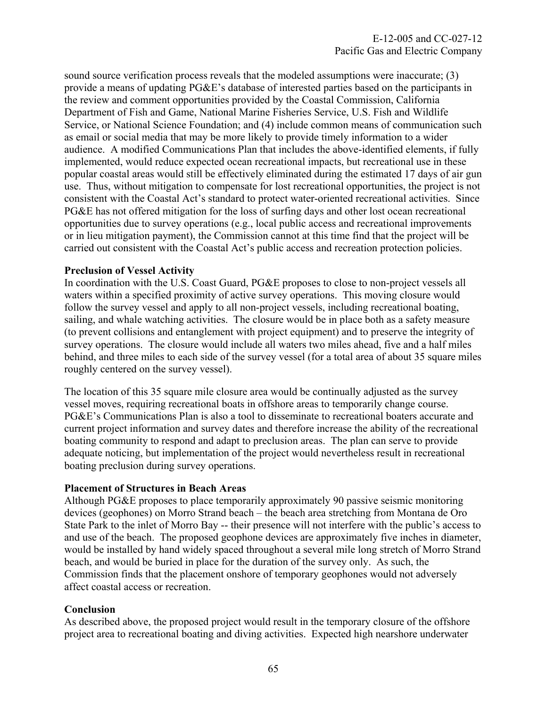sound source verification process reveals that the modeled assumptions were inaccurate; (3) provide a means of updating PG&E's database of interested parties based on the participants in the review and comment opportunities provided by the Coastal Commission, California Department of Fish and Game, National Marine Fisheries Service, U.S. Fish and Wildlife Service, or National Science Foundation; and (4) include common means of communication such as email or social media that may be more likely to provide timely information to a wider audience. A modified Communications Plan that includes the above-identified elements, if fully implemented, would reduce expected ocean recreational impacts, but recreational use in these popular coastal areas would still be effectively eliminated during the estimated 17 days of air gun use. Thus, without mitigation to compensate for lost recreational opportunities, the project is not consistent with the Coastal Act's standard to protect water-oriented recreational activities. Since PG&E has not offered mitigation for the loss of surfing days and other lost ocean recreational opportunities due to survey operations (e.g., local public access and recreational improvements or in lieu mitigation payment), the Commission cannot at this time find that the project will be carried out consistent with the Coastal Act's public access and recreation protection policies.

## **Preclusion of Vessel Activity**

In coordination with the U.S. Coast Guard, PG&E proposes to close to non-project vessels all waters within a specified proximity of active survey operations. This moving closure would follow the survey vessel and apply to all non-project vessels, including recreational boating, sailing, and whale watching activities. The closure would be in place both as a safety measure (to prevent collisions and entanglement with project equipment) and to preserve the integrity of survey operations. The closure would include all waters two miles ahead, five and a half miles behind, and three miles to each side of the survey vessel (for a total area of about 35 square miles roughly centered on the survey vessel).

The location of this 35 square mile closure area would be continually adjusted as the survey vessel moves, requiring recreational boats in offshore areas to temporarily change course. PG&E's Communications Plan is also a tool to disseminate to recreational boaters accurate and current project information and survey dates and therefore increase the ability of the recreational boating community to respond and adapt to preclusion areas. The plan can serve to provide adequate noticing, but implementation of the project would nevertheless result in recreational boating preclusion during survey operations.

#### **Placement of Structures in Beach Areas**

Although PG&E proposes to place temporarily approximately 90 passive seismic monitoring devices (geophones) on Morro Strand beach – the beach area stretching from Montana de Oro State Park to the inlet of Morro Bay -- their presence will not interfere with the public's access to and use of the beach. The proposed geophone devices are approximately five inches in diameter, would be installed by hand widely spaced throughout a several mile long stretch of Morro Strand beach, and would be buried in place for the duration of the survey only. As such, the Commission finds that the placement onshore of temporary geophones would not adversely affect coastal access or recreation.

#### **Conclusion**

As described above, the proposed project would result in the temporary closure of the offshore project area to recreational boating and diving activities. Expected high nearshore underwater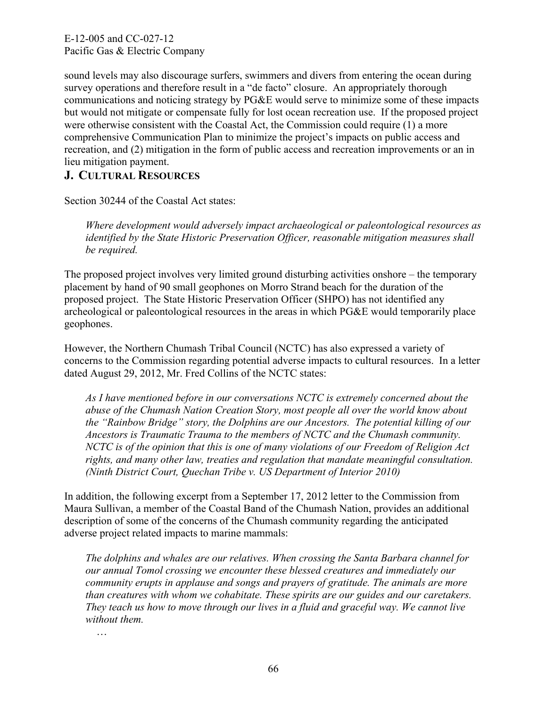sound levels may also discourage surfers, swimmers and divers from entering the ocean during survey operations and therefore result in a "de facto" closure. An appropriately thorough communications and noticing strategy by PG&E would serve to minimize some of these impacts but would not mitigate or compensate fully for lost ocean recreation use. If the proposed project were otherwise consistent with the Coastal Act, the Commission could require (1) a more comprehensive Communication Plan to minimize the project's impacts on public access and recreation, and (2) mitigation in the form of public access and recreation improvements or an in lieu mitigation payment.

# **J. CULTURAL RESOURCES**

Section 30244 of the Coastal Act states:

*Where development would adversely impact archaeological or paleontological resources as identified by the State Historic Preservation Officer, reasonable mitigation measures shall be required.* 

The proposed project involves very limited ground disturbing activities onshore – the temporary placement by hand of 90 small geophones on Morro Strand beach for the duration of the proposed project. The State Historic Preservation Officer (SHPO) has not identified any archeological or paleontological resources in the areas in which PG&E would temporarily place geophones.

However, the Northern Chumash Tribal Council (NCTC) has also expressed a variety of concerns to the Commission regarding potential adverse impacts to cultural resources. In a letter dated August 29, 2012, Mr. Fred Collins of the NCTC states:

*As I have mentioned before in our conversations NCTC is extremely concerned about the abuse of the Chumash Nation Creation Story, most people all over the world know about the "Rainbow Bridge" story, the Dolphins are our Ancestors. The potential killing of our Ancestors is Traumatic Trauma to the members of NCTC and the Chumash community. NCTC is of the opinion that this is one of many violations of our Freedom of Religion Act rights, and many other law, treaties and regulation that mandate meaningful consultation. (Ninth District Court, Quechan Tribe v. US Department of Interior 2010)* 

In addition, the following excerpt from a September 17, 2012 letter to the Commission from Maura Sullivan, a member of the Coastal Band of the Chumash Nation, provides an additional description of some of the concerns of the Chumash community regarding the anticipated adverse project related impacts to marine mammals:

*The dolphins and whales are our relatives. When crossing the Santa Barbara channel for our annual Tomol crossing we encounter these blessed creatures and immediately our community erupts in applause and songs and prayers of gratitude. The animals are more than creatures with whom we cohabitate. These spirits are our guides and our caretakers. They teach us how to move through our lives in a fluid and graceful way. We cannot live without them.* 

…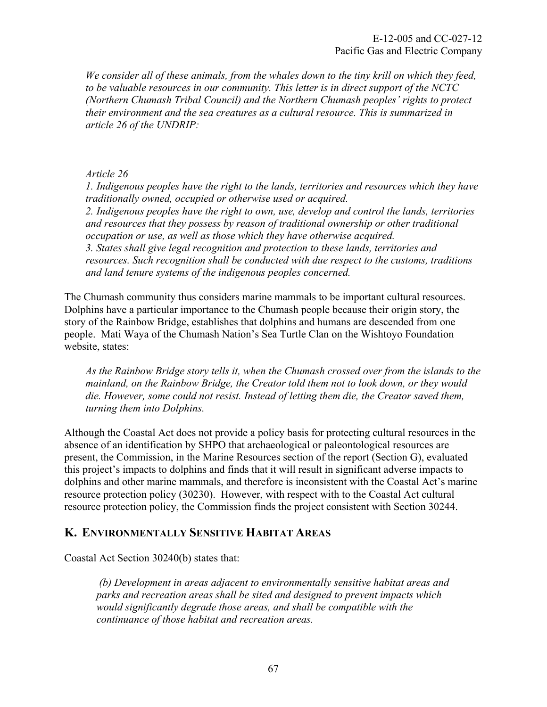*We consider all of these animals, from the whales down to the tiny krill on which they feed, to be valuable resources in our community. This letter is in direct support of the NCTC (Northern Chumash Tribal Council) and the Northern Chumash peoples' rights to protect their environment and the sea creatures as a cultural resource. This is summarized in article 26 of the UNDRIP:* 

## *Article 26*

*1. Indigenous peoples have the right to the lands, territories and resources which they have traditionally owned, occupied or otherwise used or acquired. 2. Indigenous peoples have the right to own, use, develop and control the lands, territories and resources that they possess by reason of traditional ownership or other traditional occupation or use, as well as those which they have otherwise acquired. 3. States shall give legal recognition and protection to these lands, territories and resources. Such recognition shall be conducted with due respect to the customs, traditions and land tenure systems of the indigenous peoples concerned.* 

The Chumash community thus considers marine mammals to be important cultural resources. Dolphins have a particular importance to the Chumash people because their origin story, the story of the Rainbow Bridge, establishes that dolphins and humans are descended from one people. Mati Waya of the Chumash Nation's Sea Turtle Clan on the Wishtoyo Foundation website, states:

*As the Rainbow Bridge story tells it, when the Chumash crossed over from the islands to the mainland, on the Rainbow Bridge, the Creator told them not to look down, or they would die. However, some could not resist. Instead of letting them die, the Creator saved them, turning them into Dolphins.* 

Although the Coastal Act does not provide a policy basis for protecting cultural resources in the absence of an identification by SHPO that archaeological or paleontological resources are present, the Commission, in the Marine Resources section of the report (Section G), evaluated this project's impacts to dolphins and finds that it will result in significant adverse impacts to dolphins and other marine mammals, and therefore is inconsistent with the Coastal Act's marine resource protection policy (30230). However, with respect with to the Coastal Act cultural resource protection policy, the Commission finds the project consistent with Section 30244.

## **K. ENVIRONMENTALLY SENSITIVE HABITAT AREAS**

Coastal Act Section 30240(b) states that:

 *(b) Development in areas adjacent to environmentally sensitive habitat areas and parks and recreation areas shall be sited and designed to prevent impacts which would significantly degrade those areas, and shall be compatible with the continuance of those habitat and recreation areas.*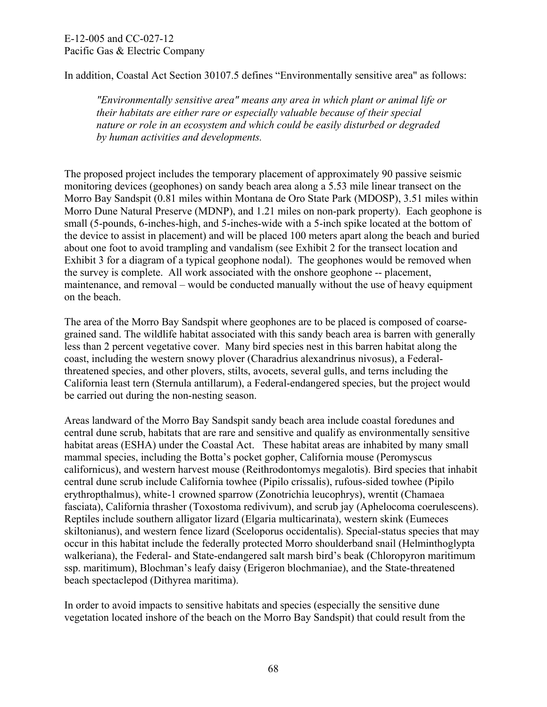In addition, Coastal Act Section 30107.5 defines "Environmentally sensitive area" as follows:

*"Environmentally sensitive area" means any area in which plant or animal life or their habitats are either rare or especially valuable because of their special nature or role in an ecosystem and which could be easily disturbed or degraded by human activities and developments.* 

The proposed project includes the temporary placement of approximately 90 passive seismic monitoring devices (geophones) on sandy beach area along a 5.53 mile linear transect on the Morro Bay Sandspit (0.81 miles within Montana de Oro State Park (MDOSP), 3.51 miles within Morro Dune Natural Preserve (MDNP), and 1.21 miles on non-park property). Each geophone is small (5-pounds, 6-inches-high, and 5-inches-wide with a 5-inch spike located at the bottom of the device to assist in placement) and will be placed 100 meters apart along the beach and buried about one foot to avoid trampling and vandalism (see Exhibit 2 for the transect location and Exhibit 3 for a diagram of a typical geophone nodal). The geophones would be removed when the survey is complete. All work associated with the onshore geophone -- placement, maintenance, and removal – would be conducted manually without the use of heavy equipment on the beach.

The area of the Morro Bay Sandspit where geophones are to be placed is composed of coarsegrained sand. The wildlife habitat associated with this sandy beach area is barren with generally less than 2 percent vegetative cover. Many bird species nest in this barren habitat along the coast, including the western snowy plover (Charadrius alexandrinus nivosus), a Federalthreatened species, and other plovers, stilts, avocets, several gulls, and terns including the California least tern (Sternula antillarum), a Federal-endangered species, but the project would be carried out during the non-nesting season.

Areas landward of the Morro Bay Sandspit sandy beach area include coastal foredunes and central dune scrub, habitats that are rare and sensitive and qualify as environmentally sensitive habitat areas (ESHA) under the Coastal Act. These habitat areas are inhabited by many small mammal species, including the Botta's pocket gopher, California mouse (Peromyscus californicus), and western harvest mouse (Reithrodontomys megalotis). Bird species that inhabit central dune scrub include California towhee (Pipilo crissalis), rufous-sided towhee (Pipilo erythropthalmus), white-1 crowned sparrow (Zonotrichia leucophrys), wrentit (Chamaea fasciata), California thrasher (Toxostoma redivivum), and scrub jay (Aphelocoma coerulescens). Reptiles include southern alligator lizard (Elgaria multicarinata), western skink (Eumeces skiltonianus), and western fence lizard (Sceloporus occidentalis). Special-status species that may occur in this habitat include the federally protected Morro shoulderband snail (Helminthoglypta walkeriana), the Federal- and State-endangered salt marsh bird's beak (Chloropyron maritimum ssp. maritimum), Blochman's leafy daisy (Erigeron blochmaniae), and the State-threatened beach spectaclepod (Dithyrea maritima).

In order to avoid impacts to sensitive habitats and species (especially the sensitive dune vegetation located inshore of the beach on the Morro Bay Sandspit) that could result from the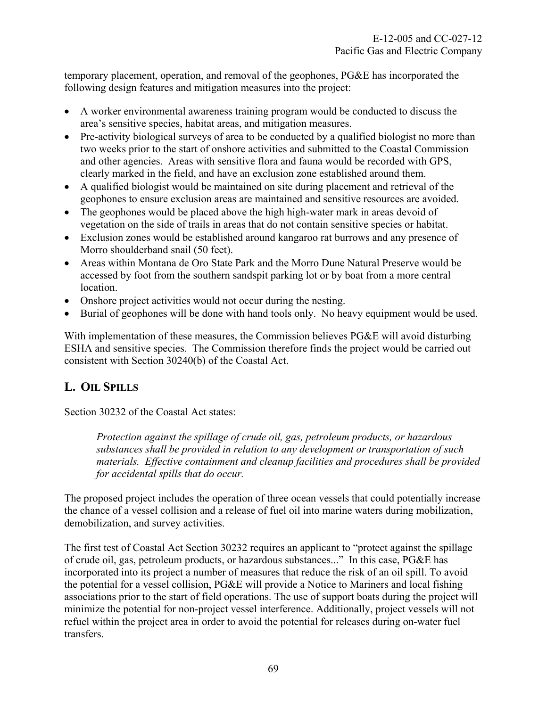temporary placement, operation, and removal of the geophones, PG&E has incorporated the following design features and mitigation measures into the project:

- A worker environmental awareness training program would be conducted to discuss the area's sensitive species, habitat areas, and mitigation measures.
- Pre-activity biological surveys of area to be conducted by a qualified biologist no more than two weeks prior to the start of onshore activities and submitted to the Coastal Commission and other agencies. Areas with sensitive flora and fauna would be recorded with GPS, clearly marked in the field, and have an exclusion zone established around them.
- A qualified biologist would be maintained on site during placement and retrieval of the geophones to ensure exclusion areas are maintained and sensitive resources are avoided.
- The geophones would be placed above the high high-water mark in areas devoid of vegetation on the side of trails in areas that do not contain sensitive species or habitat.
- Exclusion zones would be established around kangaroo rat burrows and any presence of Morro shoulderband snail (50 feet).
- Areas within Montana de Oro State Park and the Morro Dune Natural Preserve would be accessed by foot from the southern sandspit parking lot or by boat from a more central location.
- Onshore project activities would not occur during the nesting.
- Burial of geophones will be done with hand tools only. No heavy equipment would be used.

With implementation of these measures, the Commission believes PG&E will avoid disturbing ESHA and sensitive species. The Commission therefore finds the project would be carried out consistent with Section 30240(b) of the Coastal Act.

# **L. OIL SPILLS**

Section 30232 of the Coastal Act states:

*Protection against the spillage of crude oil, gas, petroleum products, or hazardous substances shall be provided in relation to any development or transportation of such materials. Effective containment and cleanup facilities and procedures shall be provided for accidental spills that do occur.* 

The proposed project includes the operation of three ocean vessels that could potentially increase the chance of a vessel collision and a release of fuel oil into marine waters during mobilization, demobilization, and survey activities.

The first test of Coastal Act Section 30232 requires an applicant to "protect against the spillage of crude oil, gas, petroleum products, or hazardous substances..." In this case, PG&E has incorporated into its project a number of measures that reduce the risk of an oil spill. To avoid the potential for a vessel collision, PG&E will provide a Notice to Mariners and local fishing associations prior to the start of field operations. The use of support boats during the project will minimize the potential for non-project vessel interference. Additionally, project vessels will not refuel within the project area in order to avoid the potential for releases during on-water fuel transfers.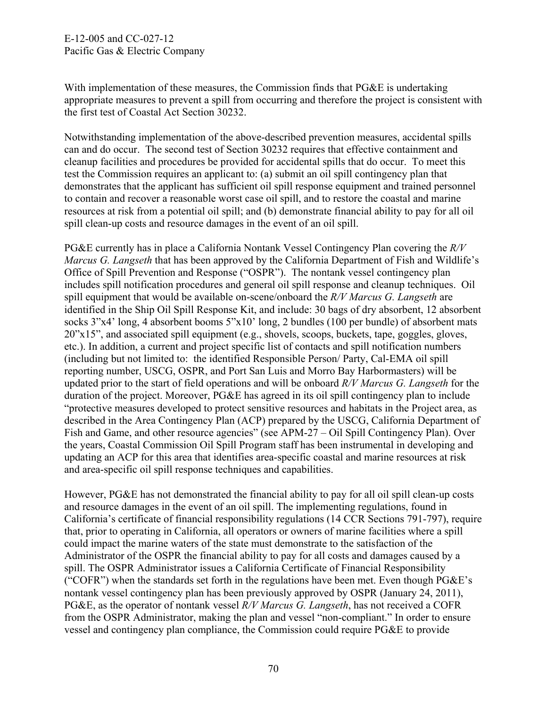With implementation of these measures, the Commission finds that PG&E is undertaking appropriate measures to prevent a spill from occurring and therefore the project is consistent with the first test of Coastal Act Section 30232.

Notwithstanding implementation of the above-described prevention measures, accidental spills can and do occur. The second test of Section 30232 requires that effective containment and cleanup facilities and procedures be provided for accidental spills that do occur. To meet this test the Commission requires an applicant to: (a) submit an oil spill contingency plan that demonstrates that the applicant has sufficient oil spill response equipment and trained personnel to contain and recover a reasonable worst case oil spill, and to restore the coastal and marine resources at risk from a potential oil spill; and (b) demonstrate financial ability to pay for all oil spill clean-up costs and resource damages in the event of an oil spill.

PG&E currently has in place a California Nontank Vessel Contingency Plan covering the *R/V Marcus G. Langseth* that has been approved by the California Department of Fish and Wildlife's Office of Spill Prevention and Response ("OSPR"). The nontank vessel contingency plan includes spill notification procedures and general oil spill response and cleanup techniques. Oil spill equipment that would be available on-scene/onboard the *R/V Marcus G. Langseth* are identified in the Ship Oil Spill Response Kit, and include: 30 bags of dry absorbent, 12 absorbent socks 3"x4" long, 4 absorbent booms 5"x10" long, 2 bundles (100 per bundle) of absorbent mats 20"x15", and associated spill equipment (e.g., shovels, scoops, buckets, tape, goggles, gloves, etc.). In addition, a current and project specific list of contacts and spill notification numbers (including but not limited to: the identified Responsible Person/ Party, Cal-EMA oil spill reporting number, USCG, OSPR, and Port San Luis and Morro Bay Harbormasters) will be updated prior to the start of field operations and will be onboard *R/V Marcus G. Langseth* for the duration of the project. Moreover, PG&E has agreed in its oil spill contingency plan to include "protective measures developed to protect sensitive resources and habitats in the Project area, as described in the Area Contingency Plan (ACP) prepared by the USCG, California Department of Fish and Game, and other resource agencies" (see APM-27 – Oil Spill Contingency Plan). Over the years, Coastal Commission Oil Spill Program staff has been instrumental in developing and updating an ACP for this area that identifies area-specific coastal and marine resources at risk and area-specific oil spill response techniques and capabilities.

However, PG&E has not demonstrated the financial ability to pay for all oil spill clean-up costs and resource damages in the event of an oil spill. The implementing regulations, found in California's certificate of financial responsibility regulations (14 CCR Sections 791-797), require that, prior to operating in California, all operators or owners of marine facilities where a spill could impact the marine waters of the state must demonstrate to the satisfaction of the Administrator of the OSPR the financial ability to pay for all costs and damages caused by a spill. The OSPR Administrator issues a California Certificate of Financial Responsibility ("COFR") when the standards set forth in the regulations have been met. Even though PG&E's nontank vessel contingency plan has been previously approved by OSPR (January 24, 2011), PG&E, as the operator of nontank vessel *R/V Marcus G. Langseth*, has not received a COFR from the OSPR Administrator, making the plan and vessel "non-compliant." In order to ensure vessel and contingency plan compliance, the Commission could require PG&E to provide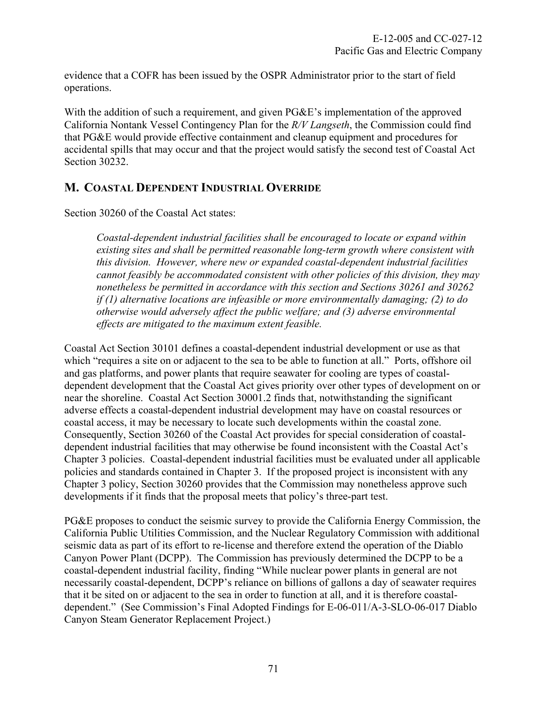evidence that a COFR has been issued by the OSPR Administrator prior to the start of field operations.

With the addition of such a requirement, and given  $P G \& E$ 's implementation of the approved California Nontank Vessel Contingency Plan for the *R/V Langseth*, the Commission could find that PG&E would provide effective containment and cleanup equipment and procedures for accidental spills that may occur and that the project would satisfy the second test of Coastal Act Section 30232.

# **M. COASTAL DEPENDENT INDUSTRIAL OVERRIDE**

Section 30260 of the Coastal Act states:

*Coastal-dependent industrial facilities shall be encouraged to locate or expand within existing sites and shall be permitted reasonable long-term growth where consistent with this division. However, where new or expanded coastal-dependent industrial facilities cannot feasibly be accommodated consistent with other policies of this division, they may nonetheless be permitted in accordance with this section and Sections 30261 and 30262 if (1) alternative locations are infeasible or more environmentally damaging; (2) to do otherwise would adversely affect the public welfare; and (3) adverse environmental effects are mitigated to the maximum extent feasible.* 

Coastal Act Section 30101 defines a coastal-dependent industrial development or use as that which "requires a site on or adjacent to the sea to be able to function at all." Ports, offshore oil and gas platforms, and power plants that require seawater for cooling are types of coastaldependent development that the Coastal Act gives priority over other types of development on or near the shoreline. Coastal Act Section 30001.2 finds that, notwithstanding the significant adverse effects a coastal-dependent industrial development may have on coastal resources or coastal access, it may be necessary to locate such developments within the coastal zone. Consequently, Section 30260 of the Coastal Act provides for special consideration of coastaldependent industrial facilities that may otherwise be found inconsistent with the Coastal Act's Chapter 3 policies. Coastal-dependent industrial facilities must be evaluated under all applicable policies and standards contained in Chapter 3. If the proposed project is inconsistent with any Chapter 3 policy, Section 30260 provides that the Commission may nonetheless approve such developments if it finds that the proposal meets that policy's three-part test.

PG&E proposes to conduct the seismic survey to provide the California Energy Commission, the California Public Utilities Commission, and the Nuclear Regulatory Commission with additional seismic data as part of its effort to re-license and therefore extend the operation of the Diablo Canyon Power Plant (DCPP). The Commission has previously determined the DCPP to be a coastal-dependent industrial facility, finding "While nuclear power plants in general are not necessarily coastal-dependent, DCPP's reliance on billions of gallons a day of seawater requires that it be sited on or adjacent to the sea in order to function at all, and it is therefore coastaldependent." (See Commission's Final Adopted Findings for E-06-011/A-3-SLO-06-017 Diablo Canyon Steam Generator Replacement Project.)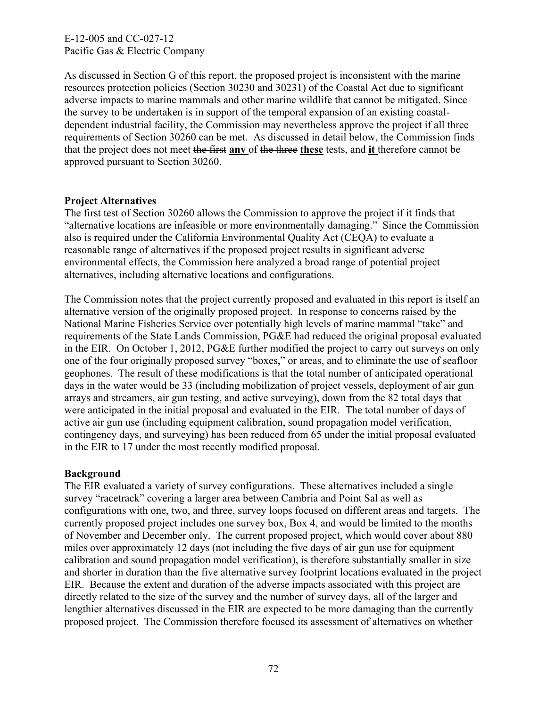E-12-005 and CC-027-12 Pacific Gas & Electric Company

As discussed in Section G of this report, the proposed project is inconsistent with the marine resources protection policies (Section 30230 and 30231) of the Coastal Act due to significant adverse impacts to marine mammals and other marine wildlife that cannot be mitigated. Since the survey to be undertaken is in support of the temporal expansion of an existing coastaldependent industrial facility, the Commission may nevertheless approve the project if all three requirements of Section 30260 can be met. As discussed in detail below, the Commission finds that the project does not meet the first **any** of the three **these** tests, and **it** therefore cannot be approved pursuant to Section 30260.

### **Project Alternatives**

The first test of Section 30260 allows the Commission to approve the project if it finds that "alternative locations are infeasible or more environmentally damaging." Since the Commission also is required under the California Environmental Quality Act (CEQA) to evaluate a reasonable range of alternatives if the proposed project results in significant adverse environmental effects, the Commission here analyzed a broad range of potential project alternatives, including alternative locations and configurations.

The Commission notes that the project currently proposed and evaluated in this report is itself an alternative version of the originally proposed project. In response to concerns raised by the National Marine Fisheries Service over potentially high levels of marine mammal "take" and requirements of the State Lands Commission, PG&E had reduced the original proposal evaluated in the EIR. On October 1, 2012, PG&E further modified the project to carry out surveys on only one of the four originally proposed survey "boxes," or areas, and to eliminate the use of seafloor geophones. The result of these modifications is that the total number of anticipated operational days in the water would be 33 (including mobilization of project vessels, deployment of air gun arrays and streamers, air gun testing, and active surveying), down from the 82 total days that were anticipated in the initial proposal and evaluated in the EIR. The total number of days of active air gun use (including equipment calibration, sound propagation model verification, contingency days, and surveying) has been reduced from 65 under the initial proposal evaluated in the EIR to 17 under the most recently modified proposal.

### **Background**

The EIR evaluated a variety of survey configurations. These alternatives included a single survey "racetrack" covering a larger area between Cambria and Point Sal as well as configurations with one, two, and three, survey loops focused on different areas and targets. The currently proposed project includes one survey box, Box 4, and would be limited to the months of November and December only. The current proposed project, which would cover about 880 miles over approximately 12 days (not including the five days of air gun use for equipment calibration and sound propagation model verification), is therefore substantially smaller in size and shorter in duration than the five alternative survey footprint locations evaluated in the project EIR. Because the extent and duration of the adverse impacts associated with this project are directly related to the size of the survey and the number of survey days, all of the larger and lengthier alternatives discussed in the EIR are expected to be more damaging than the currently proposed project. The Commission therefore focused its assessment of alternatives on whether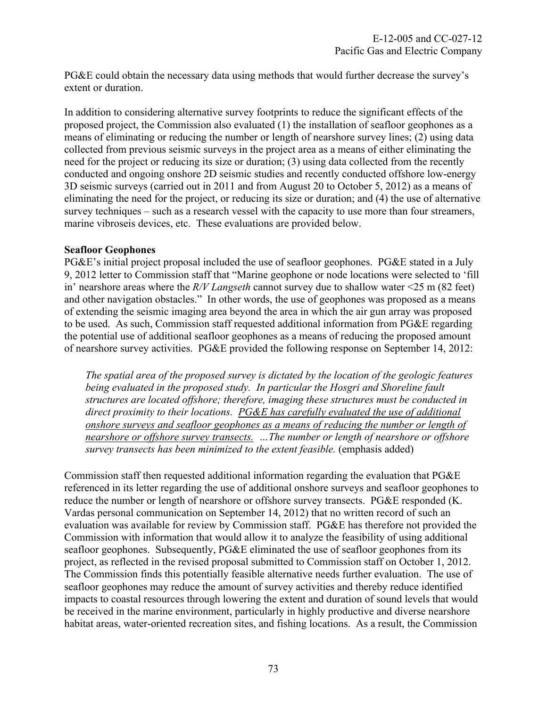PG&E could obtain the necessary data using methods that would further decrease the survey's extent or duration.

In addition to considering alternative survey footprints to reduce the significant effects of the proposed project, the Commission also evaluated (1) the installation of seafloor geophones as a means of eliminating or reducing the number or length of nearshore survey lines; (2) using data collected from previous seismic surveys in the project area as a means of either eliminating the need for the project or reducing its size or duration; (3) using data collected from the recently conducted and ongoing onshore 2D seismic studies and recently conducted offshore low-energy 3D seismic surveys (carried out in 2011 and from August 20 to October 5, 2012) as a means of eliminating the need for the project, or reducing its size or duration; and (4) the use of alternative survey techniques – such as a research vessel with the capacity to use more than four streamers, marine vibroseis devices, etc. These evaluations are provided below.

### **Seafloor Geophones**

PG&E's initial project proposal included the use of seafloor geophones. PG&E stated in a July 9, 2012 letter to Commission staff that "Marine geophone or node locations were selected to 'fill in' nearshore areas where the *R/V Langseth* cannot survey due to shallow water <25 m (82 feet) and other navigation obstacles." In other words, the use of geophones was proposed as a means of extending the seismic imaging area beyond the area in which the air gun array was proposed to be used. As such, Commission staff requested additional information from PG&E regarding the potential use of additional seafloor geophones as a means of reducing the proposed amount of nearshore survey activities. PG&E provided the following response on September 14, 2012:

*The spatial area of the proposed survey is dictated by the location of the geologic features*  being evaluated in the proposed study. In particular the Hosgri and Shoreline fault *structures are located offshore; therefore, imaging these structures must be conducted in direct proximity to their locations. PG&E has carefully evaluated the use of additional onshore surveys and seafloor geophones as a means of reducing the number or length of nearshore or offshore survey transects. …The number or length of nearshore or offshore survey transects has been minimized to the extent feasible.* (emphasis added)

Commission staff then requested additional information regarding the evaluation that PG&E referenced in its letter regarding the use of additional onshore surveys and seafloor geophones to reduce the number or length of nearshore or offshore survey transects. PG&E responded (K. Vardas personal communication on September 14, 2012) that no written record of such an evaluation was available for review by Commission staff. PG&E has therefore not provided the Commission with information that would allow it to analyze the feasibility of using additional seafloor geophones. Subsequently, PG&E eliminated the use of seafloor geophones from its project, as reflected in the revised proposal submitted to Commission staff on October 1, 2012. The Commission finds this potentially feasible alternative needs further evaluation. The use of seafloor geophones may reduce the amount of survey activities and thereby reduce identified impacts to coastal resources through lowering the extent and duration of sound levels that would be received in the marine environment, particularly in highly productive and diverse nearshore habitat areas, water-oriented recreation sites, and fishing locations. As a result, the Commission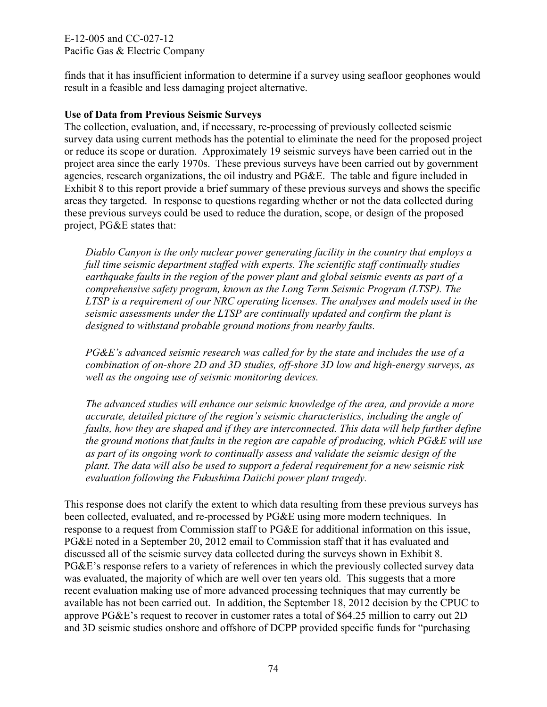E-12-005 and CC-027-12 Pacific Gas & Electric Company

finds that it has insufficient information to determine if a survey using seafloor geophones would result in a feasible and less damaging project alternative.

### **Use of Data from Previous Seismic Surveys**

The collection, evaluation, and, if necessary, re-processing of previously collected seismic survey data using current methods has the potential to eliminate the need for the proposed project or reduce its scope or duration. Approximately 19 seismic surveys have been carried out in the project area since the early 1970s. These previous surveys have been carried out by government agencies, research organizations, the oil industry and PG&E. The table and figure included in Exhibit 8 to this report provide a brief summary of these previous surveys and shows the specific areas they targeted. In response to questions regarding whether or not the data collected during these previous surveys could be used to reduce the duration, scope, or design of the proposed project, PG&E states that:

*Diablo Canyon is the only nuclear power generating facility in the country that employs a full time seismic department staffed with experts. The scientific staff continually studies earthquake faults in the region of the power plant and global seismic events as part of a comprehensive safety program, known as the Long Term Seismic Program (LTSP). The LTSP is a requirement of our NRC operating licenses. The analyses and models used in the seismic assessments under the LTSP are continually updated and confirm the plant is designed to withstand probable ground motions from nearby faults.* 

*PG&E's advanced seismic research was called for by the state and includes the use of a combination of on-shore 2D and 3D studies, off-shore 3D low and high-energy surveys, as well as the ongoing use of seismic monitoring devices.* 

*The advanced studies will enhance our seismic knowledge of the area, and provide a more accurate, detailed picture of the region's seismic characteristics, including the angle of faults, how they are shaped and if they are interconnected. This data will help further define the ground motions that faults in the region are capable of producing, which PG&E will use as part of its ongoing work to continually assess and validate the seismic design of the plant. The data will also be used to support a federal requirement for a new seismic risk evaluation following the Fukushima Daiichi power plant tragedy.* 

This response does not clarify the extent to which data resulting from these previous surveys has been collected, evaluated, and re-processed by PG&E using more modern techniques. In response to a request from Commission staff to PG&E for additional information on this issue, PG&E noted in a September 20, 2012 email to Commission staff that it has evaluated and discussed all of the seismic survey data collected during the surveys shown in Exhibit 8. PG&E's response refers to a variety of references in which the previously collected survey data was evaluated, the majority of which are well over ten years old. This suggests that a more recent evaluation making use of more advanced processing techniques that may currently be available has not been carried out. In addition, the September 18, 2012 decision by the CPUC to approve PG&E's request to recover in customer rates a total of \$64.25 million to carry out 2D and 3D seismic studies onshore and offshore of DCPP provided specific funds for "purchasing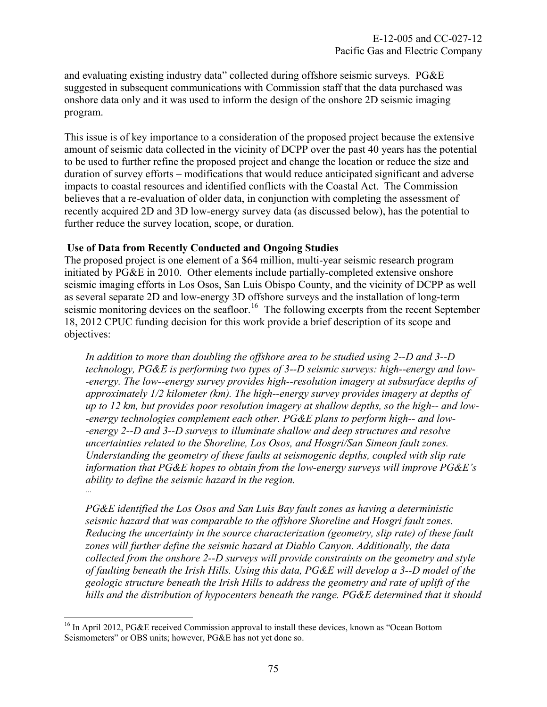and evaluating existing industry data" collected during offshore seismic surveys. PG&E suggested in subsequent communications with Commission staff that the data purchased was onshore data only and it was used to inform the design of the onshore 2D seismic imaging program.

This issue is of key importance to a consideration of the proposed project because the extensive amount of seismic data collected in the vicinity of DCPP over the past 40 years has the potential to be used to further refine the proposed project and change the location or reduce the size and duration of survey efforts – modifications that would reduce anticipated significant and adverse impacts to coastal resources and identified conflicts with the Coastal Act. The Commission believes that a re-evaluation of older data, in conjunction with completing the assessment of recently acquired 2D and 3D low-energy survey data (as discussed below), has the potential to further reduce the survey location, scope, or duration.

### **Use of Data from Recently Conducted and Ongoing Studies**

The proposed project is one element of a \$64 million, multi-year seismic research program initiated by PG&E in 2010. Other elements include partially-completed extensive onshore seismic imaging efforts in Los Osos, San Luis Obispo County, and the vicinity of DCPP as well as several separate 2D and low-energy 3D offshore surveys and the installation of long-term seismic monitoring devices on the seafloor.<sup>[16](#page-75-0)</sup> The following excerpts from the recent September 18, 2012 CPUC funding decision for this work provide a brief description of its scope and objectives:

*In addition to more than doubling the offshore area to be studied using 2--D and 3--D technology, PG&E is performing two types of 3--D seismic surveys: high--energy and low- -energy. The low--energy survey provides high--resolution imagery at subsurface depths of approximately 1/2 kilometer (km). The high--energy survey provides imagery at depths of up to 12 km, but provides poor resolution imagery at shallow depths, so the high-- and low- -energy technologies complement each other. PG&E plans to perform high-- and low- -energy 2--D and 3--D surveys to illuminate shallow and deep structures and resolve uncertainties related to the Shoreline, Los Osos, and Hosgri/San Simeon fault zones. Understanding the geometry of these faults at seismogenic depths, coupled with slip rate information that PG&E hopes to obtain from the low-energy surveys will improve PG&E's ability to define the seismic hazard in the region. …* 

*PG&E identified the Los Osos and San Luis Bay fault zones as having a deterministic seismic hazard that was comparable to the offshore Shoreline and Hosgri fault zones. Reducing the uncertainty in the source characterization (geometry, slip rate) of these fault zones will further define the seismic hazard at Diablo Canyon. Additionally, the data collected from the onshore 2--D surveys will provide constraints on the geometry and style of faulting beneath the Irish Hills. Using this data, PG&E will develop a 3--D model of the geologic structure beneath the Irish Hills to address the geometry and rate of uplift of the hills and the distribution of hypocenters beneath the range. PG&E determined that it should* 

 $\overline{a}$ 

<span id="page-75-0"></span><sup>&</sup>lt;sup>16</sup> In April 2012, PG&E received Commission approval to install these devices, known as "Ocean Bottom Seismometers" or OBS units; however, PG&E has not yet done so.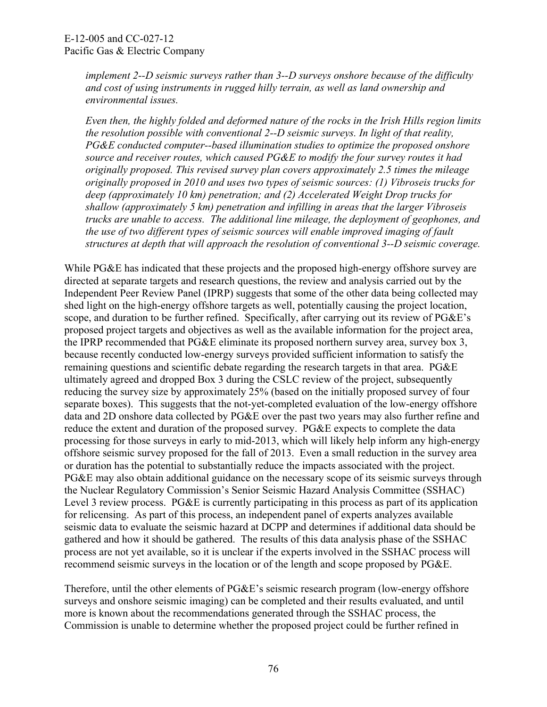*implement 2--D seismic surveys rather than 3--D surveys onshore because of the difficulty and cost of using instruments in rugged hilly terrain, as well as land ownership and environmental issues.* 

*Even then, the highly folded and deformed nature of the rocks in the Irish Hills region limits the resolution possible with conventional 2--D seismic surveys. In light of that reality, PG&E conducted computer--based illumination studies to optimize the proposed onshore source and receiver routes, which caused PG&E to modify the four survey routes it had originally proposed. This revised survey plan covers approximately 2.5 times the mileage originally proposed in 2010 and uses two types of seismic sources: (1) Vibroseis trucks for deep (approximately 10 km) penetration; and (2) Accelerated Weight Drop trucks for shallow (approximately 5 km) penetration and infilling in areas that the larger Vibroseis trucks are unable to access. The additional line mileage, the deployment of geophones, and the use of two different types of seismic sources will enable improved imaging of fault structures at depth that will approach the resolution of conventional 3--D seismic coverage.*

While PG&E has indicated that these projects and the proposed high-energy offshore survey are directed at separate targets and research questions, the review and analysis carried out by the Independent Peer Review Panel (IPRP) suggests that some of the other data being collected may shed light on the high-energy offshore targets as well, potentially causing the project location, scope, and duration to be further refined. Specifically, after carrying out its review of PG&E's proposed project targets and objectives as well as the available information for the project area, the IPRP recommended that PG&E eliminate its proposed northern survey area, survey box 3, because recently conducted low-energy surveys provided sufficient information to satisfy the remaining questions and scientific debate regarding the research targets in that area. PG&E ultimately agreed and dropped Box 3 during the CSLC review of the project, subsequently reducing the survey size by approximately 25% (based on the initially proposed survey of four separate boxes). This suggests that the not-yet-completed evaluation of the low-energy offshore data and 2D onshore data collected by PG&E over the past two years may also further refine and reduce the extent and duration of the proposed survey. PG&E expects to complete the data processing for those surveys in early to mid-2013, which will likely help inform any high-energy offshore seismic survey proposed for the fall of 2013. Even a small reduction in the survey area or duration has the potential to substantially reduce the impacts associated with the project. PG&E may also obtain additional guidance on the necessary scope of its seismic surveys through the Nuclear Regulatory Commission's Senior Seismic Hazard Analysis Committee (SSHAC) Level 3 review process. PG&E is currently participating in this process as part of its application for relicensing. As part of this process, an independent panel of experts analyzes available seismic data to evaluate the seismic hazard at DCPP and determines if additional data should be gathered and how it should be gathered. The results of this data analysis phase of the SSHAC process are not yet available, so it is unclear if the experts involved in the SSHAC process will recommend seismic surveys in the location or of the length and scope proposed by PG&E.

Therefore, until the other elements of PG&E's seismic research program (low-energy offshore surveys and onshore seismic imaging) can be completed and their results evaluated, and until more is known about the recommendations generated through the SSHAC process, the Commission is unable to determine whether the proposed project could be further refined in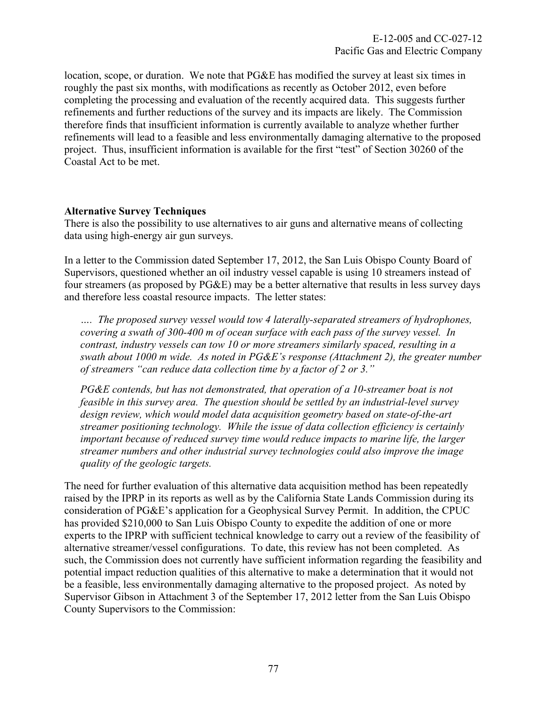location, scope, or duration. We note that PG&E has modified the survey at least six times in roughly the past six months, with modifications as recently as October 2012, even before completing the processing and evaluation of the recently acquired data. This suggests further refinements and further reductions of the survey and its impacts are likely. The Commission therefore finds that insufficient information is currently available to analyze whether further refinements will lead to a feasible and less environmentally damaging alternative to the proposed project. Thus, insufficient information is available for the first "test" of Section 30260 of the Coastal Act to be met.

# **Alternative Survey Techniques**

There is also the possibility to use alternatives to air guns and alternative means of collecting data using high-energy air gun surveys.

In a letter to the Commission dated September 17, 2012, the San Luis Obispo County Board of Supervisors, questioned whether an oil industry vessel capable is using 10 streamers instead of four streamers (as proposed by PG&E) may be a better alternative that results in less survey days and therefore less coastal resource impacts. The letter states:

*…. The proposed survey vessel would tow 4 laterally-separated streamers of hydrophones, covering a swath of 300-400 m of ocean surface with each pass of the survey vessel. In contrast, industry vessels can tow 10 or more streamers similarly spaced, resulting in a swath about 1000 m wide. As noted in PG&E's response (Attachment 2), the greater number of streamers "can reduce data collection time by a factor of 2 or 3."* 

*PG&E contends, but has not demonstrated, that operation of a 10-streamer boat is not feasible in this survey area. The question should be settled by an industrial-level survey design review, which would model data acquisition geometry based on state-of-the-art streamer positioning technology. While the issue of data collection efficiency is certainly important because of reduced survey time would reduce impacts to marine life, the larger streamer numbers and other industrial survey technologies could also improve the image quality of the geologic targets.* 

The need for further evaluation of this alternative data acquisition method has been repeatedly raised by the IPRP in its reports as well as by the California State Lands Commission during its consideration of PG&E's application for a Geophysical Survey Permit. In addition, the CPUC has provided \$210,000 to San Luis Obispo County to expedite the addition of one or more experts to the IPRP with sufficient technical knowledge to carry out a review of the feasibility of alternative streamer/vessel configurations. To date, this review has not been completed. As such, the Commission does not currently have sufficient information regarding the feasibility and potential impact reduction qualities of this alternative to make a determination that it would not be a feasible, less environmentally damaging alternative to the proposed project. As noted by Supervisor Gibson in Attachment 3 of the September 17, 2012 letter from the San Luis Obispo County Supervisors to the Commission: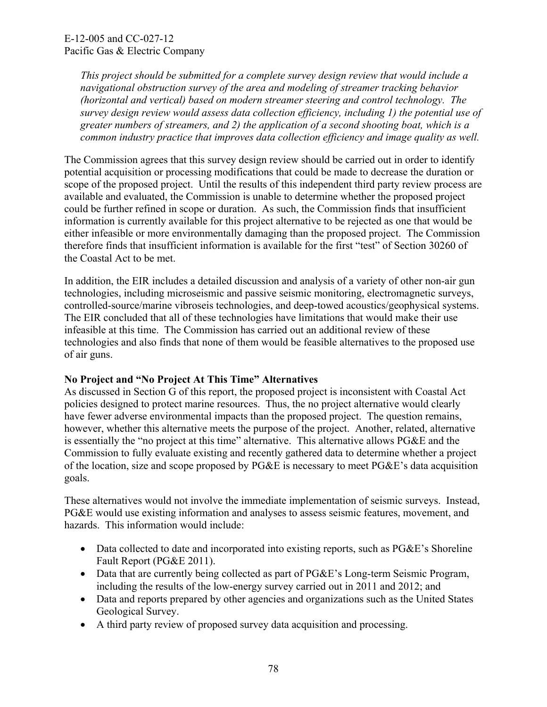*This project should be submitted for a complete survey design review that would include a navigational obstruction survey of the area and modeling of streamer tracking behavior (horizontal and vertical) based on modern streamer steering and control technology. The survey design review would assess data collection efficiency, including 1) the potential use of greater numbers of streamers, and 2) the application of a second shooting boat, which is a common industry practice that improves data collection efficiency and image quality as well.* 

The Commission agrees that this survey design review should be carried out in order to identify potential acquisition or processing modifications that could be made to decrease the duration or scope of the proposed project. Until the results of this independent third party review process are available and evaluated, the Commission is unable to determine whether the proposed project could be further refined in scope or duration. As such, the Commission finds that insufficient information is currently available for this project alternative to be rejected as one that would be either infeasible or more environmentally damaging than the proposed project. The Commission therefore finds that insufficient information is available for the first "test" of Section 30260 of the Coastal Act to be met.

In addition, the EIR includes a detailed discussion and analysis of a variety of other non-air gun technologies, including microseismic and passive seismic monitoring, electromagnetic surveys, controlled-source/marine vibroseis technologies, and deep-towed acoustics/geophysical systems. The EIR concluded that all of these technologies have limitations that would make their use infeasible at this time. The Commission has carried out an additional review of these technologies and also finds that none of them would be feasible alternatives to the proposed use of air guns.

# **No Project and "No Project At This Time" Alternatives**

As discussed in Section G of this report, the proposed project is inconsistent with Coastal Act policies designed to protect marine resources. Thus, the no project alternative would clearly have fewer adverse environmental impacts than the proposed project. The question remains, however, whether this alternative meets the purpose of the project. Another, related, alternative is essentially the "no project at this time" alternative. This alternative allows PG&E and the Commission to fully evaluate existing and recently gathered data to determine whether a project of the location, size and scope proposed by PG&E is necessary to meet PG&E's data acquisition goals.

These alternatives would not involve the immediate implementation of seismic surveys. Instead, PG&E would use existing information and analyses to assess seismic features, movement, and hazards. This information would include:

- Data collected to date and incorporated into existing reports, such as PG&E's Shoreline Fault Report (PG&E 2011).
- Data that are currently being collected as part of PG&E's Long-term Seismic Program, including the results of the low-energy survey carried out in 2011 and 2012; and
- Data and reports prepared by other agencies and organizations such as the United States Geological Survey.
- A third party review of proposed survey data acquisition and processing.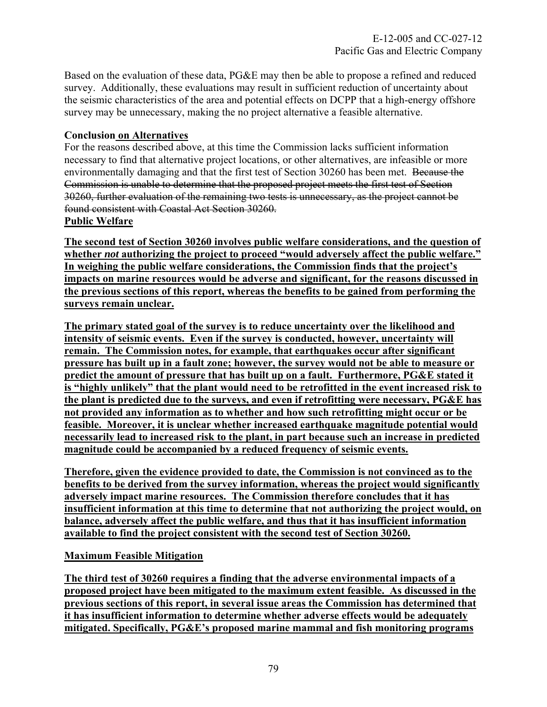Based on the evaluation of these data, PG&E may then be able to propose a refined and reduced survey. Additionally, these evaluations may result in sufficient reduction of uncertainty about the seismic characteristics of the area and potential effects on DCPP that a high-energy offshore survey may be unnecessary, making the no project alternative a feasible alternative.

# **Conclusion on Alternatives**

For the reasons described above, at this time the Commission lacks sufficient information necessary to find that alternative project locations, or other alternatives, are infeasible or more environmentally damaging and that the first test of Section 30260 has been met. Because the Commission is unable to determine that the proposed project meets the first test of Section 30260, further evaluation of the remaining two tests is unnecessary, as the project cannot be found consistent with Coastal Act Section 30260.

### **Public Welfare**

**The second test of Section 30260 involves public welfare considerations, and the question of whether** *not* **authorizing the project to proceed "would adversely affect the public welfare." In weighing the public welfare considerations, the Commission finds that the project's impacts on marine resources would be adverse and significant, for the reasons discussed in the previous sections of this report, whereas the benefits to be gained from performing the surveys remain unclear.** 

**The primary stated goal of the survey is to reduce uncertainty over the likelihood and intensity of seismic events. Even if the survey is conducted, however, uncertainty will remain. The Commission notes, for example, that earthquakes occur after significant pressure has built up in a fault zone; however, the survey would not be able to measure or predict the amount of pressure that has built up on a fault. Furthermore, PG&E stated it is "highly unlikely" that the plant would need to be retrofitted in the event increased risk to the plant is predicted due to the surveys, and even if retrofitting were necessary, PG&E has not provided any information as to whether and how such retrofitting might occur or be feasible. Moreover, it is unclear whether increased earthquake magnitude potential would necessarily lead to increased risk to the plant, in part because such an increase in predicted magnitude could be accompanied by a reduced frequency of seismic events.** 

**Therefore, given the evidence provided to date, the Commission is not convinced as to the benefits to be derived from the survey information, whereas the project would significantly adversely impact marine resources. The Commission therefore concludes that it has insufficient information at this time to determine that not authorizing the project would, on balance, adversely affect the public welfare, and thus that it has insufficient information available to find the project consistent with the second test of Section 30260.** 

# **Maximum Feasible Mitigation**

**The third test of 30260 requires a finding that the adverse environmental impacts of a proposed project have been mitigated to the maximum extent feasible. As discussed in the previous sections of this report, in several issue areas the Commission has determined that it has insufficient information to determine whether adverse effects would be adequately mitigated. Specifically, PG&E's proposed marine mammal and fish monitoring programs**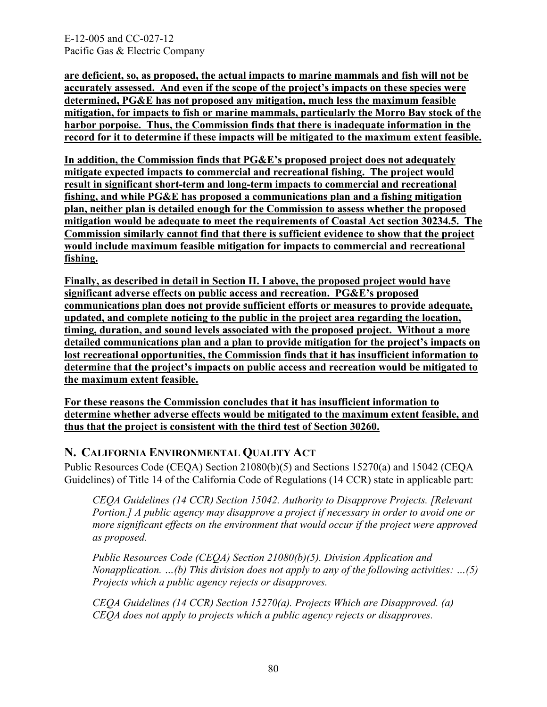E-12-005 and CC-027-12 Pacific Gas & Electric Company

**are deficient, so, as proposed, the actual impacts to marine mammals and fish will not be accurately assessed. And even if the scope of the project's impacts on these species were determined, PG&E has not proposed any mitigation, much less the maximum feasible mitigation, for impacts to fish or marine mammals, particularly the Morro Bay stock of the harbor porpoise. Thus, the Commission finds that there is inadequate information in the record for it to determine if these impacts will be mitigated to the maximum extent feasible.**

**In addition, the Commission finds that PG&E's proposed project does not adequately mitigate expected impacts to commercial and recreational fishing. The project would result in significant short-term and long-term impacts to commercial and recreational fishing, and while PG&E has proposed a communications plan and a fishing mitigation plan, neither plan is detailed enough for the Commission to assess whether the proposed mitigation would be adequate to meet the requirements of Coastal Act section 30234.5. The Commission similarly cannot find that there is sufficient evidence to show that the project would include maximum feasible mitigation for impacts to commercial and recreational fishing.**

**Finally, as described in detail in Section II. I above, the proposed project would have significant adverse effects on public access and recreation. PG&E's proposed communications plan does not provide sufficient efforts or measures to provide adequate, updated, and complete noticing to the public in the project area regarding the location, timing, duration, and sound levels associated with the proposed project. Without a more detailed communications plan and a plan to provide mitigation for the project's impacts on lost recreational opportunities, the Commission finds that it has insufficient information to determine that the project's impacts on public access and recreation would be mitigated to the maximum extent feasible.** 

**For these reasons the Commission concludes that it has insufficient information to determine whether adverse effects would be mitigated to the maximum extent feasible, and thus that the project is consistent with the third test of Section 30260.** 

# **N. CALIFORNIA ENVIRONMENTAL QUALITY ACT**

Public Resources Code (CEQA) Section 21080(b)(5) and Sections 15270(a) and 15042 (CEQA Guidelines) of Title 14 of the California Code of Regulations (14 CCR) state in applicable part:

*CEQA Guidelines (14 CCR) Section 15042. Authority to Disapprove Projects. [Relevant Portion.] A public agency may disapprove a project if necessary in order to avoid one or more significant effects on the environment that would occur if the project were approved as proposed.* 

*Public Resources Code (CEQA) Section 21080(b)(5). Division Application and Nonapplication. …(b) This division does not apply to any of the following activities: …(5) Projects which a public agency rejects or disapproves.* 

*CEQA Guidelines (14 CCR) Section 15270(a). Projects Which are Disapproved. (a) CEQA does not apply to projects which a public agency rejects or disapproves.*